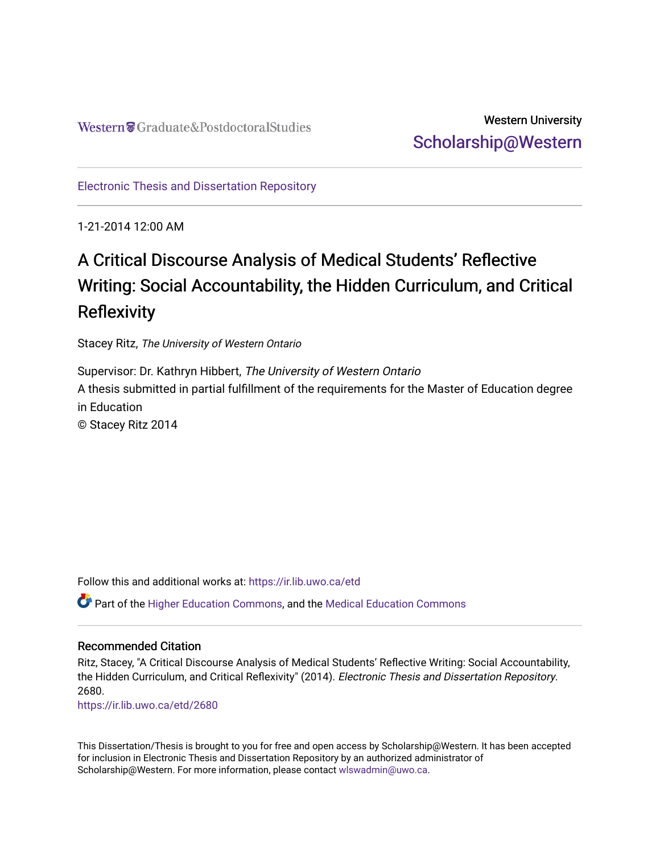## Western University [Scholarship@Western](https://ir.lib.uwo.ca/)

[Electronic Thesis and Dissertation Repository](https://ir.lib.uwo.ca/etd)

1-21-2014 12:00 AM

# A Critical Discourse Analysis of Medical Students' Reflective Writing: Social Accountability, the Hidden Curriculum, and Critical **Reflexivity**

Stacey Ritz, The University of Western Ontario

Supervisor: Dr. Kathryn Hibbert, The University of Western Ontario A thesis submitted in partial fulfillment of the requirements for the Master of Education degree in Education © Stacey Ritz 2014

Follow this and additional works at: [https://ir.lib.uwo.ca/etd](https://ir.lib.uwo.ca/etd?utm_source=ir.lib.uwo.ca%2Fetd%2F2680&utm_medium=PDF&utm_campaign=PDFCoverPages) 

Part of the [Higher Education Commons,](http://network.bepress.com/hgg/discipline/1245?utm_source=ir.lib.uwo.ca%2Fetd%2F2680&utm_medium=PDF&utm_campaign=PDFCoverPages) and the [Medical Education Commons](http://network.bepress.com/hgg/discipline/1125?utm_source=ir.lib.uwo.ca%2Fetd%2F2680&utm_medium=PDF&utm_campaign=PDFCoverPages) 

### Recommended Citation

Ritz, Stacey, "A Critical Discourse Analysis of Medical Students' Reflective Writing: Social Accountability, the Hidden Curriculum, and Critical Reflexivity" (2014). Electronic Thesis and Dissertation Repository. 2680.

[https://ir.lib.uwo.ca/etd/2680](https://ir.lib.uwo.ca/etd/2680?utm_source=ir.lib.uwo.ca%2Fetd%2F2680&utm_medium=PDF&utm_campaign=PDFCoverPages)

This Dissertation/Thesis is brought to you for free and open access by Scholarship@Western. It has been accepted for inclusion in Electronic Thesis and Dissertation Repository by an authorized administrator of Scholarship@Western. For more information, please contact [wlswadmin@uwo.ca.](mailto:wlswadmin@uwo.ca)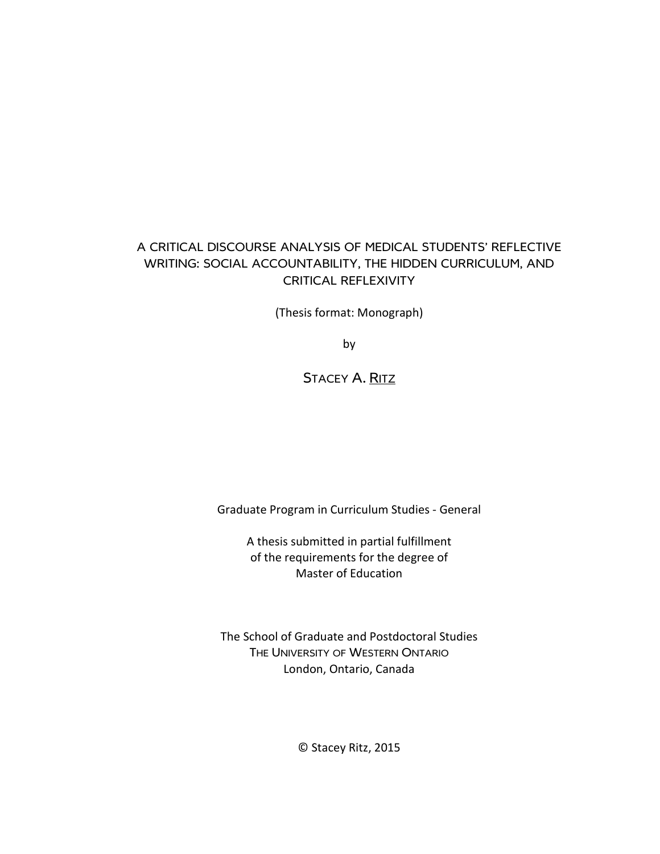### A CRITICAL DISCOURSE ANALYSIS OF MEDICAL STUDENTS' REFLECTIVE WRITING: SOCIAL ACCOUNTABILITY, THE HIDDEN CURRICULUM, AND CRITICAL REFLEXIVITY

(Thesis format: Monograph)

by

### STACEY A. RITZ

Graduate Program in Curriculum Studies - General

A thesis submitted in partial fulfillment of the requirements for the degree of Master of Education

The School of Graduate and Postdoctoral Studies THE UNIVERSITY OF WESTERN ONTARIO London, Ontario, Canada

© Stacey Ritz, 2015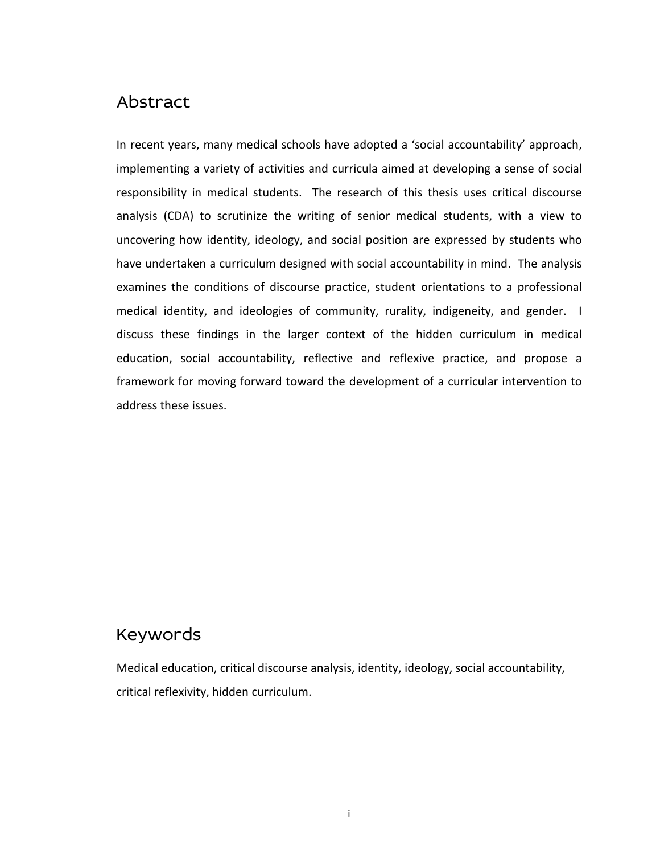## Abstract

In recent years, many medical schools have adopted a 'social accountability' approach, implementing a variety of activities and curricula aimed at developing a sense of social responsibility in medical students. The research of this thesis uses critical discourse analysis (CDA) to scrutinize the writing of senior medical students, with a view to uncovering how identity, ideology, and social position are expressed by students who have undertaken a curriculum designed with social accountability in mind. The analysis examines the conditions of discourse practice, student orientations to a professional medical identity, and ideologies of community, rurality, indigeneity, and gender. I discuss these findings in the larger context of the hidden curriculum in medical education, social accountability, reflective and reflexive practice, and propose a framework for moving forward toward the development of a curricular intervention to address these issues.

## Keywords

Medical education, critical discourse analysis, identity, ideology, social accountability, critical reflexivity, hidden curriculum.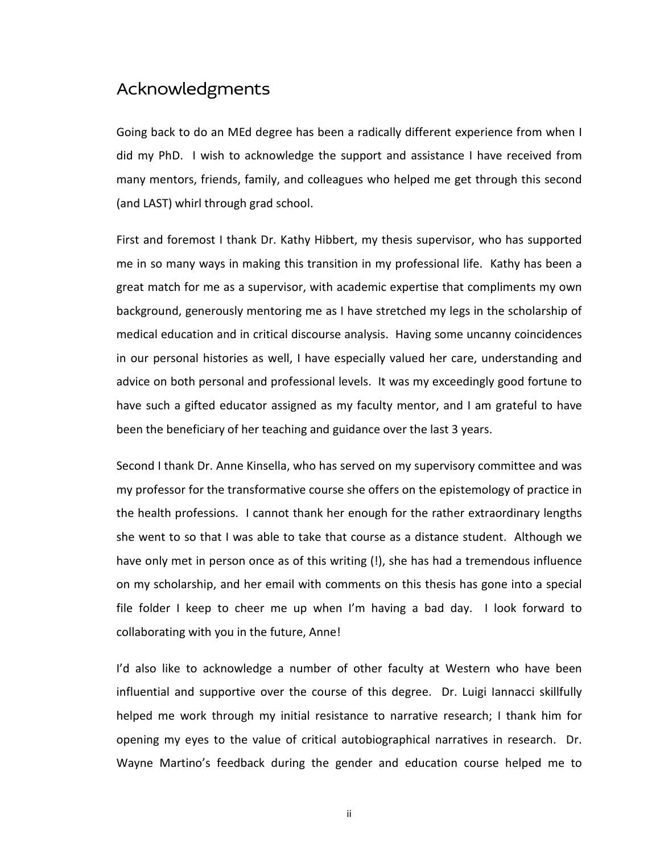## Acknowledgments

Going back to do an MEd degree has been a radically different experience from when I did my PhD. I wish to acknowledge the support and assistance I have received from many mentors, friends, family, and colleagues who helped me get through this second (and LAST) whirl through grad school.

First and foremost I thank Dr. Kathy Hibbert, my thesis supervisor, who has supported me in so many ways in making this transition in my professional life. Kathy has been a great match for me as a supervisor, with academic expertise that compliments my own background, generously mentoring me as I have stretched my legs in the scholarship of medical education and in critical discourse analysis. Having some uncanny coincidences in our personal histories as well, I have especially valued her care, understanding and advice on both personal and professional levels. It was my exceedingly good fortune to have such a gifted educator assigned as my faculty mentor, and I am grateful to have been the beneficiary of her teaching and guidance over the last 3 years.

Second I thank Dr. Anne Kinsella, who has served on my supervisory committee and was my professor for the transformative course she offers on the epistemology of practice in the health professions. I cannot thank her enough for the rather extraordinary lengths she went to so that I was able to take that course as a distance student. Although we have only met in person once as of this writing (!), she has had a tremendous influence on my scholarship, and her email with comments on this thesis has gone into a special file folder I keep to cheer me up when I'm having a bad day. I look forward to collaborating with you in the future, Anne!

I'd also like to acknowledge a number of other faculty at Western who have been influential and supportive over the course of this degree. Dr. Luigi Iannacci skillfully helped me work through my initial resistance to narrative research; I thank him for opening my eyes to the value of critical autobiographical narratives in research. Dr. Wayne Martino's feedback during the gender and education course helped me to

ii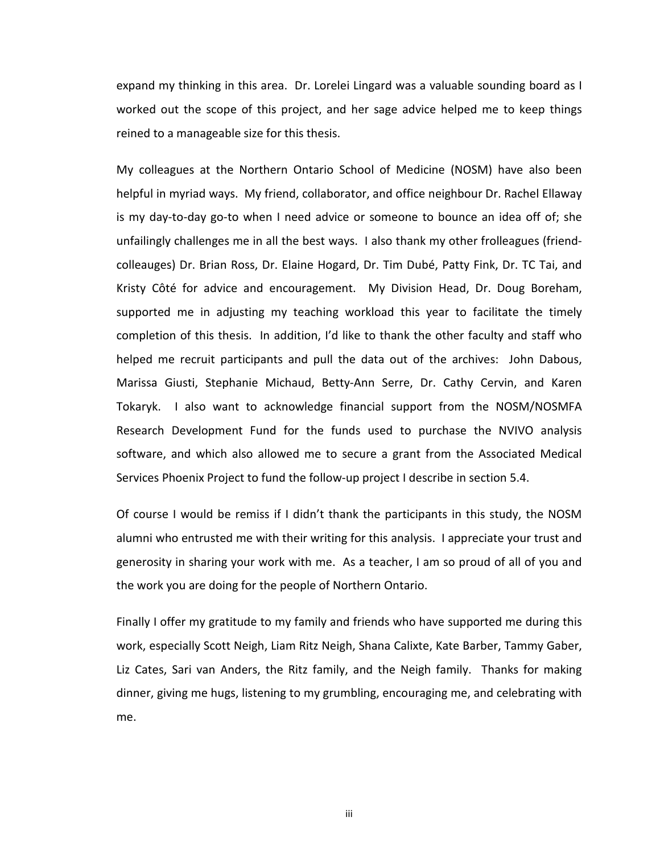expand my thinking in this area. Dr. Lorelei Lingard was a valuable sounding board as I worked out the scope of this project, and her sage advice helped me to keep things reined to a manageable size for this thesis.

My colleagues at the Northern Ontario School of Medicine (NOSM) have also been helpful in myriad ways. My friend, collaborator, and office neighbour Dr. Rachel Ellaway is my day-to-day go-to when I need advice or someone to bounce an idea off of; she unfailingly challenges me in all the best ways. I also thank my other frolleagues (friendcolleauges) Dr. Brian Ross, Dr. Elaine Hogard, Dr. Tim Dubé, Patty Fink, Dr. TC Tai, and Kristy Côté for advice and encouragement. My Division Head, Dr. Doug Boreham, supported me in adjusting my teaching workload this year to facilitate the timely completion of this thesis. In addition, I'd like to thank the other faculty and staff who helped me recruit participants and pull the data out of the archives: John Dabous, Marissa Giusti, Stephanie Michaud, Betty-Ann Serre, Dr. Cathy Cervin, and Karen Tokaryk. I also want to acknowledge financial support from the NOSM/NOSMFA Research Development Fund for the funds used to purchase the NVIVO analysis software, and which also allowed me to secure a grant from the Associated Medical Services Phoenix Project to fund the follow-up project I describe in section 5.4.

Of course I would be remiss if I didn't thank the participants in this study, the NOSM alumni who entrusted me with their writing for this analysis. I appreciate your trust and generosity in sharing your work with me. As a teacher, I am so proud of all of you and the work you are doing for the people of Northern Ontario.

Finally I offer my gratitude to my family and friends who have supported me during this work, especially Scott Neigh, Liam Ritz Neigh, Shana Calixte, Kate Barber, Tammy Gaber, Liz Cates, Sari van Anders, the Ritz family, and the Neigh family. Thanks for making dinner, giving me hugs, listening to my grumbling, encouraging me, and celebrating with me.

iii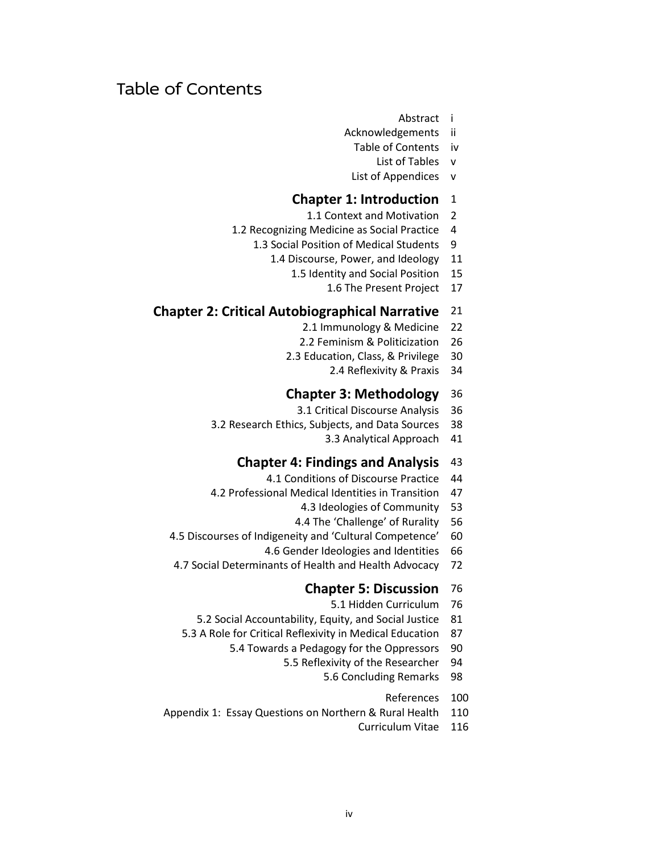## Table of Contents

- Abstract i
- Acknowledgements ii
	- Table of Contents iv
		- List of Tables v
	- List of Appendices v

### **Chapter 1: Introduction** 1

- 1.1 Context and Motivation 2
- 1.2 Recognizing Medicine as Social Practice 4
	- 1.3 Social Position of Medical Students 9
		- 1.4 Discourse, Power, and Ideology 11
			- 1.5 Identity and Social Position 15
				- 1.6 The Present Project 17

### **Chapter 2: Critical Autobiographical Narrative** 21

- 2.1 Immunology & Medicine 22
- 2.2 Feminism & Politicization 26
- 2.3 Education, Class, & Privilege 30
	- 2.4 Reflexivity & Praxis 34

### **Chapter 3: Methodology** 36

- 3.1 Critical Discourse Analysis 36
- 3.2 Research Ethics, Subjects, and Data Sources 38
	- 3.3 Analytical Approach 41

### **Chapter 4: Findings and Analysis** 43

- 4.1 Conditions of Discourse Practice 44
- 4.2 Professional Medical Identities in Transition 47
	- 4.3 Ideologies of Community 53
	- 4.4 The 'Challenge' of Rurality 56
- 4.5 Discourses of Indigeneity and 'Cultural Competence' 60
	- 4.6 Gender Ideologies and Identities 66
- 4.7 Social Determinants of Health and Health Advocacy 72

### **Chapter 5: Discussion** 76

- 5.1 Hidden Curriculum 76
- 5.2 Social Accountability, Equity, and Social Justice 81
- 5.3 A Role for Critical Reflexivity in Medical Education 87
	- 5.4 Towards a Pedagogy for the Oppressors 90
		- 5.5 Reflexivity of the Researcher 94
			- 5.6 Concluding Remarks 98
				- References 100
- Appendix 1: Essay Questions on Northern & Rural Health 110
	- Curriculum Vitae 116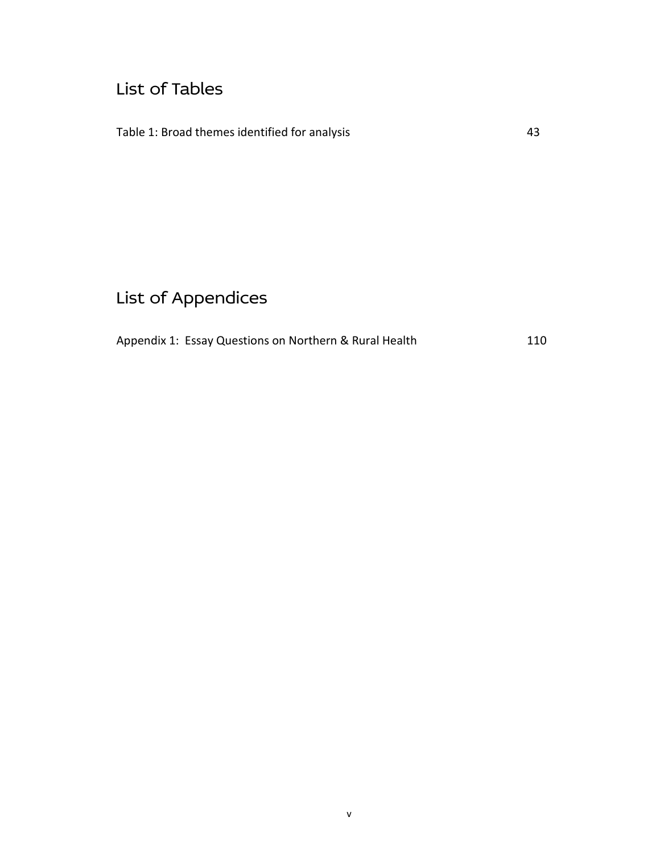## List of Tables

Table 1: Broad themes identified for analysis 43

# List of Appendices

|  | Appendix 1: Essay Questions on Northern & Rural Health | 110 |
|--|--------------------------------------------------------|-----|
|--|--------------------------------------------------------|-----|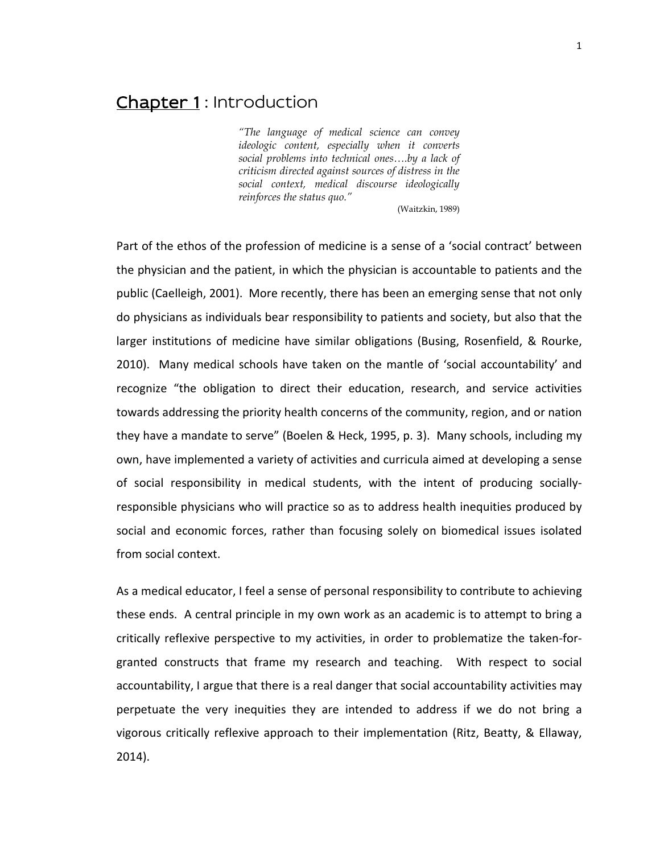## Chapter 1: Introduction

*"The language of medical science can convey ideologic content, especially when it converts social problems into technical ones….by a lack of criticism directed against sources of distress in the social context, medical discourse ideologically reinforces the status quo."*

(Waitzkin, 1989)

Part of the ethos of the profession of medicine is a sense of a 'social contract' between the physician and the patient, in which the physician is accountable to patients and the public (Caelleigh, 2001). More recently, there has been an emerging sense that not only do physicians as individuals bear responsibility to patients and society, but also that the larger institutions of medicine have similar obligations (Busing, Rosenfield, & Rourke, 2010). Many medical schools have taken on the mantle of 'social accountability' and recognize "the obligation to direct their education, research, and service activities towards addressing the priority health concerns of the community, region, and or nation they have a mandate to serve" (Boelen & Heck, 1995, p. 3). Many schools, including my own, have implemented a variety of activities and curricula aimed at developing a sense of social responsibility in medical students, with the intent of producing sociallyresponsible physicians who will practice so as to address health inequities produced by social and economic forces, rather than focusing solely on biomedical issues isolated from social context.

As a medical educator, I feel a sense of personal responsibility to contribute to achieving these ends. A central principle in my own work as an academic is to attempt to bring a critically reflexive perspective to my activities, in order to problematize the taken-forgranted constructs that frame my research and teaching. With respect to social accountability, I argue that there is a real danger that social accountability activities may perpetuate the very inequities they are intended to address if we do not bring a vigorous critically reflexive approach to their implementation (Ritz, Beatty, & Ellaway, 2014).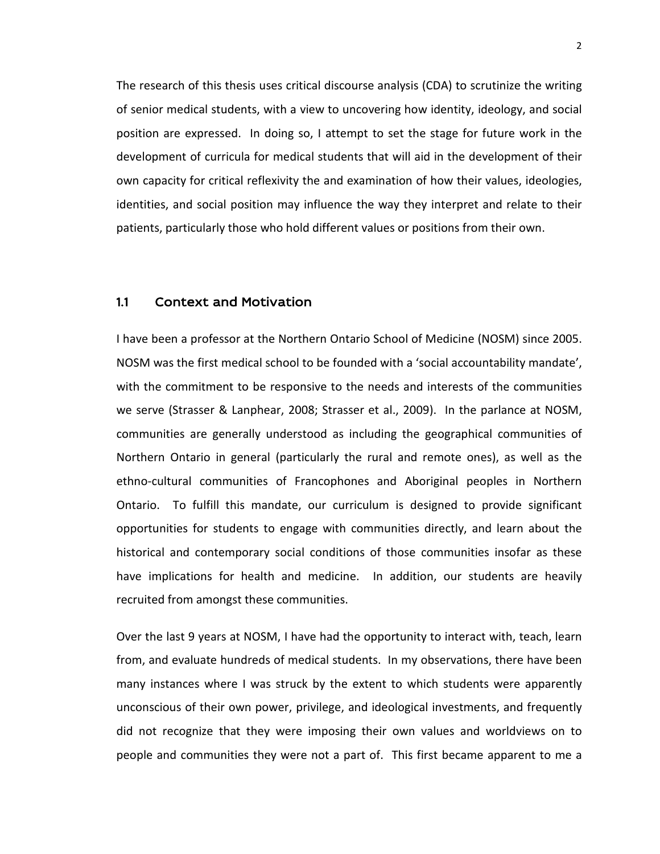The research of this thesis uses critical discourse analysis (CDA) to scrutinize the writing of senior medical students, with a view to uncovering how identity, ideology, and social position are expressed. In doing so, I attempt to set the stage for future work in the development of curricula for medical students that will aid in the development of their own capacity for critical reflexivity the and examination of how their values, ideologies, identities, and social position may influence the way they interpret and relate to their patients, particularly those who hold different values or positions from their own.

### 1.1 Context and Motivation

I have been a professor at the Northern Ontario School of Medicine (NOSM) since 2005. NOSM was the first medical school to be founded with a 'social accountability mandate', with the commitment to be responsive to the needs and interests of the communities we serve (Strasser & Lanphear, 2008; Strasser et al., 2009). In the parlance at NOSM, communities are generally understood as including the geographical communities of Northern Ontario in general (particularly the rural and remote ones), as well as the ethno-cultural communities of Francophones and Aboriginal peoples in Northern Ontario. To fulfill this mandate, our curriculum is designed to provide significant opportunities for students to engage with communities directly, and learn about the historical and contemporary social conditions of those communities insofar as these have implications for health and medicine. In addition, our students are heavily recruited from amongst these communities.

Over the last 9 years at NOSM, I have had the opportunity to interact with, teach, learn from, and evaluate hundreds of medical students. In my observations, there have been many instances where I was struck by the extent to which students were apparently unconscious of their own power, privilege, and ideological investments, and frequently did not recognize that they were imposing their own values and worldviews on to people and communities they were not a part of. This first became apparent to me a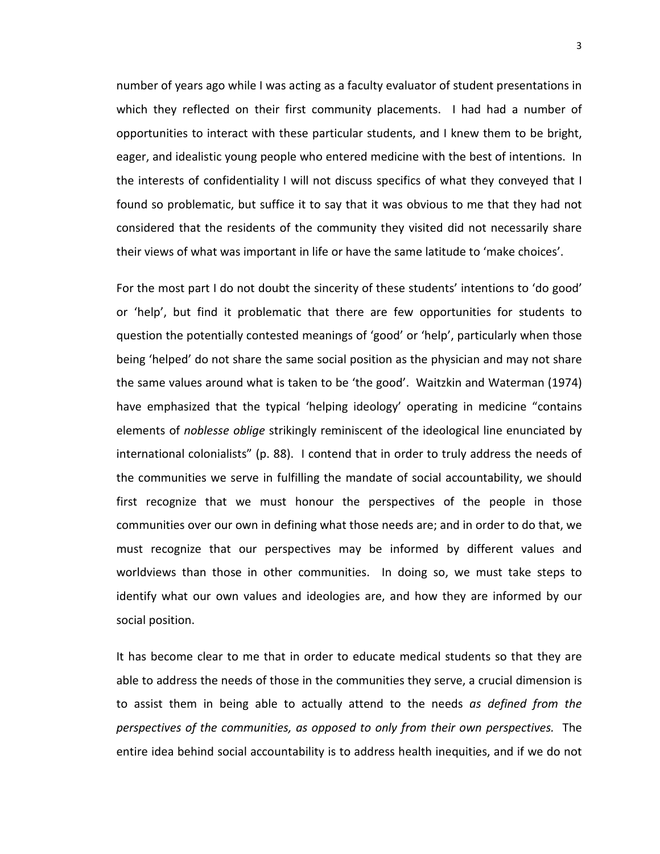number of years ago while I was acting as a faculty evaluator of student presentations in which they reflected on their first community placements. I had had a number of opportunities to interact with these particular students, and I knew them to be bright, eager, and idealistic young people who entered medicine with the best of intentions. In the interests of confidentiality I will not discuss specifics of what they conveyed that I found so problematic, but suffice it to say that it was obvious to me that they had not considered that the residents of the community they visited did not necessarily share their views of what was important in life or have the same latitude to 'make choices'.

For the most part I do not doubt the sincerity of these students' intentions to 'do good' or 'help', but find it problematic that there are few opportunities for students to question the potentially contested meanings of 'good' or 'help', particularly when those being 'helped' do not share the same social position as the physician and may not share the same values around what is taken to be 'the good'. Waitzkin and Waterman (1974) have emphasized that the typical 'helping ideology' operating in medicine "contains elements of *noblesse oblige* strikingly reminiscent of the ideological line enunciated by international colonialists" (p. 88). I contend that in order to truly address the needs of the communities we serve in fulfilling the mandate of social accountability, we should first recognize that we must honour the perspectives of the people in those communities over our own in defining what those needs are; and in order to do that, we must recognize that our perspectives may be informed by different values and worldviews than those in other communities. In doing so, we must take steps to identify what our own values and ideologies are, and how they are informed by our social position.

It has become clear to me that in order to educate medical students so that they are able to address the needs of those in the communities they serve, a crucial dimension is to assist them in being able to actually attend to the needs *as defined from the perspectives of the communities, as opposed to only from their own perspectives.* The entire idea behind social accountability is to address health inequities, and if we do not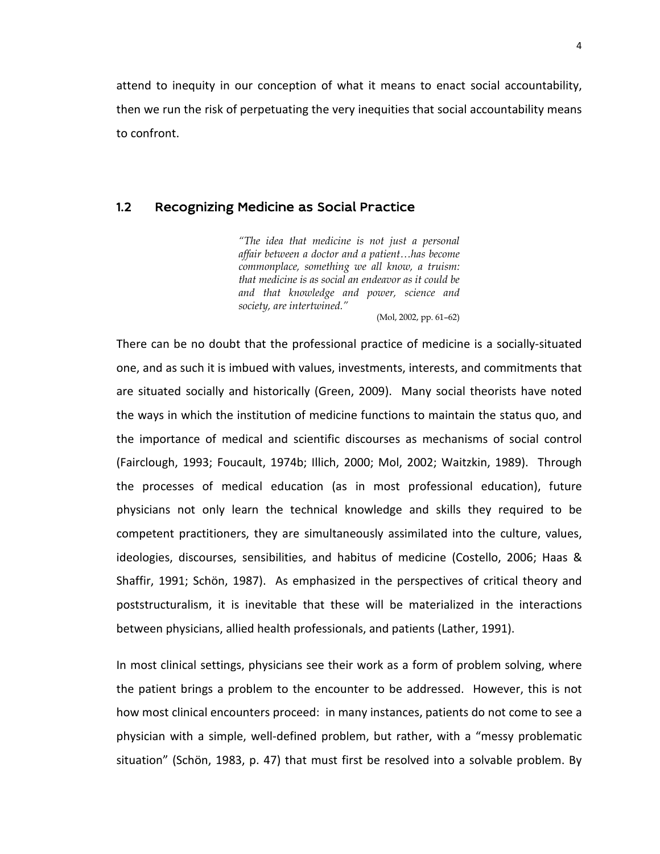attend to inequity in our conception of what it means to enact social accountability, then we run the risk of perpetuating the very inequities that social accountability means to confront.

### 1.2 Recognizing Medicine as Social Practice

*"The idea that medicine is not just a personal affair between a doctor and a patient…has become commonplace, something we all know, a truism: that medicine is as social an endeavor as it could be and that knowledge and power, science and society, are intertwined."*

(Mol, 2002, pp. 61–62)

There can be no doubt that the professional practice of medicine is a socially-situated one, and as such it is imbued with values, investments, interests, and commitments that are situated socially and historically (Green, 2009). Many social theorists have noted the ways in which the institution of medicine functions to maintain the status quo, and the importance of medical and scientific discourses as mechanisms of social control (Fairclough, 1993; Foucault, 1974b; Illich, 2000; Mol, 2002; Waitzkin, 1989). Through the processes of medical education (as in most professional education), future physicians not only learn the technical knowledge and skills they required to be competent practitioners, they are simultaneously assimilated into the culture, values, ideologies, discourses, sensibilities, and habitus of medicine (Costello, 2006; Haas & Shaffir, 1991; Schön, 1987). As emphasized in the perspectives of critical theory and poststructuralism, it is inevitable that these will be materialized in the interactions between physicians, allied health professionals, and patients (Lather, 1991).

In most clinical settings, physicians see their work as a form of problem solving, where the patient brings a problem to the encounter to be addressed. However, this is not how most clinical encounters proceed: in many instances, patients do not come to see a physician with a simple, well-defined problem, but rather, with a "messy problematic situation" (Schön, 1983, p. 47) that must first be resolved into a solvable problem. By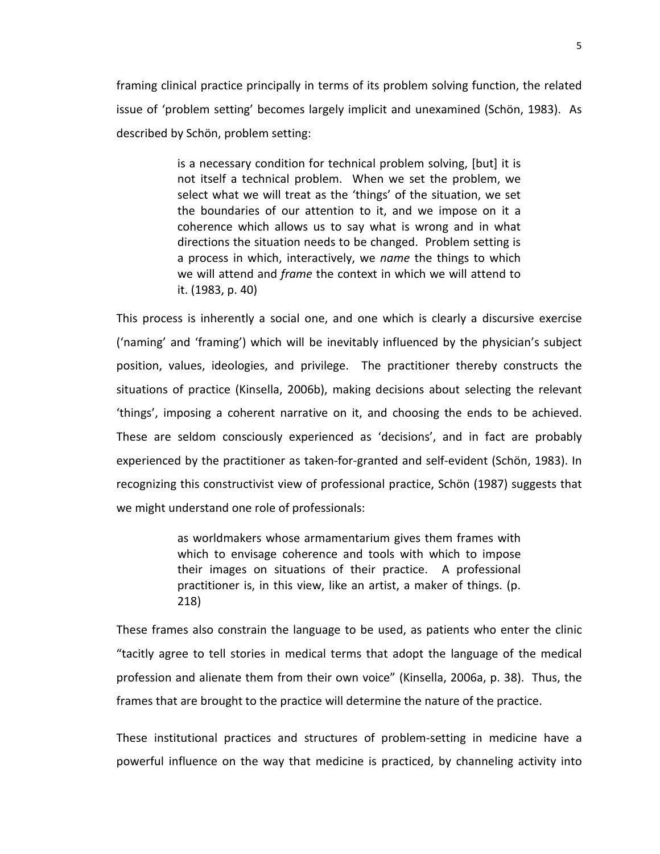framing clinical practice principally in terms of its problem solving function, the related issue of 'problem setting' becomes largely implicit and unexamined (Schön, 1983). As described by Schön, problem setting:

> is a necessary condition for technical problem solving, [but] it is not itself a technical problem. When we set the problem, we select what we will treat as the 'things' of the situation, we set the boundaries of our attention to it, and we impose on it a coherence which allows us to say what is wrong and in what directions the situation needs to be changed. Problem setting is a process in which, interactively, we *name* the things to which we will attend and *frame* the context in which we will attend to it. (1983, p. 40)

This process is inherently a social one, and one which is clearly a discursive exercise ('naming' and 'framing') which will be inevitably influenced by the physician's subject position, values, ideologies, and privilege. The practitioner thereby constructs the situations of practice (Kinsella, 2006b), making decisions about selecting the relevant 'things', imposing a coherent narrative on it, and choosing the ends to be achieved. These are seldom consciously experienced as 'decisions', and in fact are probably experienced by the practitioner as taken-for-granted and self-evident (Schön, 1983). In recognizing this constructivist view of professional practice, Schön (1987) suggests that we might understand one role of professionals:

> as worldmakers whose armamentarium gives them frames with which to envisage coherence and tools with which to impose their images on situations of their practice. A professional practitioner is, in this view, like an artist, a maker of things. (p. 218)

These frames also constrain the language to be used, as patients who enter the clinic "tacitly agree to tell stories in medical terms that adopt the language of the medical profession and alienate them from their own voice" (Kinsella, 2006a, p. 38). Thus, the frames that are brought to the practice will determine the nature of the practice.

These institutional practices and structures of problem-setting in medicine have a powerful influence on the way that medicine is practiced, by channeling activity into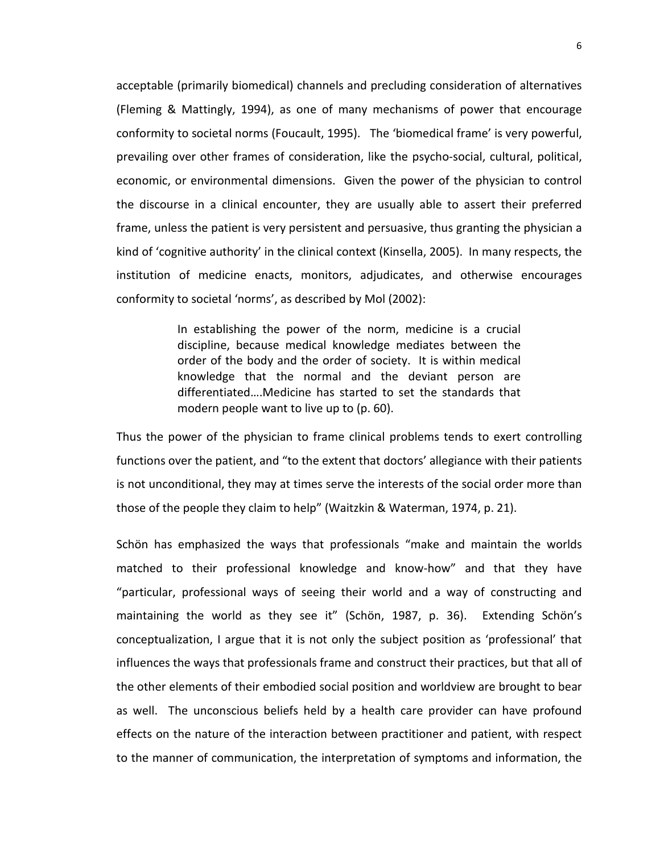acceptable (primarily biomedical) channels and precluding consideration of alternatives (Fleming & Mattingly, 1994), as one of many mechanisms of power that encourage conformity to societal norms (Foucault, 1995). The 'biomedical frame' is very powerful, prevailing over other frames of consideration, like the psycho-social, cultural, political, economic, or environmental dimensions. Given the power of the physician to control the discourse in a clinical encounter, they are usually able to assert their preferred frame, unless the patient is very persistent and persuasive, thus granting the physician a kind of 'cognitive authority' in the clinical context (Kinsella, 2005). In many respects, the institution of medicine enacts, monitors, adjudicates, and otherwise encourages conformity to societal 'norms', as described by Mol (2002):

> In establishing the power of the norm, medicine is a crucial discipline, because medical knowledge mediates between the order of the body and the order of society. It is within medical knowledge that the normal and the deviant person are differentiated….Medicine has started to set the standards that modern people want to live up to (p. 60).

Thus the power of the physician to frame clinical problems tends to exert controlling functions over the patient, and "to the extent that doctors' allegiance with their patients is not unconditional, they may at times serve the interests of the social order more than those of the people they claim to help" (Waitzkin & Waterman, 1974, p. 21).

Schön has emphasized the ways that professionals "make and maintain the worlds matched to their professional knowledge and know-how" and that they have "particular, professional ways of seeing their world and a way of constructing and maintaining the world as they see it" (Schön, 1987, p. 36). Extending Schön's conceptualization, I argue that it is not only the subject position as 'professional' that influences the ways that professionals frame and construct their practices, but that all of the other elements of their embodied social position and worldview are brought to bear as well. The unconscious beliefs held by a health care provider can have profound effects on the nature of the interaction between practitioner and patient, with respect to the manner of communication, the interpretation of symptoms and information, the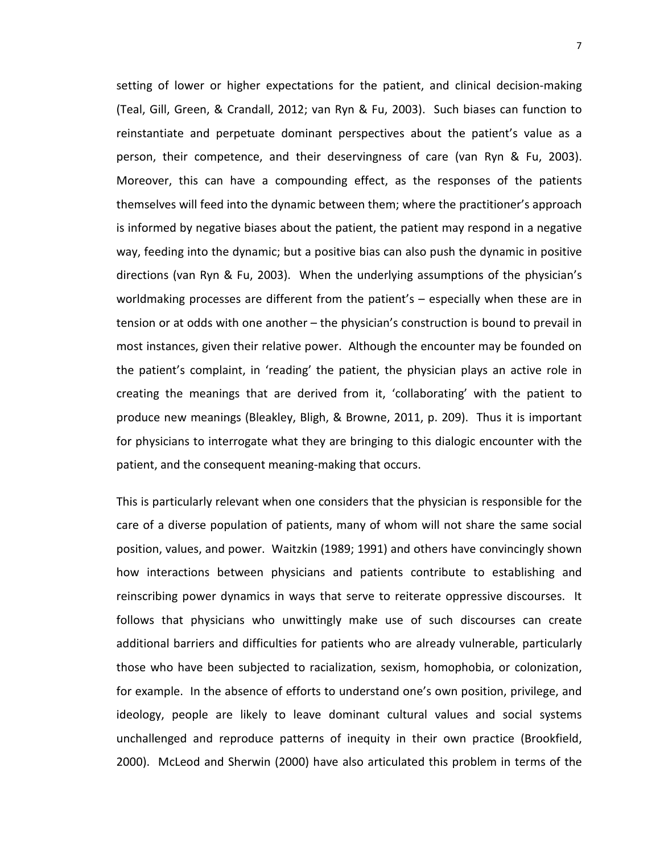setting of lower or higher expectations for the patient, and clinical decision-making (Teal, Gill, Green, & Crandall, 2012; van Ryn & Fu, 2003). Such biases can function to reinstantiate and perpetuate dominant perspectives about the patient's value as a person, their competence, and their deservingness of care (van Ryn & Fu, 2003). Moreover, this can have a compounding effect, as the responses of the patients themselves will feed into the dynamic between them; where the practitioner's approach is informed by negative biases about the patient, the patient may respond in a negative way, feeding into the dynamic; but a positive bias can also push the dynamic in positive directions (van Ryn & Fu, 2003). When the underlying assumptions of the physician's worldmaking processes are different from the patient's – especially when these are in tension or at odds with one another – the physician's construction is bound to prevail in most instances, given their relative power. Although the encounter may be founded on the patient's complaint, in 'reading' the patient, the physician plays an active role in creating the meanings that are derived from it, 'collaborating' with the patient to produce new meanings (Bleakley, Bligh, & Browne, 2011, p. 209). Thus it is important for physicians to interrogate what they are bringing to this dialogic encounter with the patient, and the consequent meaning-making that occurs.

This is particularly relevant when one considers that the physician is responsible for the care of a diverse population of patients, many of whom will not share the same social position, values, and power. Waitzkin (1989; 1991) and others have convincingly shown how interactions between physicians and patients contribute to establishing and reinscribing power dynamics in ways that serve to reiterate oppressive discourses. It follows that physicians who unwittingly make use of such discourses can create additional barriers and difficulties for patients who are already vulnerable, particularly those who have been subjected to racialization, sexism, homophobia, or colonization, for example. In the absence of efforts to understand one's own position, privilege, and ideology, people are likely to leave dominant cultural values and social systems unchallenged and reproduce patterns of inequity in their own practice (Brookfield, 2000). McLeod and Sherwin (2000) have also articulated this problem in terms of the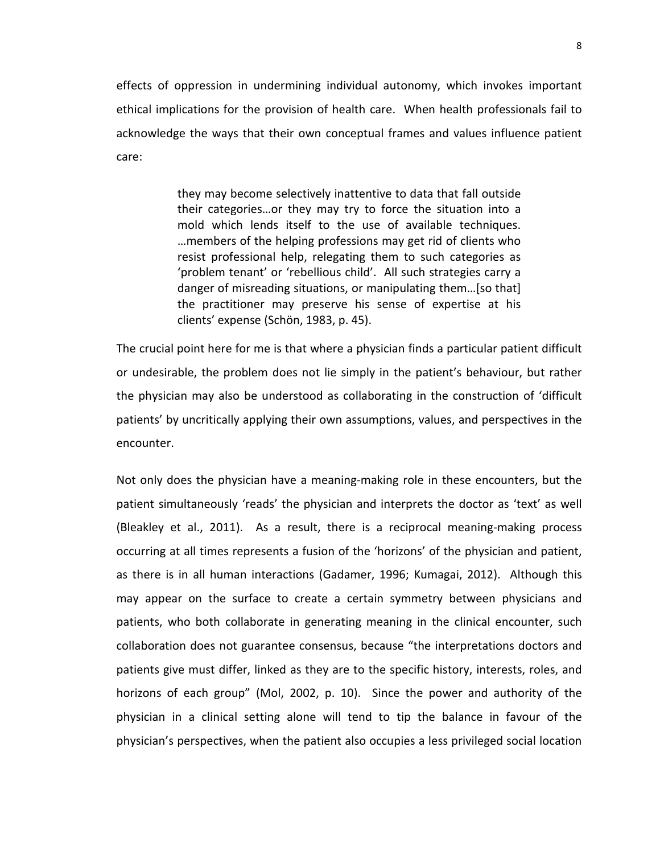effects of oppression in undermining individual autonomy, which invokes important ethical implications for the provision of health care. When health professionals fail to acknowledge the ways that their own conceptual frames and values influence patient care:

> they may become selectively inattentive to data that fall outside their categories…or they may try to force the situation into a mold which lends itself to the use of available techniques. …members of the helping professions may get rid of clients who resist professional help, relegating them to such categories as 'problem tenant' or 'rebellious child'. All such strategies carry a danger of misreading situations, or manipulating them…[so that] the practitioner may preserve his sense of expertise at his clients' expense (Schön, 1983, p. 45).

The crucial point here for me is that where a physician finds a particular patient difficult or undesirable, the problem does not lie simply in the patient's behaviour, but rather the physician may also be understood as collaborating in the construction of 'difficult patients' by uncritically applying their own assumptions, values, and perspectives in the encounter.

Not only does the physician have a meaning-making role in these encounters, but the patient simultaneously 'reads' the physician and interprets the doctor as 'text' as well (Bleakley et al., 2011). As a result, there is a reciprocal meaning-making process occurring at all times represents a fusion of the 'horizons' of the physician and patient, as there is in all human interactions (Gadamer, 1996; Kumagai, 2012). Although this may appear on the surface to create a certain symmetry between physicians and patients, who both collaborate in generating meaning in the clinical encounter, such collaboration does not guarantee consensus, because "the interpretations doctors and patients give must differ, linked as they are to the specific history, interests, roles, and horizons of each group" (Mol, 2002, p. 10). Since the power and authority of the physician in a clinical setting alone will tend to tip the balance in favour of the physician's perspectives, when the patient also occupies a less privileged social location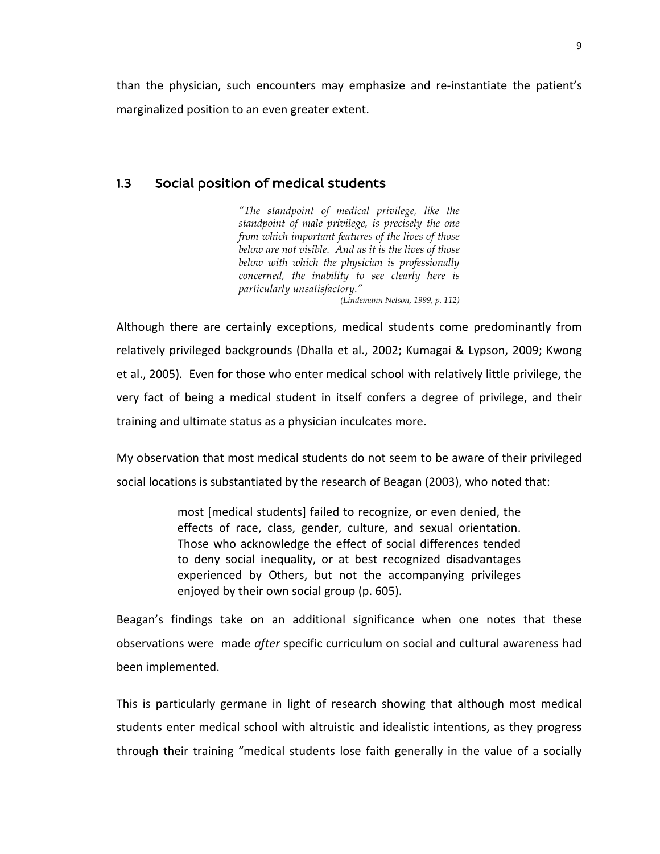than the physician, such encounters may emphasize and re-instantiate the patient's marginalized position to an even greater extent.

### 1.3 Social position of medical students

*"The standpoint of medical privilege, like the standpoint of male privilege, is precisely the one from which important features of the lives of those below are not visible. And as it is the lives of those below with which the physician is professionally concerned, the inability to see clearly here is particularly unsatisfactory."* 

*(Lindemann Nelson, 1999, p. 112)*

Although there are certainly exceptions, medical students come predominantly from relatively privileged backgrounds (Dhalla et al., 2002; Kumagai & Lypson, 2009; Kwong et al., 2005). Even for those who enter medical school with relatively little privilege, the very fact of being a medical student in itself confers a degree of privilege, and their training and ultimate status as a physician inculcates more.

My observation that most medical students do not seem to be aware of their privileged social locations is substantiated by the research of Beagan (2003), who noted that:

> most [medical students] failed to recognize, or even denied, the effects of race, class, gender, culture, and sexual orientation. Those who acknowledge the effect of social differences tended to deny social inequality, or at best recognized disadvantages experienced by Others, but not the accompanying privileges enjoyed by their own social group (p. 605).

Beagan's findings take on an additional significance when one notes that these observations were made *after* specific curriculum on social and cultural awareness had been implemented.

This is particularly germane in light of research showing that although most medical students enter medical school with altruistic and idealistic intentions, as they progress through their training "medical students lose faith generally in the value of a socially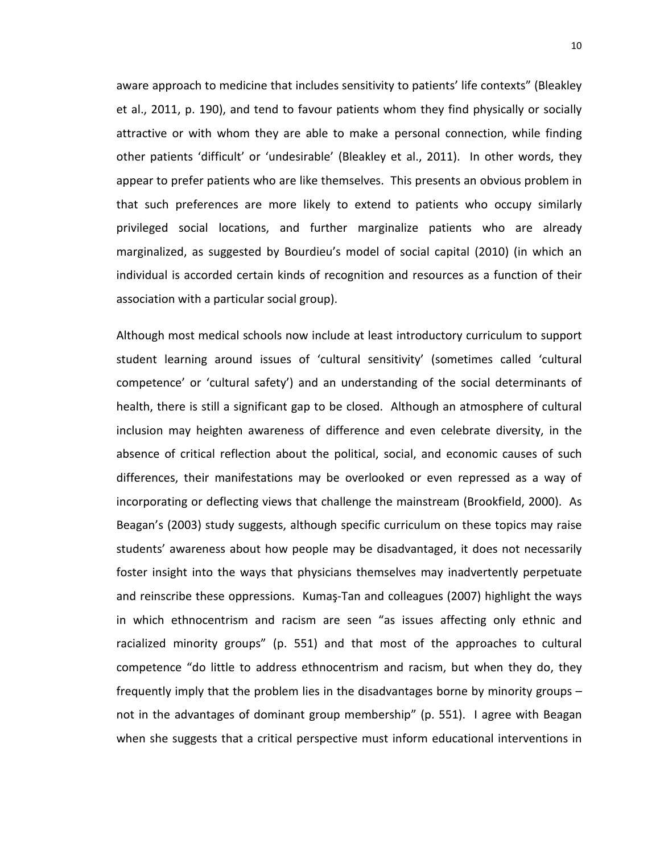aware approach to medicine that includes sensitivity to patients' life contexts" (Bleakley et al., 2011, p. 190), and tend to favour patients whom they find physically or socially attractive or with whom they are able to make a personal connection, while finding other patients 'difficult' or 'undesirable' (Bleakley et al., 2011). In other words, they appear to prefer patients who are like themselves. This presents an obvious problem in that such preferences are more likely to extend to patients who occupy similarly privileged social locations, and further marginalize patients who are already marginalized, as suggested by Bourdieu's model of social capital (2010) (in which an individual is accorded certain kinds of recognition and resources as a function of their association with a particular social group).

Although most medical schools now include at least introductory curriculum to support student learning around issues of 'cultural sensitivity' (sometimes called 'cultural competence' or 'cultural safety') and an understanding of the social determinants of health, there is still a significant gap to be closed. Although an atmosphere of cultural inclusion may heighten awareness of difference and even celebrate diversity, in the absence of critical reflection about the political, social, and economic causes of such differences, their manifestations may be overlooked or even repressed as a way of incorporating or deflecting views that challenge the mainstream (Brookfield, 2000). As Beagan's (2003) study suggests, although specific curriculum on these topics may raise students' awareness about how people may be disadvantaged, it does not necessarily foster insight into the ways that physicians themselves may inadvertently perpetuate and reinscribe these oppressions. Kumaş-Tan and colleagues (2007) highlight the ways in which ethnocentrism and racism are seen "as issues affecting only ethnic and racialized minority groups" (p. 551) and that most of the approaches to cultural competence "do little to address ethnocentrism and racism, but when they do, they frequently imply that the problem lies in the disadvantages borne by minority groups – not in the advantages of dominant group membership" (p. 551). I agree with Beagan when she suggests that a critical perspective must inform educational interventions in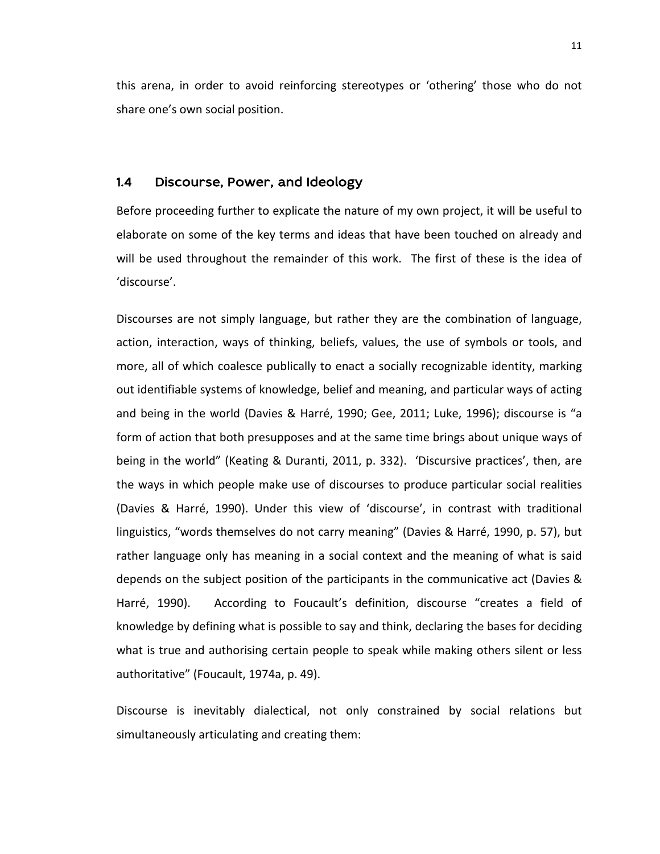this arena, in order to avoid reinforcing stereotypes or 'othering' those who do not share one's own social position.

#### 1.4 Discourse, Power, and Ideology

Before proceeding further to explicate the nature of my own project, it will be useful to elaborate on some of the key terms and ideas that have been touched on already and will be used throughout the remainder of this work. The first of these is the idea of 'discourse'.

Discourses are not simply language, but rather they are the combination of language, action, interaction, ways of thinking, beliefs, values, the use of symbols or tools, and more, all of which coalesce publically to enact a socially recognizable identity, marking out identifiable systems of knowledge, belief and meaning, and particular ways of acting and being in the world (Davies & Harré, 1990; Gee, 2011; Luke, 1996); discourse is "a form of action that both presupposes and at the same time brings about unique ways of being in the world" (Keating & Duranti, 2011, p. 332). 'Discursive practices', then, are the ways in which people make use of discourses to produce particular social realities (Davies & Harré, 1990). Under this view of 'discourse', in contrast with traditional linguistics, "words themselves do not carry meaning" (Davies & Harré, 1990, p. 57), but rather language only has meaning in a social context and the meaning of what is said depends on the subject position of the participants in the communicative act (Davies & Harré, 1990). According to Foucault's definition, discourse "creates a field of knowledge by defining what is possible to say and think, declaring the bases for deciding what is true and authorising certain people to speak while making others silent or less authoritative" (Foucault, 1974a, p. 49).

Discourse is inevitably dialectical, not only constrained by social relations but simultaneously articulating and creating them: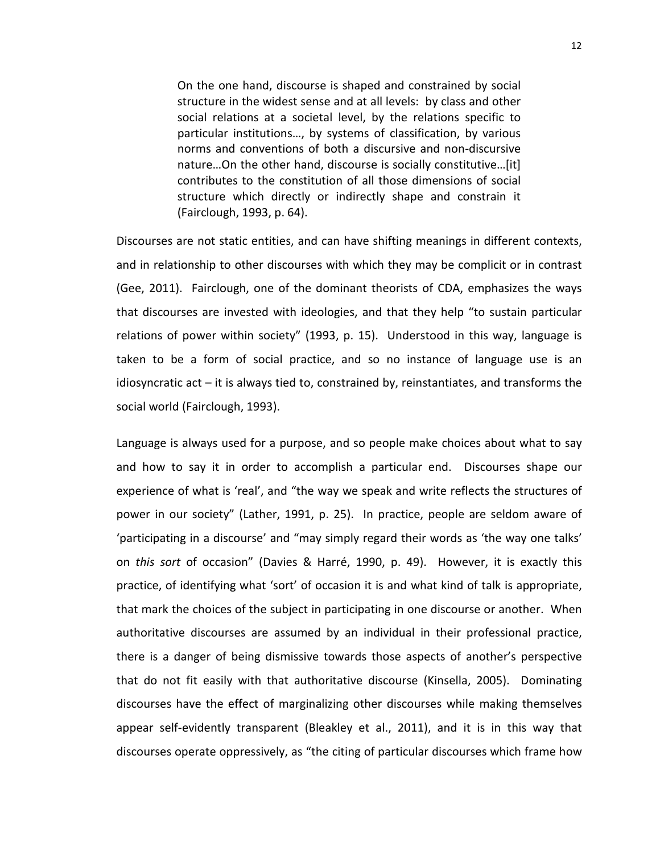On the one hand, discourse is shaped and constrained by social structure in the widest sense and at all levels: by class and other social relations at a societal level, by the relations specific to particular institutions…, by systems of classification, by various norms and conventions of both a discursive and non-discursive nature…On the other hand, discourse is socially constitutive…[it] contributes to the constitution of all those dimensions of social structure which directly or indirectly shape and constrain it (Fairclough, 1993, p. 64).

Discourses are not static entities, and can have shifting meanings in different contexts, and in relationship to other discourses with which they may be complicit or in contrast (Gee, 2011). Fairclough, one of the dominant theorists of CDA, emphasizes the ways that discourses are invested with ideologies, and that they help "to sustain particular relations of power within society" (1993, p. 15). Understood in this way, language is taken to be a form of social practice, and so no instance of language use is an idiosyncratic act – it is always tied to, constrained by, reinstantiates, and transforms the social world (Fairclough, 1993).

Language is always used for a purpose, and so people make choices about what to say and how to say it in order to accomplish a particular end. Discourses shape our experience of what is 'real', and "the way we speak and write reflects the structures of power in our society" (Lather, 1991, p. 25). In practice, people are seldom aware of 'participating in a discourse' and "may simply regard their words as 'the way one talks' on *this sort* of occasion" (Davies & Harré, 1990, p. 49). However, it is exactly this practice, of identifying what 'sort' of occasion it is and what kind of talk is appropriate, that mark the choices of the subject in participating in one discourse or another. When authoritative discourses are assumed by an individual in their professional practice, there is a danger of being dismissive towards those aspects of another's perspective that do not fit easily with that authoritative discourse (Kinsella, 2005). Dominating discourses have the effect of marginalizing other discourses while making themselves appear self-evidently transparent (Bleakley et al., 2011), and it is in this way that discourses operate oppressively, as "the citing of particular discourses which frame how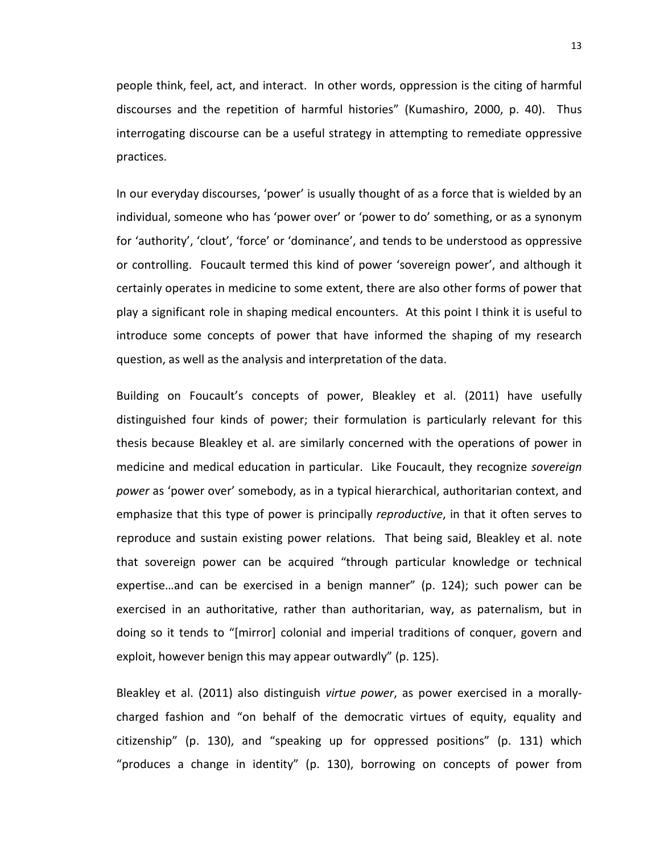people think, feel, act, and interact. In other words, oppression is the citing of harmful discourses and the repetition of harmful histories" (Kumashiro, 2000, p. 40). Thus interrogating discourse can be a useful strategy in attempting to remediate oppressive practices.

In our everyday discourses, 'power' is usually thought of as a force that is wielded by an individual, someone who has 'power over' or 'power to do' something, or as a synonym for 'authority', 'clout', 'force' or 'dominance', and tends to be understood as oppressive or controlling. Foucault termed this kind of power 'sovereign power', and although it certainly operates in medicine to some extent, there are also other forms of power that play a significant role in shaping medical encounters. At this point I think it is useful to introduce some concepts of power that have informed the shaping of my research question, as well as the analysis and interpretation of the data.

Building on Foucault's concepts of power, Bleakley et al. (2011) have usefully distinguished four kinds of power; their formulation is particularly relevant for this thesis because Bleakley et al. are similarly concerned with the operations of power in medicine and medical education in particular. Like Foucault, they recognize *sovereign power* as 'power over' somebody, as in a typical hierarchical, authoritarian context, and emphasize that this type of power is principally *reproductive*, in that it often serves to reproduce and sustain existing power relations. That being said, Bleakley et al. note that sovereign power can be acquired "through particular knowledge or technical expertise…and can be exercised in a benign manner" (p. 124); such power can be exercised in an authoritative, rather than authoritarian, way, as paternalism, but in doing so it tends to "[mirror] colonial and imperial traditions of conquer, govern and exploit, however benign this may appear outwardly" (p. 125).

Bleakley et al. (2011) also distinguish *virtue power*, as power exercised in a morallycharged fashion and "on behalf of the democratic virtues of equity, equality and citizenship" (p. 130), and "speaking up for oppressed positions" (p. 131) which "produces a change in identity" (p. 130), borrowing on concepts of power from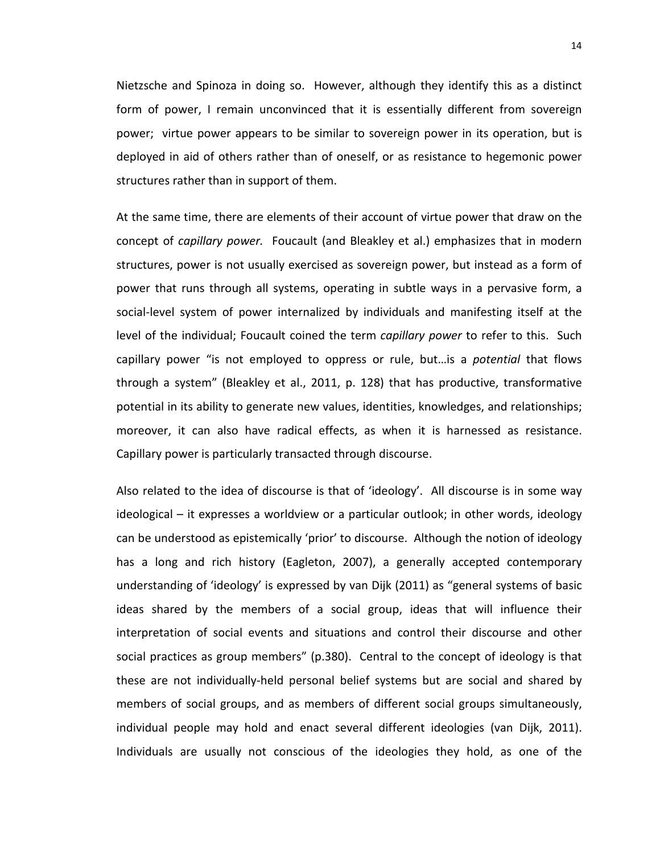Nietzsche and Spinoza in doing so. However, although they identify this as a distinct form of power, I remain unconvinced that it is essentially different from sovereign power; virtue power appears to be similar to sovereign power in its operation, but is deployed in aid of others rather than of oneself, or as resistance to hegemonic power structures rather than in support of them.

At the same time, there are elements of their account of virtue power that draw on the concept of *capillary power.* Foucault (and Bleakley et al.) emphasizes that in modern structures, power is not usually exercised as sovereign power, but instead as a form of power that runs through all systems, operating in subtle ways in a pervasive form, a social-level system of power internalized by individuals and manifesting itself at the level of the individual; Foucault coined the term *capillary power* to refer to this. Such capillary power "is not employed to oppress or rule, but…is a *potential* that flows through a system" (Bleakley et al., 2011, p. 128) that has productive, transformative potential in its ability to generate new values, identities, knowledges, and relationships; moreover, it can also have radical effects, as when it is harnessed as resistance. Capillary power is particularly transacted through discourse.

Also related to the idea of discourse is that of 'ideology'. All discourse is in some way ideological – it expresses a worldview or a particular outlook; in other words, ideology can be understood as epistemically 'prior' to discourse. Although the notion of ideology has a long and rich history (Eagleton, 2007), a generally accepted contemporary understanding of 'ideology' is expressed by van Dijk (2011) as "general systems of basic ideas shared by the members of a social group, ideas that will influence their interpretation of social events and situations and control their discourse and other social practices as group members" (p.380). Central to the concept of ideology is that these are not individually-held personal belief systems but are social and shared by members of social groups, and as members of different social groups simultaneously, individual people may hold and enact several different ideologies (van Dijk, 2011). Individuals are usually not conscious of the ideologies they hold, as one of the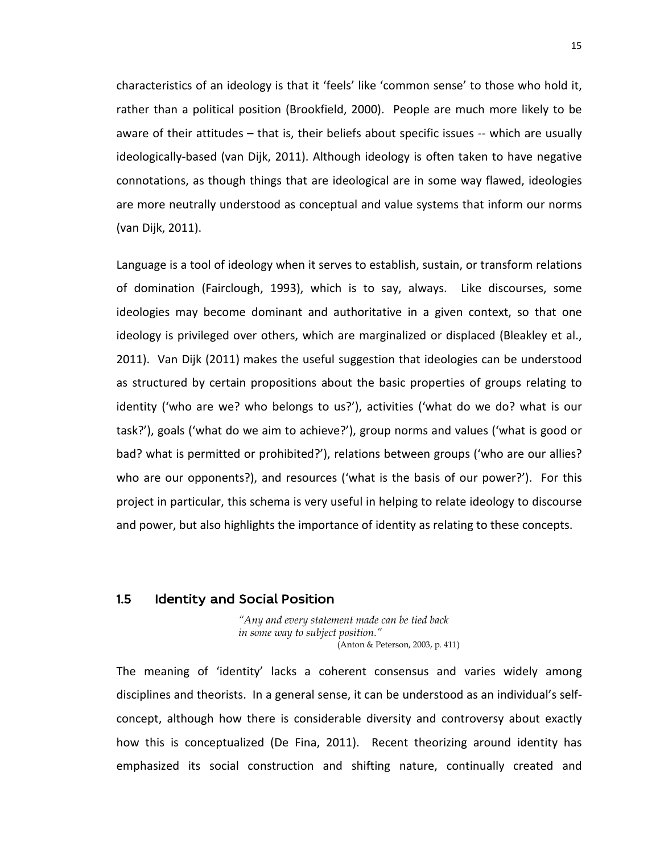characteristics of an ideology is that it 'feels' like 'common sense' to those who hold it, rather than a political position (Brookfield, 2000). People are much more likely to be aware of their attitudes – that is, their beliefs about specific issues -- which are usually ideologically-based (van Dijk, 2011). Although ideology is often taken to have negative connotations, as though things that are ideological are in some way flawed, ideologies are more neutrally understood as conceptual and value systems that inform our norms (van Dijk, 2011).

Language is a tool of ideology when it serves to establish, sustain, or transform relations of domination (Fairclough, 1993), which is to say, always. Like discourses, some ideologies may become dominant and authoritative in a given context, so that one ideology is privileged over others, which are marginalized or displaced (Bleakley et al., 2011). Van Dijk (2011) makes the useful suggestion that ideologies can be understood as structured by certain propositions about the basic properties of groups relating to identity ('who are we? who belongs to us?'), activities ('what do we do? what is our task?'), goals ('what do we aim to achieve?'), group norms and values ('what is good or bad? what is permitted or prohibited?'), relations between groups ('who are our allies? who are our opponents?), and resources ('what is the basis of our power?'). For this project in particular, this schema is very useful in helping to relate ideology to discourse and power, but also highlights the importance of identity as relating to these concepts.

### 1.5 Identity and Social Position

*"Any and every statement made can be tied back in some way to subject position."*  (Anton & Peterson, 2003, p. 411)

The meaning of 'identity' lacks a coherent consensus and varies widely among disciplines and theorists. In a general sense, it can be understood as an individual's selfconcept, although how there is considerable diversity and controversy about exactly how this is conceptualized (De Fina, 2011). Recent theorizing around identity has emphasized its social construction and shifting nature, continually created and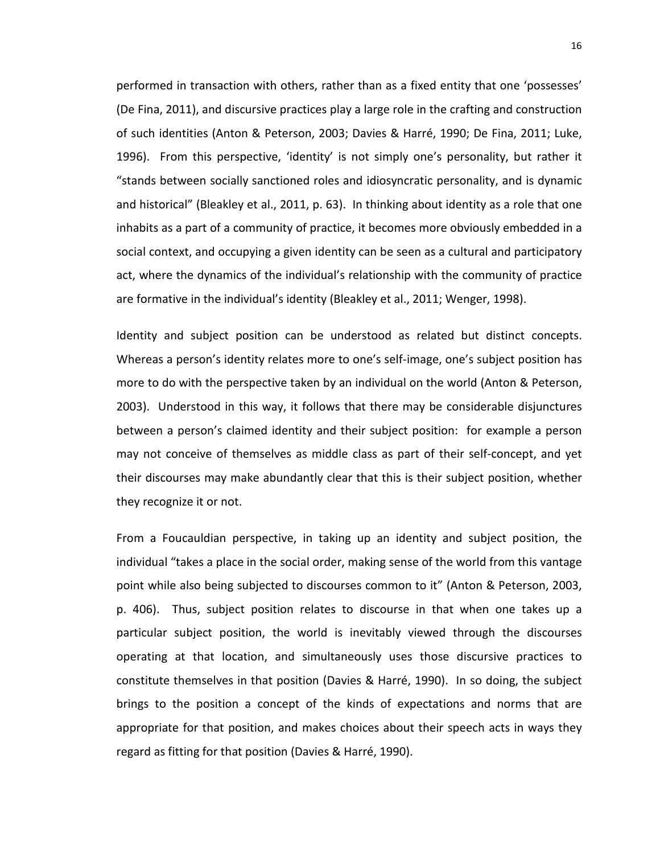performed in transaction with others, rather than as a fixed entity that one 'possesses' (De Fina, 2011), and discursive practices play a large role in the crafting and construction of such identities (Anton & Peterson, 2003; Davies & Harré, 1990; De Fina, 2011; Luke, 1996). From this perspective, 'identity' is not simply one's personality, but rather it "stands between socially sanctioned roles and idiosyncratic personality, and is dynamic and historical" (Bleakley et al., 2011, p. 63). In thinking about identity as a role that one inhabits as a part of a community of practice, it becomes more obviously embedded in a social context, and occupying a given identity can be seen as a cultural and participatory act, where the dynamics of the individual's relationship with the community of practice are formative in the individual's identity (Bleakley et al., 2011; Wenger, 1998).

Identity and subject position can be understood as related but distinct concepts. Whereas a person's identity relates more to one's self-image, one's subject position has more to do with the perspective taken by an individual on the world (Anton & Peterson, 2003). Understood in this way, it follows that there may be considerable disjunctures between a person's claimed identity and their subject position: for example a person may not conceive of themselves as middle class as part of their self-concept, and yet their discourses may make abundantly clear that this is their subject position, whether they recognize it or not.

From a Foucauldian perspective, in taking up an identity and subject position, the individual "takes a place in the social order, making sense of the world from this vantage point while also being subjected to discourses common to it" (Anton & Peterson, 2003, p. 406). Thus, subject position relates to discourse in that when one takes up a particular subject position, the world is inevitably viewed through the discourses operating at that location, and simultaneously uses those discursive practices to constitute themselves in that position (Davies & Harré, 1990). In so doing, the subject brings to the position a concept of the kinds of expectations and norms that are appropriate for that position, and makes choices about their speech acts in ways they regard as fitting for that position (Davies & Harré, 1990).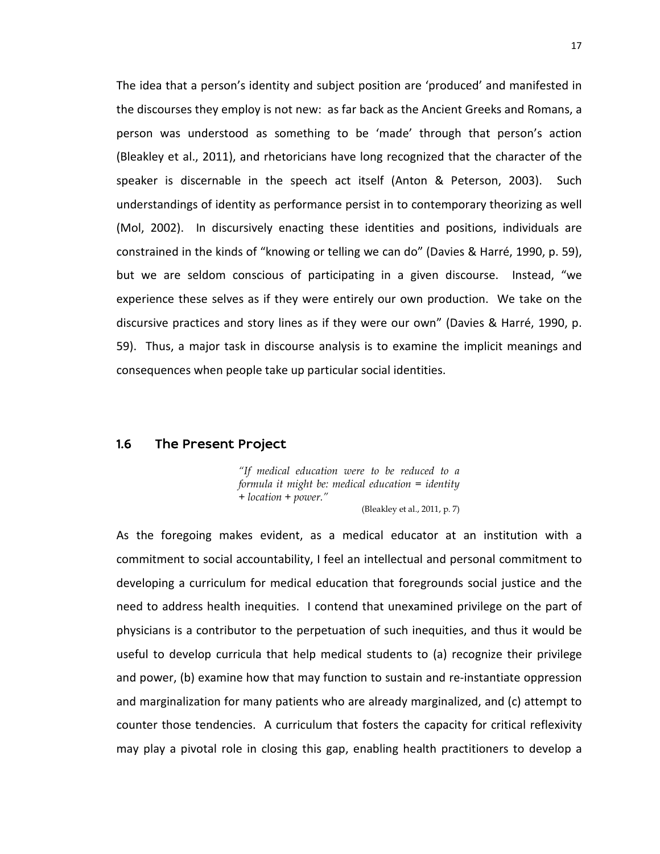The idea that a person's identity and subject position are 'produced' and manifested in the discourses they employ is not new: as far back as the Ancient Greeks and Romans, a person was understood as something to be 'made' through that person's action (Bleakley et al., 2011), and rhetoricians have long recognized that the character of the speaker is discernable in the speech act itself (Anton & Peterson, 2003). Such understandings of identity as performance persist in to contemporary theorizing as well (Mol, 2002). In discursively enacting these identities and positions, individuals are constrained in the kinds of "knowing or telling we can do" (Davies & Harré, 1990, p. 59), but we are seldom conscious of participating in a given discourse. Instead, "we experience these selves as if they were entirely our own production. We take on the discursive practices and story lines as if they were our own" (Davies & Harré, 1990, p. 59). Thus, a major task in discourse analysis is to examine the implicit meanings and consequences when people take up particular social identities.

### 1.6 The Present Project

*"If medical education were to be reduced to a formula it might be: medical education = identity + location + power."* 

(Bleakley et al., 2011, p. 7)

As the foregoing makes evident, as a medical educator at an institution with a commitment to social accountability, I feel an intellectual and personal commitment to developing a curriculum for medical education that foregrounds social justice and the need to address health inequities. I contend that unexamined privilege on the part of physicians is a contributor to the perpetuation of such inequities, and thus it would be useful to develop curricula that help medical students to (a) recognize their privilege and power, (b) examine how that may function to sustain and re-instantiate oppression and marginalization for many patients who are already marginalized, and (c) attempt to counter those tendencies. A curriculum that fosters the capacity for critical reflexivity may play a pivotal role in closing this gap, enabling health practitioners to develop a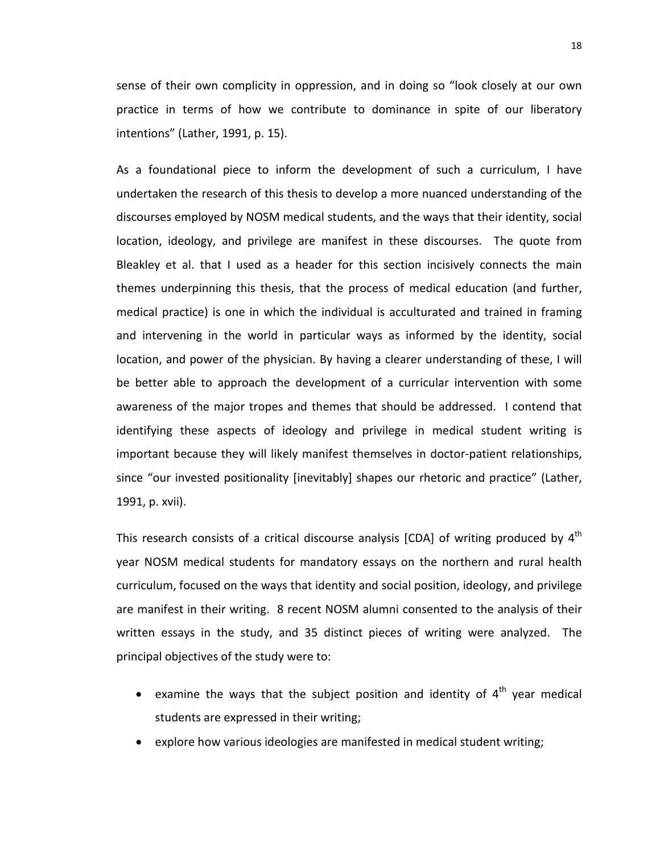sense of their own complicity in oppression, and in doing so "look closely at our own practice in terms of how we contribute to dominance in spite of our liberatory intentions" (Lather, 1991, p. 15).

As a foundational piece to inform the development of such a curriculum, I have undertaken the research of this thesis to develop a more nuanced understanding of the discourses employed by NOSM medical students, and the ways that their identity, social location, ideology, and privilege are manifest in these discourses. The quote from Bleakley et al. that I used as a header for this section incisively connects the main themes underpinning this thesis, that the process of medical education (and further, medical practice) is one in which the individual is acculturated and trained in framing and intervening in the world in particular ways as informed by the identity, social location, and power of the physician. By having a clearer understanding of these, I will be better able to approach the development of a curricular intervention with some awareness of the major tropes and themes that should be addressed. I contend that identifying these aspects of ideology and privilege in medical student writing is important because they will likely manifest themselves in doctor-patient relationships, since "our invested positionality [inevitably] shapes our rhetoric and practice" (Lather, 1991, p. xvii).

This research consists of a critical discourse analysis [CDA] of writing produced by  $4<sup>th</sup>$ year NOSM medical students for mandatory essays on the northern and rural health curriculum, focused on the ways that identity and social position, ideology, and privilege are manifest in their writing. 8 recent NOSM alumni consented to the analysis of their written essays in the study, and 35 distinct pieces of writing were analyzed. The principal objectives of the study were to:

- examine the ways that the subject position and identity of  $4<sup>th</sup>$  year medical students are expressed in their writing;
- explore how various ideologies are manifested in medical student writing;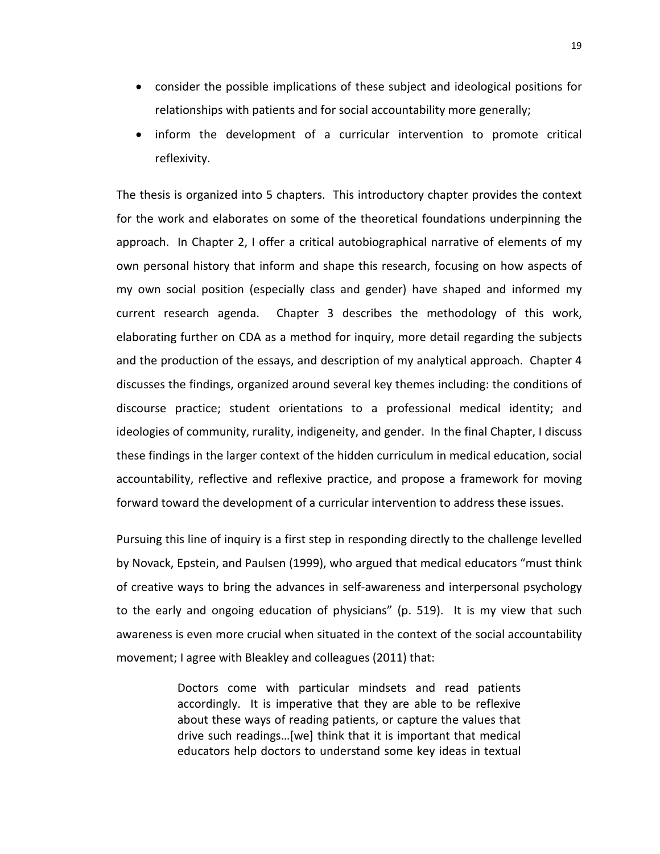- consider the possible implications of these subject and ideological positions for relationships with patients and for social accountability more generally;
- inform the development of a curricular intervention to promote critical reflexivity.

The thesis is organized into 5 chapters. This introductory chapter provides the context for the work and elaborates on some of the theoretical foundations underpinning the approach. In Chapter 2, I offer a critical autobiographical narrative of elements of my own personal history that inform and shape this research, focusing on how aspects of my own social position (especially class and gender) have shaped and informed my current research agenda. Chapter 3 describes the methodology of this work, elaborating further on CDA as a method for inquiry, more detail regarding the subjects and the production of the essays, and description of my analytical approach. Chapter 4 discusses the findings, organized around several key themes including: the conditions of discourse practice; student orientations to a professional medical identity; and ideologies of community, rurality, indigeneity, and gender. In the final Chapter, I discuss these findings in the larger context of the hidden curriculum in medical education, social accountability, reflective and reflexive practice, and propose a framework for moving forward toward the development of a curricular intervention to address these issues.

Pursuing this line of inquiry is a first step in responding directly to the challenge levelled by Novack, Epstein, and Paulsen (1999), who argued that medical educators "must think of creative ways to bring the advances in self-awareness and interpersonal psychology to the early and ongoing education of physicians" (p. 519). It is my view that such awareness is even more crucial when situated in the context of the social accountability movement; I agree with Bleakley and colleagues (2011) that:

> Doctors come with particular mindsets and read patients accordingly. It is imperative that they are able to be reflexive about these ways of reading patients, or capture the values that drive such readings…[we] think that it is important that medical educators help doctors to understand some key ideas in textual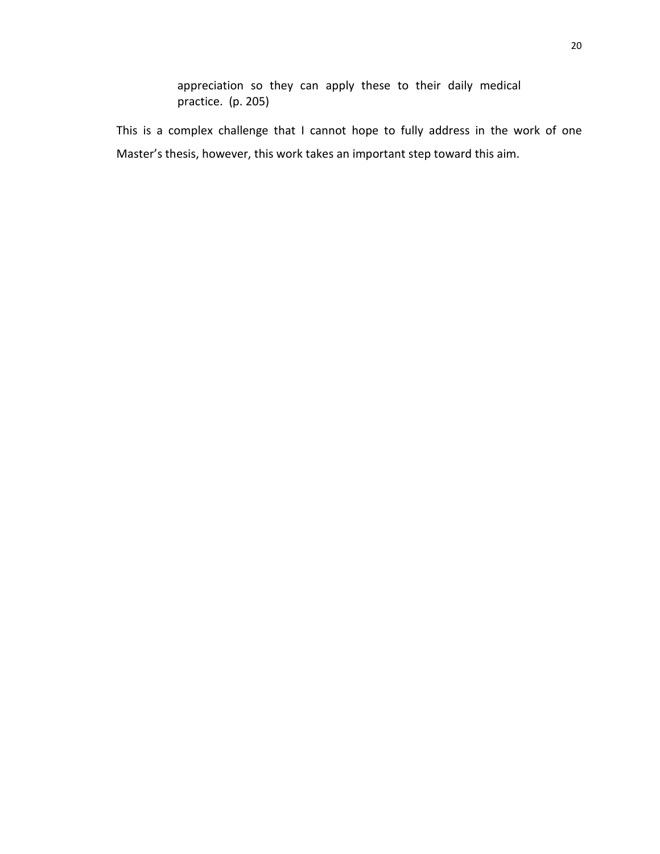appreciation so they can apply these to their daily medical practice. (p. 205)

This is a complex challenge that I cannot hope to fully address in the work of one Master's thesis, however, this work takes an important step toward this aim.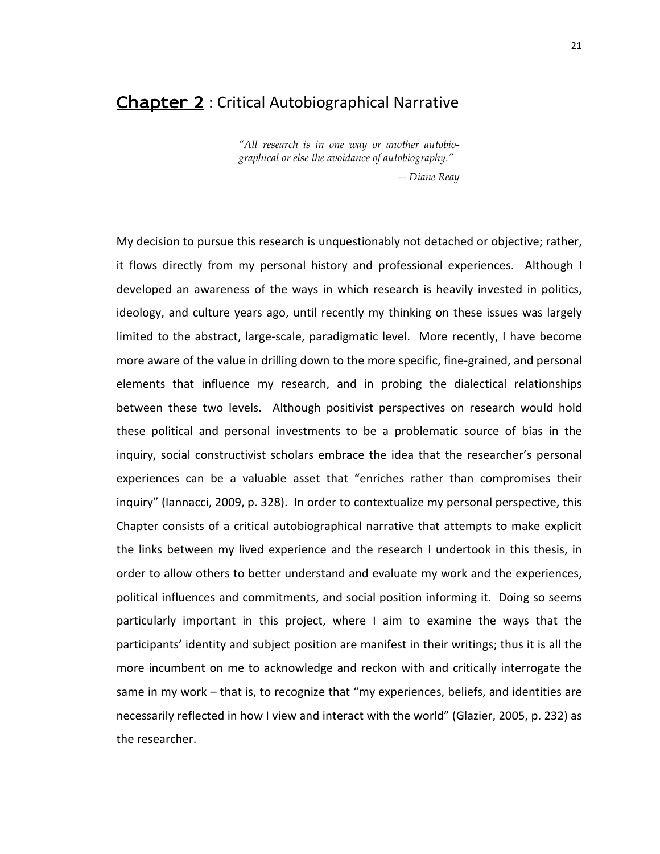## Chapter 2 : Critical Autobiographical Narrative

*"All research is in one way or another autobiographical or else the avoidance of autobiography."*

*-- Diane Reay*

My decision to pursue this research is unquestionably not detached or objective; rather, it flows directly from my personal history and professional experiences. Although I developed an awareness of the ways in which research is heavily invested in politics, ideology, and culture years ago, until recently my thinking on these issues was largely limited to the abstract, large-scale, paradigmatic level. More recently, I have become more aware of the value in drilling down to the more specific, fine-grained, and personal elements that influence my research, and in probing the dialectical relationships between these two levels. Although positivist perspectives on research would hold these political and personal investments to be a problematic source of bias in the inquiry, social constructivist scholars embrace the idea that the researcher's personal experiences can be a valuable asset that "enriches rather than compromises their inquiry" (Iannacci, 2009, p. 328). In order to contextualize my personal perspective, this Chapter consists of a critical autobiographical narrative that attempts to make explicit the links between my lived experience and the research I undertook in this thesis, in order to allow others to better understand and evaluate my work and the experiences, political influences and commitments, and social position informing it. Doing so seems particularly important in this project, where I aim to examine the ways that the participants' identity and subject position are manifest in their writings; thus it is all the more incumbent on me to acknowledge and reckon with and critically interrogate the same in my work – that is, to recognize that "my experiences, beliefs, and identities are necessarily reflected in how I view and interact with the world" (Glazier, 2005, p. 232) as the researcher.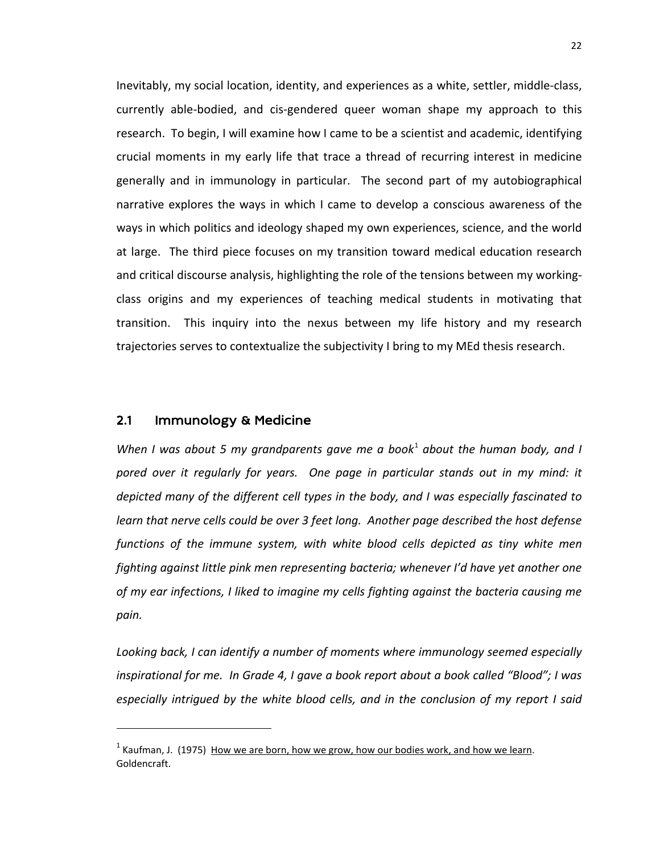Inevitably, my social location, identity, and experiences as a white, settler, middle-class, currently able-bodied, and cis-gendered queer woman shape my approach to this research. To begin, I will examine how I came to be a scientist and academic, identifying crucial moments in my early life that trace a thread of recurring interest in medicine generally and in immunology in particular. The second part of my autobiographical narrative explores the ways in which I came to develop a conscious awareness of the ways in which politics and ideology shaped my own experiences, science, and the world at large. The third piece focuses on my transition toward medical education research and critical discourse analysis, highlighting the role of the tensions between my workingclass origins and my experiences of teaching medical students in motivating that transition. This inquiry into the nexus between my life history and my research trajectories serves to contextualize the subjectivity I bring to my MEd thesis research.

#### 2.1 Immunology & Medicine

 $\overline{a}$ 

*When I was about 5 my grandparents gave me a book<sup>[1](#page-28-0)</sup> about the human body, and I pored over it regularly for years. One page in particular stands out in my mind: it depicted many of the different cell types in the body, and I was especially fascinated to learn that nerve cells could be over 3 feet long. Another page described the host defense functions of the immune system, with white blood cells depicted as tiny white men fighting against little pink men representing bacteria; whenever I'd have yet another one of my ear infections, I liked to imagine my cells fighting against the bacteria causing me pain.*

*Looking back, I can identify a number of moments where immunology seemed especially inspirational for me. In Grade 4, I gave a book report about a book called "Blood"; I was especially intrigued by the white blood cells, and in the conclusion of my report I said* 

<span id="page-28-0"></span> $<sup>1</sup>$  Kaufman, J. (1975) How we are born, how we grow, how our bodies work, and how we learn.</sup> Goldencraft.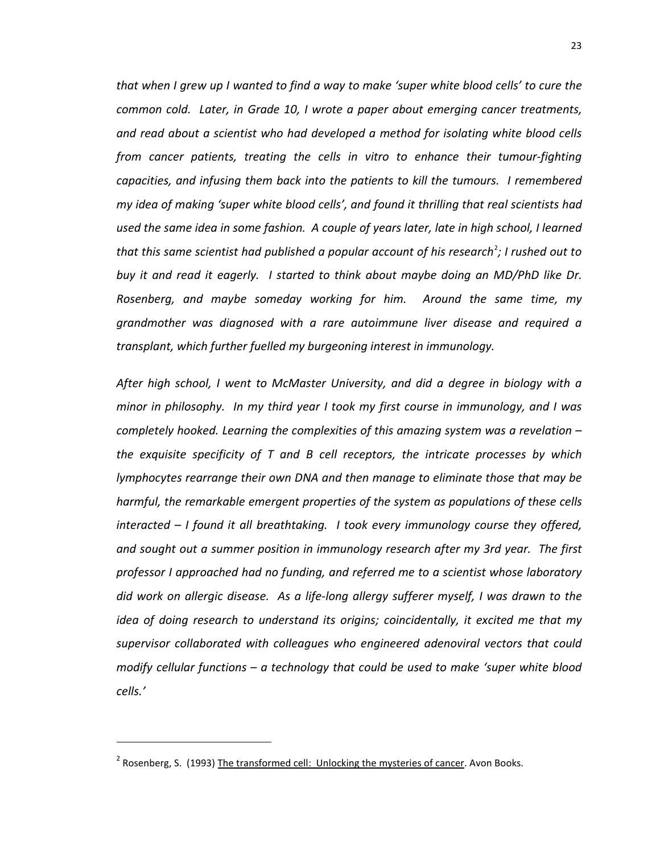*that when I grew up I wanted to find a way to make 'super white blood cells' to cure the common cold. Later, in Grade 10, I wrote a paper about emerging cancer treatments, and read about a scientist who had developed a method for isolating white blood cells from cancer patients, treating the cells in vitro to enhance their tumour-fighting capacities, and infusing them back into the patients to kill the tumours. I remembered my idea of making 'super white blood cells', and found it thrilling that real scientists had used the same idea in some fashion. A couple of years later, late in high school, I learned that this same scientist had published a popular account of his research<sup>[2](#page-29-0)</sup>; I rushed out to buy it and read it eagerly. I started to think about maybe doing an MD/PhD like Dr. Rosenberg, and maybe someday working for him. Around the same time, my grandmother was diagnosed with a rare autoimmune liver disease and required a transplant, which further fuelled my burgeoning interest in immunology.*

*After high school, I went to McMaster University, and did a degree in biology with a minor in philosophy. In my third year I took my first course in immunology, and I was completely hooked. Learning the complexities of this amazing system was a revelation – the exquisite specificity of T and B cell receptors, the intricate processes by which lymphocytes rearrange their own DNA and then manage to eliminate those that may be harmful, the remarkable emergent properties of the system as populations of these cells interacted – I found it all breathtaking. I took every immunology course they offered, and sought out a summer position in immunology research after my 3rd year. The first professor I approached had no funding, and referred me to a scientist whose laboratory did work on allergic disease. As a life-long allergy sufferer myself, I was drawn to the idea of doing research to understand its origins; coincidentally, it excited me that my supervisor collaborated with colleagues who engineered adenoviral vectors that could modify cellular functions – a technology that could be used to make 'super white blood cells.'*

 $\overline{a}$ 

<span id="page-29-0"></span><sup>&</sup>lt;sup>2</sup> Rosenberg, S. (1993) The transformed cell: Unlocking the mysteries of cancer. Avon Books.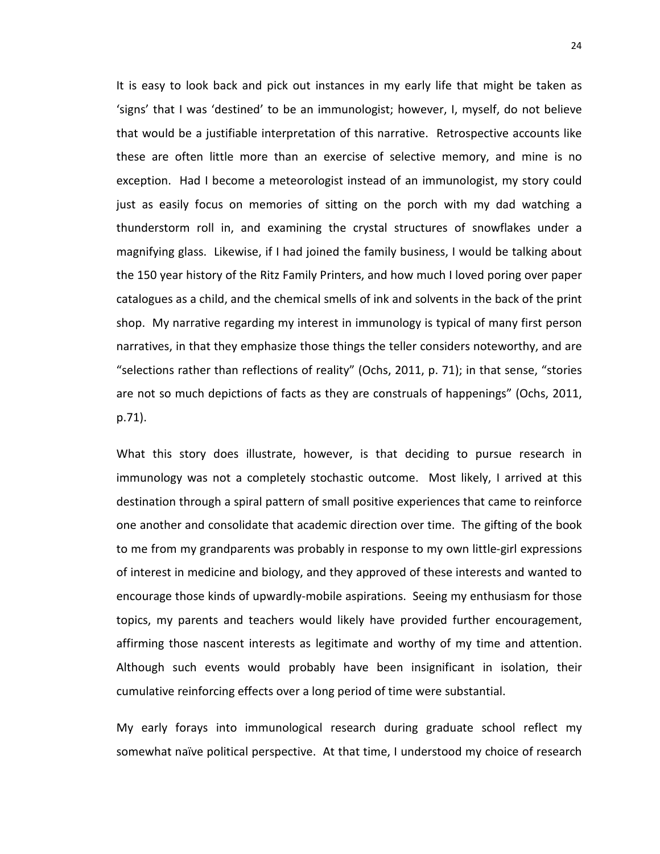It is easy to look back and pick out instances in my early life that might be taken as 'signs' that I was 'destined' to be an immunologist; however, I, myself, do not believe that would be a justifiable interpretation of this narrative. Retrospective accounts like these are often little more than an exercise of selective memory, and mine is no exception. Had I become a meteorologist instead of an immunologist, my story could just as easily focus on memories of sitting on the porch with my dad watching a thunderstorm roll in, and examining the crystal structures of snowflakes under a magnifying glass. Likewise, if I had joined the family business, I would be talking about the 150 year history of the Ritz Family Printers, and how much I loved poring over paper catalogues as a child, and the chemical smells of ink and solvents in the back of the print shop. My narrative regarding my interest in immunology is typical of many first person narratives, in that they emphasize those things the teller considers noteworthy, and are "selections rather than reflections of reality" (Ochs, 2011, p. 71); in that sense, "stories are not so much depictions of facts as they are construals of happenings" (Ochs, 2011, p.71).

What this story does illustrate, however, is that deciding to pursue research in immunology was not a completely stochastic outcome. Most likely, I arrived at this destination through a spiral pattern of small positive experiences that came to reinforce one another and consolidate that academic direction over time. The gifting of the book to me from my grandparents was probably in response to my own little-girl expressions of interest in medicine and biology, and they approved of these interests and wanted to encourage those kinds of upwardly-mobile aspirations. Seeing my enthusiasm for those topics, my parents and teachers would likely have provided further encouragement, affirming those nascent interests as legitimate and worthy of my time and attention. Although such events would probably have been insignificant in isolation, their cumulative reinforcing effects over a long period of time were substantial.

My early forays into immunological research during graduate school reflect my somewhat naïve political perspective. At that time, I understood my choice of research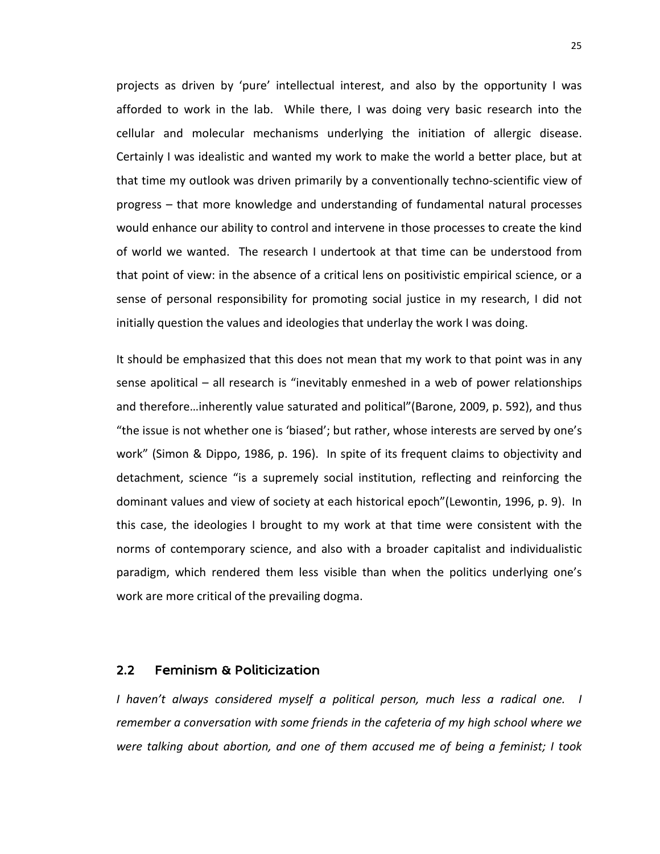projects as driven by 'pure' intellectual interest, and also by the opportunity I was afforded to work in the lab. While there, I was doing very basic research into the cellular and molecular mechanisms underlying the initiation of allergic disease. Certainly I was idealistic and wanted my work to make the world a better place, but at that time my outlook was driven primarily by a conventionally techno-scientific view of progress – that more knowledge and understanding of fundamental natural processes would enhance our ability to control and intervene in those processes to create the kind of world we wanted. The research I undertook at that time can be understood from that point of view: in the absence of a critical lens on positivistic empirical science, or a sense of personal responsibility for promoting social justice in my research, I did not initially question the values and ideologies that underlay the work I was doing.

It should be emphasized that this does not mean that my work to that point was in any sense apolitical – all research is "inevitably enmeshed in a web of power relationships and therefore…inherently value saturated and political"(Barone, 2009, p. 592), and thus "the issue is not whether one is 'biased'; but rather, whose interests are served by one's work" (Simon & Dippo, 1986, p. 196). In spite of its frequent claims to objectivity and detachment, science "is a supremely social institution, reflecting and reinforcing the dominant values and view of society at each historical epoch"(Lewontin, 1996, p. 9). In this case, the ideologies I brought to my work at that time were consistent with the norms of contemporary science, and also with a broader capitalist and individualistic paradigm, which rendered them less visible than when the politics underlying one's work are more critical of the prevailing dogma.

### 2.2 Feminism & Politicization

*I haven't always considered myself a political person, much less a radical one. I remember a conversation with some friends in the cafeteria of my high school where we were talking about abortion, and one of them accused me of being a feminist; I took*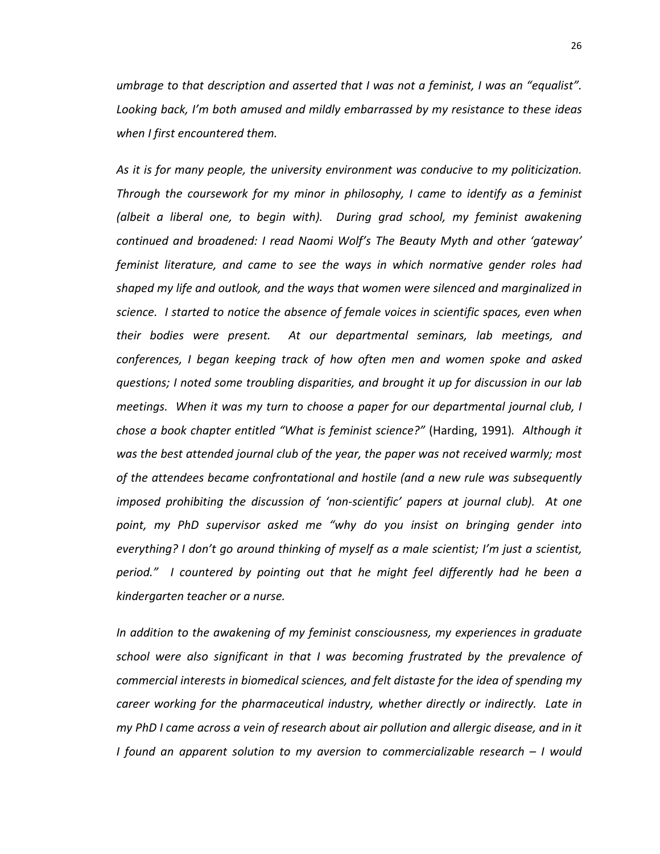*umbrage to that description and asserted that I was not a feminist, I was an "equalist". Looking back, I'm both amused and mildly embarrassed by my resistance to these ideas when I first encountered them.* 

*As it is for many people, the university environment was conducive to my politicization. Through the coursework for my minor in philosophy, I came to identify as a feminist (albeit a liberal one, to begin with). During grad school, my feminist awakening continued and broadened: I read Naomi Wolf's The Beauty Myth and other 'gateway' feminist literature, and came to see the ways in which normative gender roles had shaped my life and outlook, and the ways that women were silenced and marginalized in science. I started to notice the absence of female voices in scientific spaces, even when their bodies were present. At our departmental seminars, lab meetings, and conferences, I began keeping track of how often men and women spoke and asked questions; I noted some troubling disparities, and brought it up for discussion in our lab meetings. When it was my turn to choose a paper for our departmental journal club, I chose a book chapter entitled "What is feminist science?"* (Harding, 1991)*. Although it was the best attended journal club of the year, the paper was not received warmly; most of the attendees became confrontational and hostile (and a new rule was subsequently imposed prohibiting the discussion of 'non-scientific' papers at journal club). At one point, my PhD supervisor asked me "why do you insist on bringing gender into everything? I don't go around thinking of myself as a male scientist; I'm just a scientist, period." I countered by pointing out that he might feel differently had he been a kindergarten teacher or a nurse.*

*In addition to the awakening of my feminist consciousness, my experiences in graduate school were also significant in that I was becoming frustrated by the prevalence of commercial interests in biomedical sciences, and felt distaste for the idea of spending my career working for the pharmaceutical industry, whether directly or indirectly. Late in my PhD I came across a vein of research about air pollution and allergic disease, and in it I found an apparent solution to my aversion to commercializable research – I would*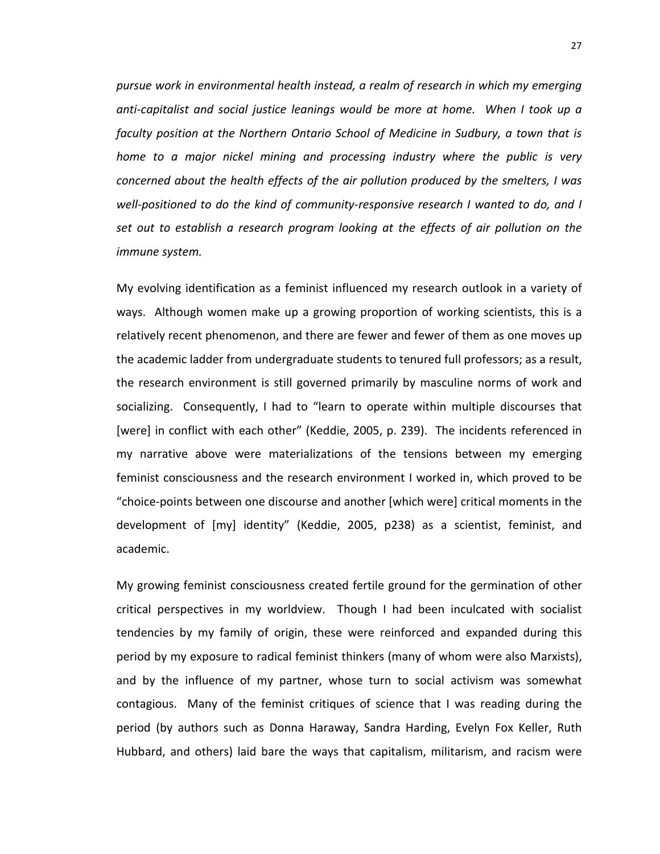*pursue work in environmental health instead, a realm of research in which my emerging anti-capitalist and social justice leanings would be more at home. When I took up a faculty position at the Northern Ontario School of Medicine in Sudbury, a town that is home to a major nickel mining and processing industry where the public is very concerned about the health effects of the air pollution produced by the smelters, I was well-positioned to do the kind of community-responsive research I wanted to do, and I set out to establish a research program looking at the effects of air pollution on the immune system.*

My evolving identification as a feminist influenced my research outlook in a variety of ways. Although women make up a growing proportion of working scientists, this is a relatively recent phenomenon, and there are fewer and fewer of them as one moves up the academic ladder from undergraduate students to tenured full professors; as a result, the research environment is still governed primarily by masculine norms of work and socializing. Consequently, I had to "learn to operate within multiple discourses that [were] in conflict with each other" (Keddie, 2005, p. 239). The incidents referenced in my narrative above were materializations of the tensions between my emerging feminist consciousness and the research environment I worked in, which proved to be "choice-points between one discourse and another [which were] critical moments in the development of [my] identity" (Keddie, 2005, p238) as a scientist, feminist, and academic.

My growing feminist consciousness created fertile ground for the germination of other critical perspectives in my worldview. Though I had been inculcated with socialist tendencies by my family of origin, these were reinforced and expanded during this period by my exposure to radical feminist thinkers (many of whom were also Marxists), and by the influence of my partner, whose turn to social activism was somewhat contagious. Many of the feminist critiques of science that I was reading during the period (by authors such as Donna Haraway, Sandra Harding, Evelyn Fox Keller, Ruth Hubbard, and others) laid bare the ways that capitalism, militarism, and racism were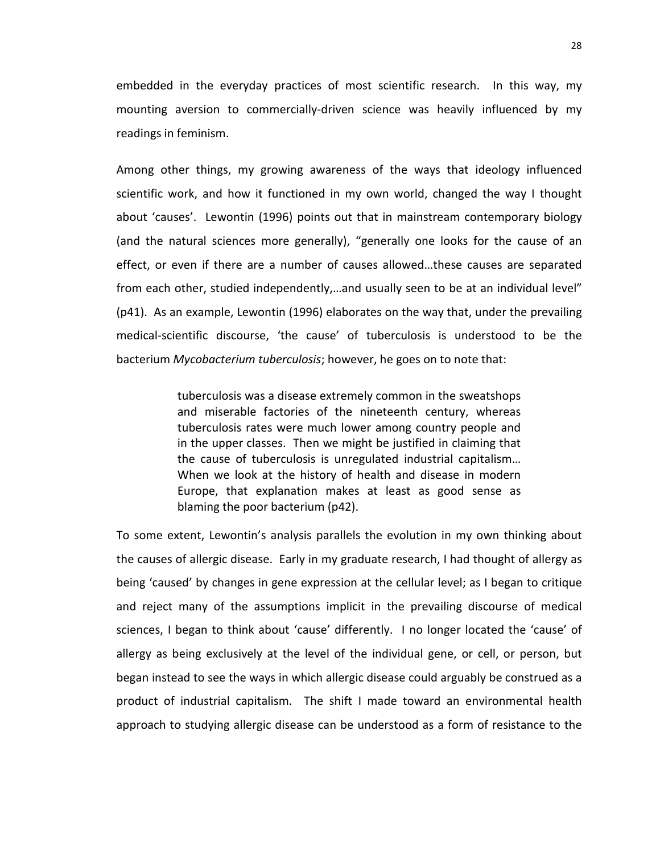embedded in the everyday practices of most scientific research. In this way, my mounting aversion to commercially-driven science was heavily influenced by my readings in feminism.

Among other things, my growing awareness of the ways that ideology influenced scientific work, and how it functioned in my own world, changed the way I thought about 'causes'. Lewontin (1996) points out that in mainstream contemporary biology (and the natural sciences more generally), "generally one looks for the cause of an effect, or even if there are a number of causes allowed…these causes are separated from each other, studied independently,…and usually seen to be at an individual level" (p41). As an example, Lewontin (1996) elaborates on the way that, under the prevailing medical-scientific discourse, 'the cause' of tuberculosis is understood to be the bacterium *Mycobacterium tuberculosis*; however, he goes on to note that:

> tuberculosis was a disease extremely common in the sweatshops and miserable factories of the nineteenth century, whereas tuberculosis rates were much lower among country people and in the upper classes. Then we might be justified in claiming that the cause of tuberculosis is unregulated industrial capitalism… When we look at the history of health and disease in modern Europe, that explanation makes at least as good sense as blaming the poor bacterium (p42).

To some extent, Lewontin's analysis parallels the evolution in my own thinking about the causes of allergic disease. Early in my graduate research, I had thought of allergy as being 'caused' by changes in gene expression at the cellular level; as I began to critique and reject many of the assumptions implicit in the prevailing discourse of medical sciences, I began to think about 'cause' differently. I no longer located the 'cause' of allergy as being exclusively at the level of the individual gene, or cell, or person, but began instead to see the ways in which allergic disease could arguably be construed as a product of industrial capitalism. The shift I made toward an environmental health approach to studying allergic disease can be understood as a form of resistance to the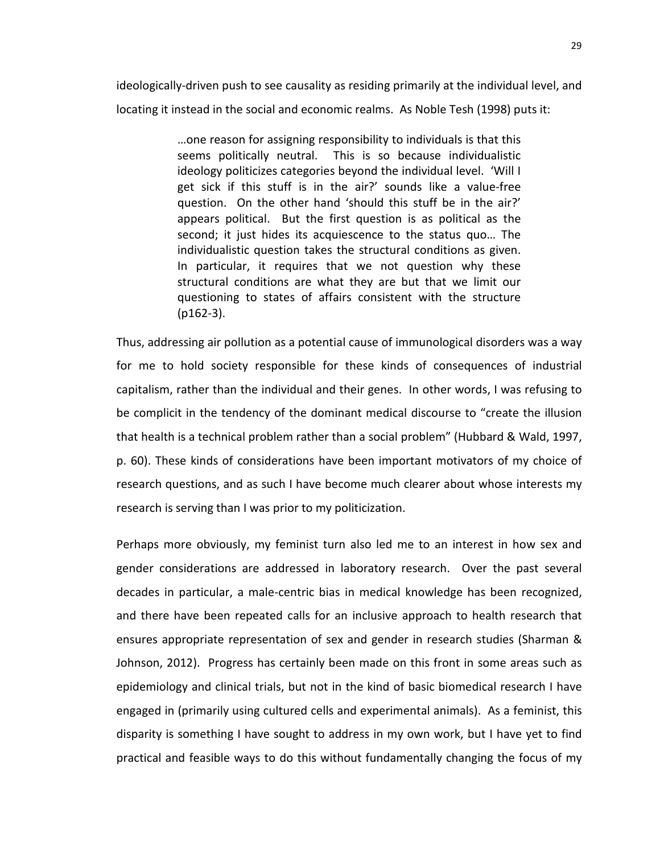ideologically-driven push to see causality as residing primarily at the individual level, and locating it instead in the social and economic realms. As Noble Tesh (1998) puts it:

> …one reason for assigning responsibility to individuals is that this seems politically neutral. This is so because individualistic ideology politicizes categories beyond the individual level. 'Will I get sick if this stuff is in the air?' sounds like a value-free question. On the other hand 'should this stuff be in the air?' appears political. But the first question is as political as the second; it just hides its acquiescence to the status quo… The individualistic question takes the structural conditions as given. In particular, it requires that we not question why these structural conditions are what they are but that we limit our questioning to states of affairs consistent with the structure (p162-3).

Thus, addressing air pollution as a potential cause of immunological disorders was a way for me to hold society responsible for these kinds of consequences of industrial capitalism, rather than the individual and their genes. In other words, I was refusing to be complicit in the tendency of the dominant medical discourse to "create the illusion that health is a technical problem rather than a social problem" (Hubbard & Wald, 1997, p. 60). These kinds of considerations have been important motivators of my choice of research questions, and as such I have become much clearer about whose interests my research is serving than I was prior to my politicization.

Perhaps more obviously, my feminist turn also led me to an interest in how sex and gender considerations are addressed in laboratory research. Over the past several decades in particular, a male-centric bias in medical knowledge has been recognized, and there have been repeated calls for an inclusive approach to health research that ensures appropriate representation of sex and gender in research studies (Sharman & Johnson, 2012). Progress has certainly been made on this front in some areas such as epidemiology and clinical trials, but not in the kind of basic biomedical research I have engaged in (primarily using cultured cells and experimental animals). As a feminist, this disparity is something I have sought to address in my own work, but I have yet to find practical and feasible ways to do this without fundamentally changing the focus of my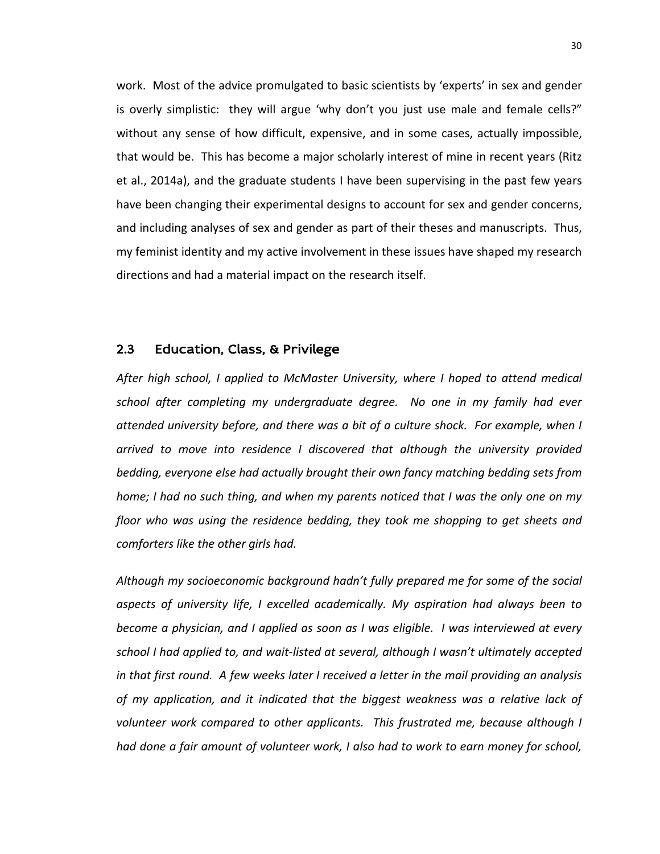work. Most of the advice promulgated to basic scientists by 'experts' in sex and gender is overly simplistic: they will argue 'why don't you just use male and female cells?" without any sense of how difficult, expensive, and in some cases, actually impossible, that would be. This has become a major scholarly interest of mine in recent years (Ritz et al., 2014a), and the graduate students I have been supervising in the past few years have been changing their experimental designs to account for sex and gender concerns, and including analyses of sex and gender as part of their theses and manuscripts. Thus, my feminist identity and my active involvement in these issues have shaped my research directions and had a material impact on the research itself.

## 2.3 Education, Class, & Privilege

*After high school, I applied to McMaster University, where I hoped to attend medical school after completing my undergraduate degree. No one in my family had ever attended university before, and there was a bit of a culture shock. For example, when I arrived to move into residence I discovered that although the university provided bedding, everyone else had actually brought their own fancy matching bedding sets from home; I had no such thing, and when my parents noticed that I was the only one on my floor who was using the residence bedding, they took me shopping to get sheets and comforters like the other girls had.* 

*Although my socioeconomic background hadn't fully prepared me for some of the social aspects of university life, I excelled academically. My aspiration had always been to become a physician, and I applied as soon as I was eligible. I was interviewed at every school I had applied to, and wait-listed at several, although I wasn't ultimately accepted in that first round. A few weeks later I received a letter in the mail providing an analysis of my application, and it indicated that the biggest weakness was a relative lack of volunteer work compared to other applicants. This frustrated me, because although I had done a fair amount of volunteer work, I also had to work to earn money for school,*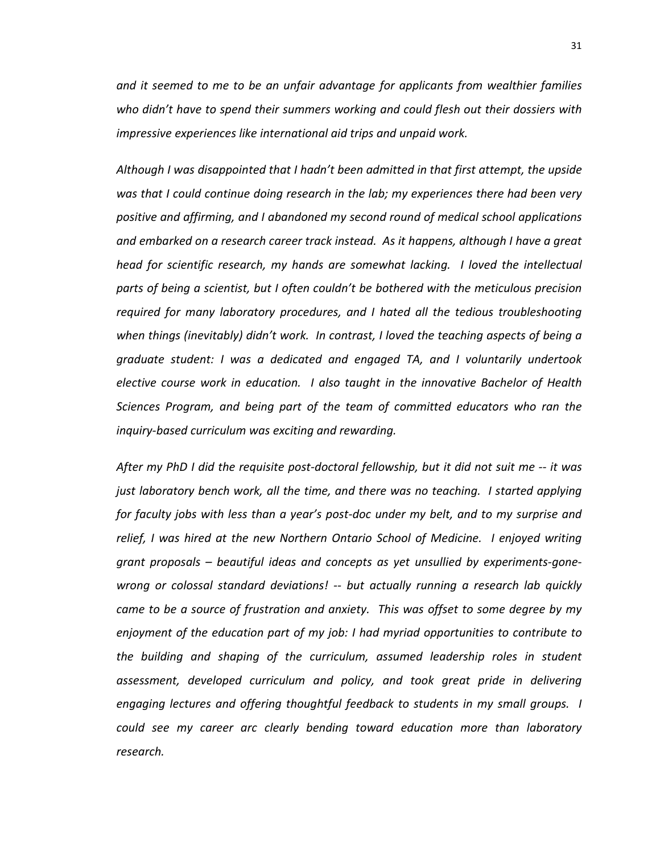*and it seemed to me to be an unfair advantage for applicants from wealthier families who didn't have to spend their summers working and could flesh out their dossiers with impressive experiences like international aid trips and unpaid work.*

*Although I was disappointed that I hadn't been admitted in that first attempt, the upside was that I could continue doing research in the lab; my experiences there had been very positive and affirming, and I abandoned my second round of medical school applications and embarked on a research career track instead. As it happens, although I have a great head for scientific research, my hands are somewhat lacking. I loved the intellectual parts of being a scientist, but I often couldn't be bothered with the meticulous precision required for many laboratory procedures, and I hated all the tedious troubleshooting when things (inevitably) didn't work. In contrast, I loved the teaching aspects of being a graduate student: I was a dedicated and engaged TA, and I voluntarily undertook elective course work in education. I also taught in the innovative Bachelor of Health Sciences Program, and being part of the team of committed educators who ran the inquiry-based curriculum was exciting and rewarding.* 

*After my PhD I did the requisite post-doctoral fellowship, but it did not suit me -- it was just laboratory bench work, all the time, and there was no teaching. I started applying for faculty jobs with less than a year's post-doc under my belt, and to my surprise and relief, I was hired at the new Northern Ontario School of Medicine. I enjoyed writing grant proposals – beautiful ideas and concepts as yet unsullied by experiments-gonewrong or colossal standard deviations! -- but actually running a research lab quickly came to be a source of frustration and anxiety. This was offset to some degree by my enjoyment of the education part of my job: I had myriad opportunities to contribute to the building and shaping of the curriculum, assumed leadership roles in student assessment, developed curriculum and policy, and took great pride in delivering engaging lectures and offering thoughtful feedback to students in my small groups. I could see my career arc clearly bending toward education more than laboratory research.*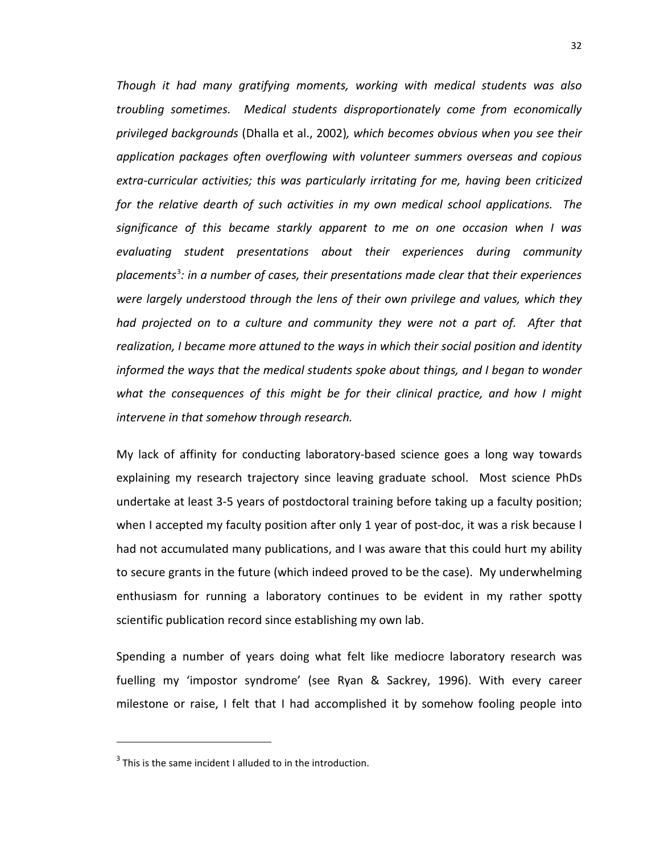*Though it had many gratifying moments, working with medical students was also troubling sometimes. Medical students disproportionately come from economically privileged backgrounds* (Dhalla et al., 2002)*, which becomes obvious when you see their application packages often overflowing with volunteer summers overseas and copious extra-curricular activities; this was particularly irritating for me, having been criticized for the relative dearth of such activities in my own medical school applications. The significance of this became starkly apparent to me on one occasion when I was evaluating student presentations about their experiences during community placements*[3](#page-38-0) *: in a number of cases, their presentations made clear that their experiences were largely understood through the lens of their own privilege and values, which they had projected on to a culture and community they were not a part of. After that realization, I became more attuned to the ways in which their social position and identity informed the ways that the medical students spoke about things, and I began to wonder what the consequences of this might be for their clinical practice, and how I might intervene in that somehow through research.*

My lack of affinity for conducting laboratory-based science goes a long way towards explaining my research trajectory since leaving graduate school. Most science PhDs undertake at least 3-5 years of postdoctoral training before taking up a faculty position; when I accepted my faculty position after only 1 year of post-doc, it was a risk because I had not accumulated many publications, and I was aware that this could hurt my ability to secure grants in the future (which indeed proved to be the case). My underwhelming enthusiasm for running a laboratory continues to be evident in my rather spotty scientific publication record since establishing my own lab.

Spending a number of years doing what felt like mediocre laboratory research was fuelling my 'impostor syndrome' (see Ryan & Sackrey, 1996). With every career milestone or raise, I felt that I had accomplished it by somehow fooling people into

 $\overline{a}$ 

<span id="page-38-0"></span> $3$  This is the same incident I alluded to in the introduction.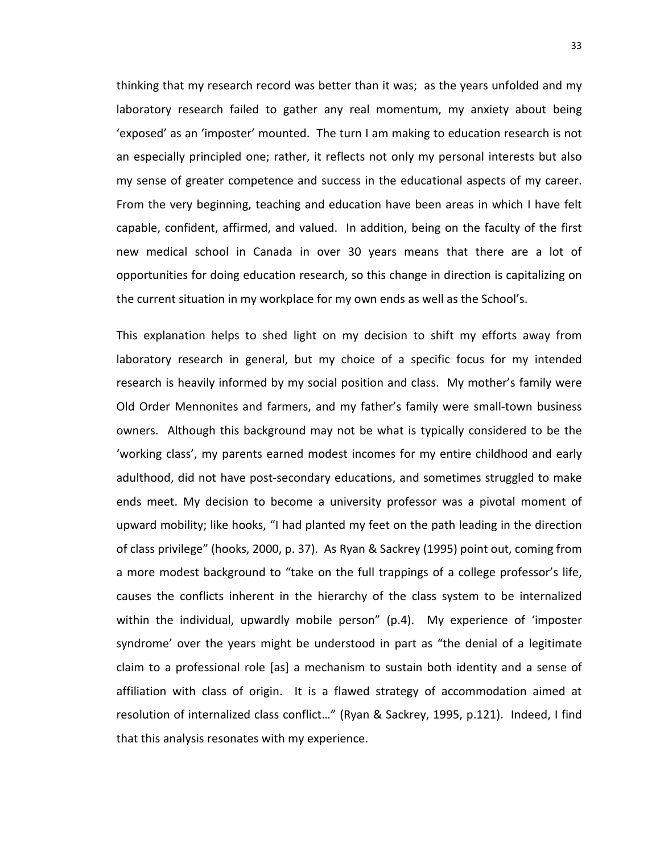thinking that my research record was better than it was; as the years unfolded and my laboratory research failed to gather any real momentum, my anxiety about being 'exposed' as an 'imposter' mounted. The turn I am making to education research is not an especially principled one; rather, it reflects not only my personal interests but also my sense of greater competence and success in the educational aspects of my career. From the very beginning, teaching and education have been areas in which I have felt capable, confident, affirmed, and valued. In addition, being on the faculty of the first new medical school in Canada in over 30 years means that there are a lot of opportunities for doing education research, so this change in direction is capitalizing on the current situation in my workplace for my own ends as well as the School's.

This explanation helps to shed light on my decision to shift my efforts away from laboratory research in general, but my choice of a specific focus for my intended research is heavily informed by my social position and class. My mother's family were Old Order Mennonites and farmers, and my father's family were small-town business owners. Although this background may not be what is typically considered to be the 'working class', my parents earned modest incomes for my entire childhood and early adulthood, did not have post-secondary educations, and sometimes struggled to make ends meet. My decision to become a university professor was a pivotal moment of upward mobility; like hooks, "I had planted my feet on the path leading in the direction of class privilege" (hooks, 2000, p. 37). As Ryan & Sackrey (1995) point out, coming from a more modest background to "take on the full trappings of a college professor's life, causes the conflicts inherent in the hierarchy of the class system to be internalized within the individual, upwardly mobile person" (p.4). My experience of 'imposter syndrome' over the years might be understood in part as "the denial of a legitimate claim to a professional role [as] a mechanism to sustain both identity and a sense of affiliation with class of origin. It is a flawed strategy of accommodation aimed at resolution of internalized class conflict…" (Ryan & Sackrey, 1995, p.121). Indeed, I find that this analysis resonates with my experience.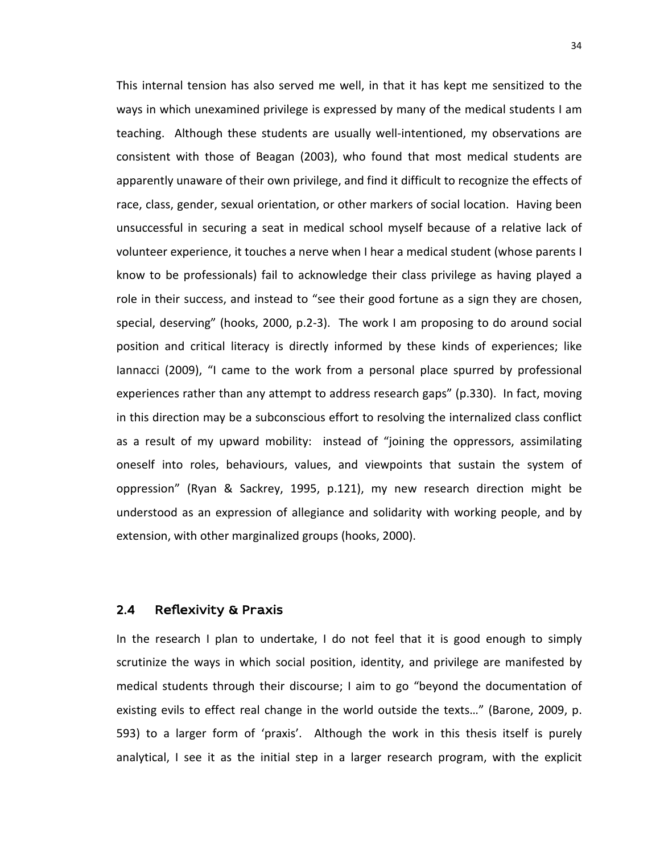This internal tension has also served me well, in that it has kept me sensitized to the ways in which unexamined privilege is expressed by many of the medical students I am teaching. Although these students are usually well-intentioned, my observations are consistent with those of Beagan (2003), who found that most medical students are apparently unaware of their own privilege, and find it difficult to recognize the effects of race, class, gender, sexual orientation, or other markers of social location. Having been unsuccessful in securing a seat in medical school myself because of a relative lack of volunteer experience, it touches a nerve when I hear a medical student (whose parents I know to be professionals) fail to acknowledge their class privilege as having played a role in their success, and instead to "see their good fortune as a sign they are chosen, special, deserving" (hooks, 2000, p.2-3). The work I am proposing to do around social position and critical literacy is directly informed by these kinds of experiences; like Iannacci (2009), "I came to the work from a personal place spurred by professional experiences rather than any attempt to address research gaps" (p.330). In fact, moving in this direction may be a subconscious effort to resolving the internalized class conflict as a result of my upward mobility: instead of "joining the oppressors, assimilating oneself into roles, behaviours, values, and viewpoints that sustain the system of oppression" (Ryan & Sackrey, 1995, p.121), my new research direction might be understood as an expression of allegiance and solidarity with working people, and by extension, with other marginalized groups (hooks, 2000).

#### 2.4 Reflexivity & Praxis

In the research I plan to undertake, I do not feel that it is good enough to simply scrutinize the ways in which social position, identity, and privilege are manifested by medical students through their discourse; I aim to go "beyond the documentation of existing evils to effect real change in the world outside the texts…" (Barone, 2009, p. 593) to a larger form of 'praxis'. Although the work in this thesis itself is purely analytical, I see it as the initial step in a larger research program, with the explicit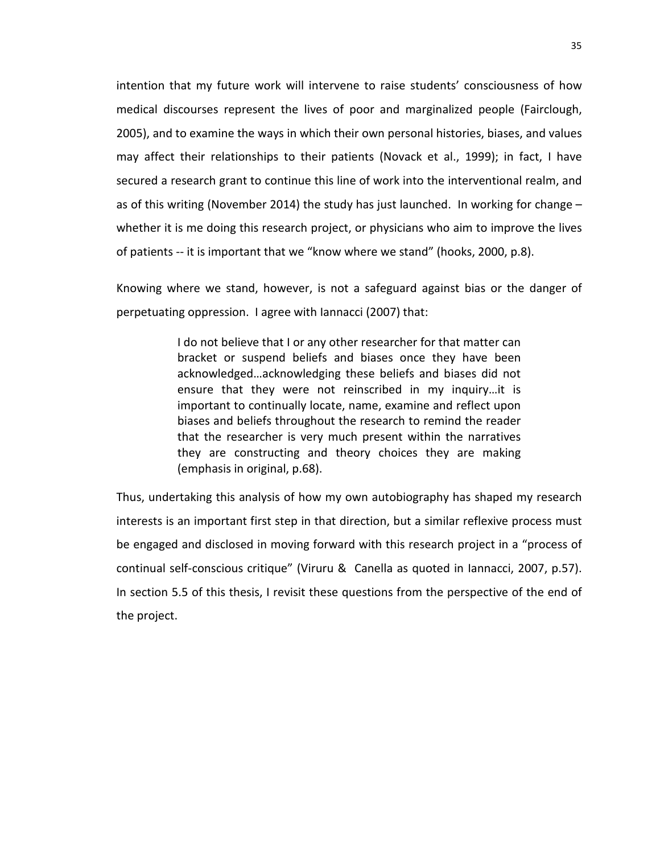intention that my future work will intervene to raise students' consciousness of how medical discourses represent the lives of poor and marginalized people (Fairclough, 2005), and to examine the ways in which their own personal histories, biases, and values may affect their relationships to their patients (Novack et al., 1999); in fact, I have secured a research grant to continue this line of work into the interventional realm, and as of this writing (November 2014) the study has just launched. In working for change – whether it is me doing this research project, or physicians who aim to improve the lives of patients -- it is important that we "know where we stand" (hooks, 2000, p.8).

Knowing where we stand, however, is not a safeguard against bias or the danger of perpetuating oppression. I agree with Iannacci (2007) that:

> I do not believe that I or any other researcher for that matter can bracket or suspend beliefs and biases once they have been acknowledged…acknowledging these beliefs and biases did not ensure that they were not reinscribed in my inquiry…it is important to continually locate, name, examine and reflect upon biases and beliefs throughout the research to remind the reader that the researcher is very much present within the narratives they are constructing and theory choices they are making (emphasis in original, p.68).

Thus, undertaking this analysis of how my own autobiography has shaped my research interests is an important first step in that direction, but a similar reflexive process must be engaged and disclosed in moving forward with this research project in a "process of continual self-conscious critique" (Viruru & Canella as quoted in Iannacci, 2007, p.57). In section 5.5 of this thesis, I revisit these questions from the perspective of the end of the project.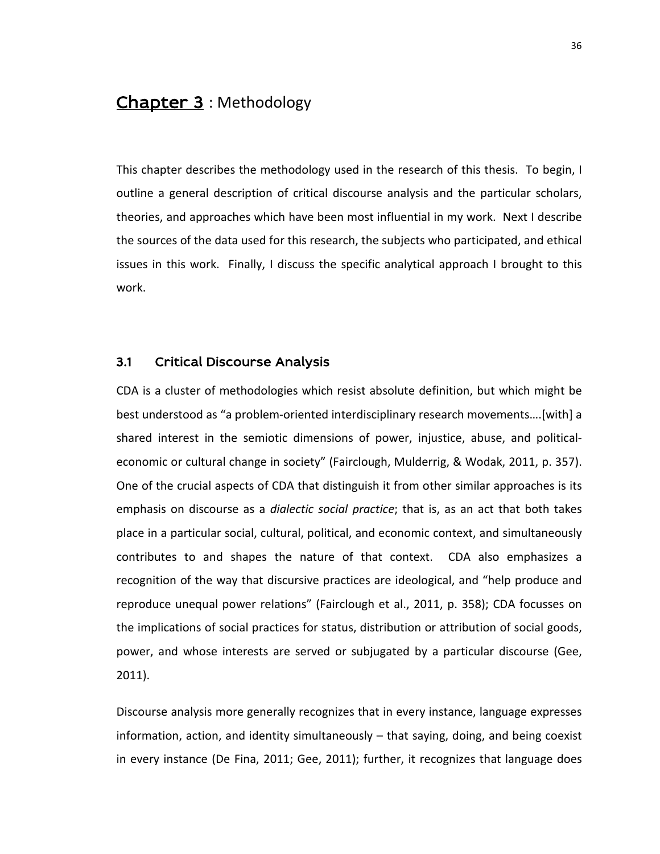# Chapter 3 : Methodology

This chapter describes the methodology used in the research of this thesis. To begin, I outline a general description of critical discourse analysis and the particular scholars, theories, and approaches which have been most influential in my work. Next I describe the sources of the data used for this research, the subjects who participated, and ethical issues in this work. Finally, I discuss the specific analytical approach I brought to this work.

## 3.1 Critical Discourse Analysis

CDA is a cluster of methodologies which resist absolute definition, but which might be best understood as "a problem-oriented interdisciplinary research movements….[with] a shared interest in the semiotic dimensions of power, injustice, abuse, and politicaleconomic or cultural change in society" (Fairclough, Mulderrig, & Wodak, 2011, p. 357). One of the crucial aspects of CDA that distinguish it from other similar approaches is its emphasis on discourse as a *dialectic social practice*; that is, as an act that both takes place in a particular social, cultural, political, and economic context, and simultaneously contributes to and shapes the nature of that context. CDA also emphasizes a recognition of the way that discursive practices are ideological, and "help produce and reproduce unequal power relations" (Fairclough et al., 2011, p. 358); CDA focusses on the implications of social practices for status, distribution or attribution of social goods, power, and whose interests are served or subjugated by a particular discourse (Gee, 2011).

Discourse analysis more generally recognizes that in every instance, language expresses information, action, and identity simultaneously – that saying, doing, and being coexist in every instance (De Fina, 2011; Gee, 2011); further, it recognizes that language does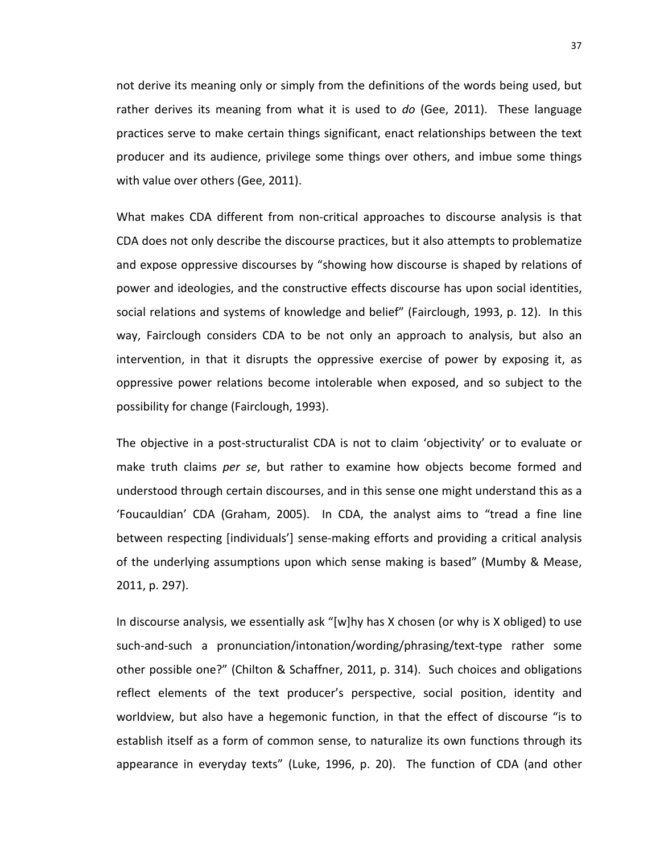not derive its meaning only or simply from the definitions of the words being used, but rather derives its meaning from what it is used to *do* (Gee, 2011). These language practices serve to make certain things significant, enact relationships between the text producer and its audience, privilege some things over others, and imbue some things with value over others (Gee, 2011).

What makes CDA different from non-critical approaches to discourse analysis is that CDA does not only describe the discourse practices, but it also attempts to problematize and expose oppressive discourses by "showing how discourse is shaped by relations of power and ideologies, and the constructive effects discourse has upon social identities, social relations and systems of knowledge and belief" (Fairclough, 1993, p. 12). In this way, Fairclough considers CDA to be not only an approach to analysis, but also an intervention, in that it disrupts the oppressive exercise of power by exposing it, as oppressive power relations become intolerable when exposed, and so subject to the possibility for change (Fairclough, 1993).

The objective in a post-structuralist CDA is not to claim 'objectivity' or to evaluate or make truth claims *per se*, but rather to examine how objects become formed and understood through certain discourses, and in this sense one might understand this as a 'Foucauldian' CDA (Graham, 2005). In CDA, the analyst aims to "tread a fine line between respecting [individuals'] sense-making efforts and providing a critical analysis of the underlying assumptions upon which sense making is based" (Mumby & Mease, 2011, p. 297).

In discourse analysis, we essentially ask "[w]hy has X chosen (or why is X obliged) to use such-and-such a pronunciation/intonation/wording/phrasing/text-type rather some other possible one?" (Chilton & Schaffner, 2011, p. 314). Such choices and obligations reflect elements of the text producer's perspective, social position, identity and worldview, but also have a hegemonic function, in that the effect of discourse "is to establish itself as a form of common sense, to naturalize its own functions through its appearance in everyday texts" (Luke, 1996, p. 20). The function of CDA (and other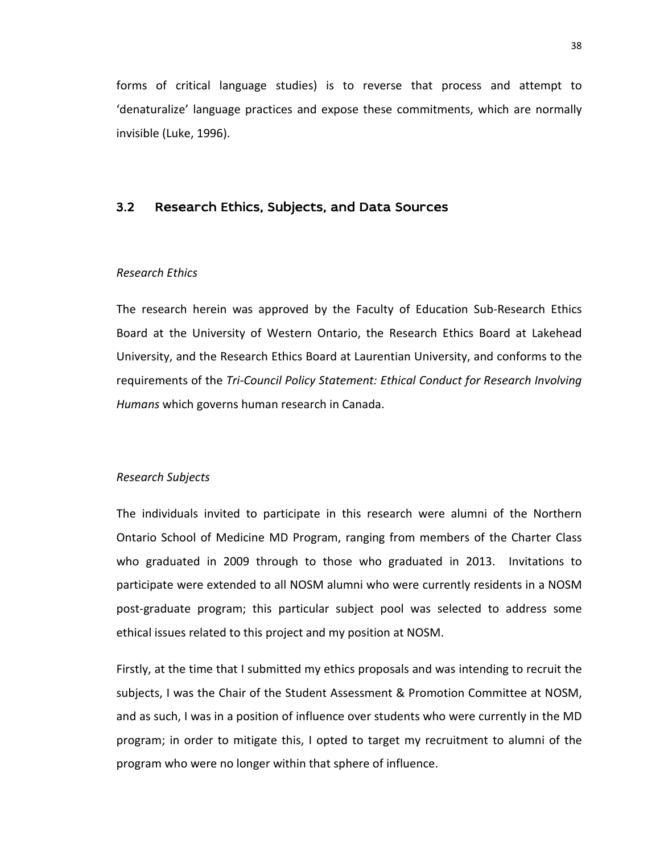forms of critical language studies) is to reverse that process and attempt to 'denaturalize' language practices and expose these commitments, which are normally invisible (Luke, 1996).

#### 3.2 Research Ethics, Subjects, and Data Sources

#### *Research Ethics*

The research herein was approved by the Faculty of Education Sub-Research Ethics Board at the University of Western Ontario, the Research Ethics Board at Lakehead University, and the Research Ethics Board at Laurentian University, and conforms to the requirements of the *Tri-Council Policy Statement: Ethical Conduct for Research Involving Humans* which governs human research in Canada.

#### *Research Subjects*

The individuals invited to participate in this research were alumni of the Northern Ontario School of Medicine MD Program, ranging from members of the Charter Class who graduated in 2009 through to those who graduated in 2013. Invitations to participate were extended to all NOSM alumni who were currently residents in a NOSM post-graduate program; this particular subject pool was selected to address some ethical issues related to this project and my position at NOSM.

Firstly, at the time that I submitted my ethics proposals and was intending to recruit the subjects, I was the Chair of the Student Assessment & Promotion Committee at NOSM, and as such, I was in a position of influence over students who were currently in the MD program; in order to mitigate this, I opted to target my recruitment to alumni of the program who were no longer within that sphere of influence.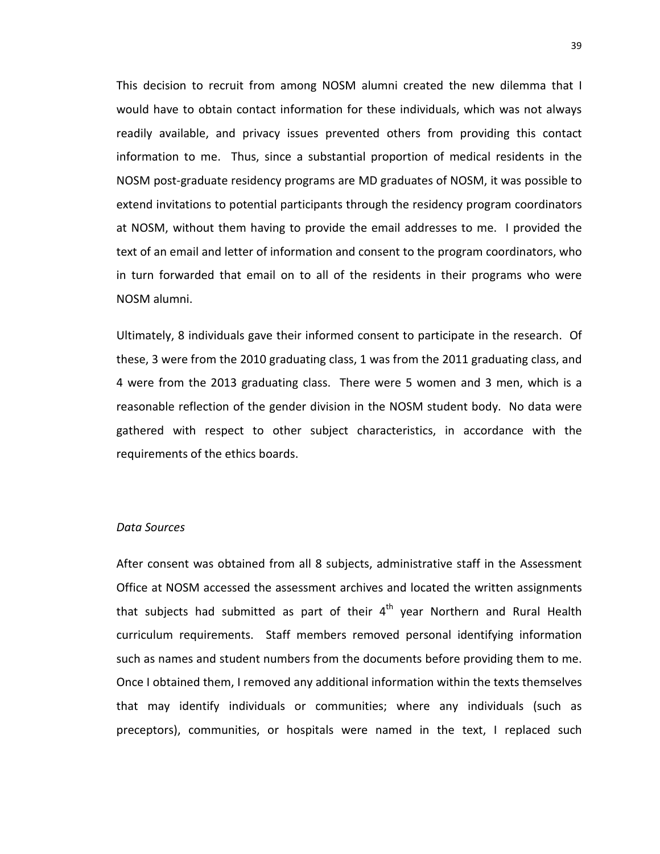This decision to recruit from among NOSM alumni created the new dilemma that I would have to obtain contact information for these individuals, which was not always readily available, and privacy issues prevented others from providing this contact information to me. Thus, since a substantial proportion of medical residents in the NOSM post-graduate residency programs are MD graduates of NOSM, it was possible to extend invitations to potential participants through the residency program coordinators at NOSM, without them having to provide the email addresses to me. I provided the text of an email and letter of information and consent to the program coordinators, who in turn forwarded that email on to all of the residents in their programs who were NOSM alumni.

Ultimately, 8 individuals gave their informed consent to participate in the research. Of these, 3 were from the 2010 graduating class, 1 was from the 2011 graduating class, and 4 were from the 2013 graduating class. There were 5 women and 3 men, which is a reasonable reflection of the gender division in the NOSM student body. No data were gathered with respect to other subject characteristics, in accordance with the requirements of the ethics boards.

#### *Data Sources*

After consent was obtained from all 8 subjects, administrative staff in the Assessment Office at NOSM accessed the assessment archives and located the written assignments that subjects had submitted as part of their  $4<sup>th</sup>$  year Northern and Rural Health curriculum requirements. Staff members removed personal identifying information such as names and student numbers from the documents before providing them to me. Once I obtained them, I removed any additional information within the texts themselves that may identify individuals or communities; where any individuals (such as preceptors), communities, or hospitals were named in the text, I replaced such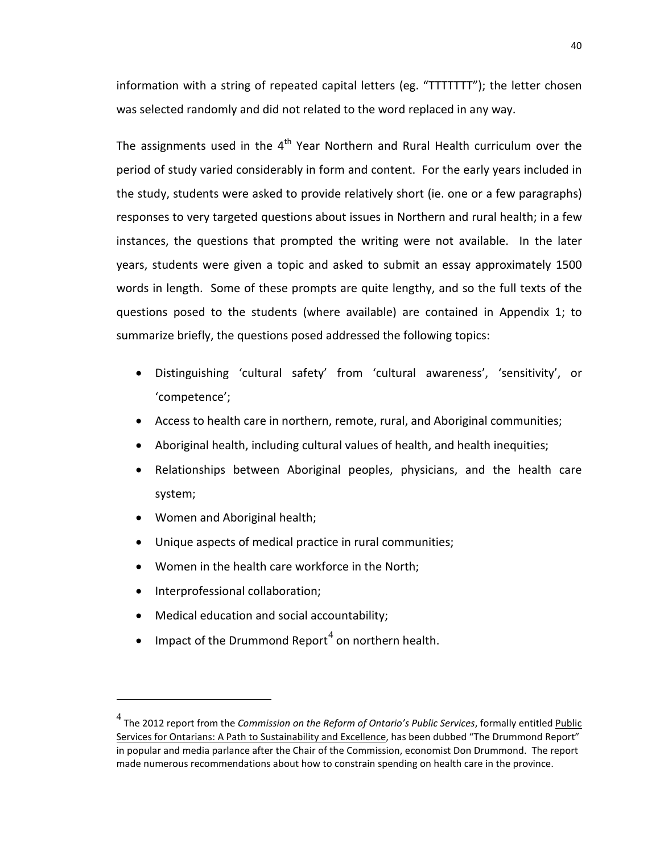information with a string of repeated capital letters (eg. "TTTTTTT"); the letter chosen was selected randomly and did not related to the word replaced in any way.

The assignments used in the  $4<sup>th</sup>$  Year Northern and Rural Health curriculum over the period of study varied considerably in form and content. For the early years included in the study, students were asked to provide relatively short (ie. one or a few paragraphs) responses to very targeted questions about issues in Northern and rural health; in a few instances, the questions that prompted the writing were not available. In the later years, students were given a topic and asked to submit an essay approximately 1500 words in length. Some of these prompts are quite lengthy, and so the full texts of the questions posed to the students (where available) are contained in Appendix 1; to summarize briefly, the questions posed addressed the following topics:

- Distinguishing 'cultural safety' from 'cultural awareness', 'sensitivity', or 'competence';
- Access to health care in northern, remote, rural, and Aboriginal communities;
- Aboriginal health, including cultural values of health, and health inequities;
- Relationships between Aboriginal peoples, physicians, and the health care system;
- Women and Aboriginal health;
- Unique aspects of medical practice in rural communities;
- Women in the health care workforce in the North;
- Interprofessional collaboration;

 $\overline{a}$ 

- Medical education and social accountability;
- Impact of the Drummond Report<sup>[4](#page-46-0)</sup> on northern health.

<span id="page-46-0"></span><sup>&</sup>lt;sup>4</sup> The 2012 report from the *Commission on the Reform of Ontario's Public Services*, formally entitled *Public* Services for Ontarians: A Path to Sustainability and Excellence, has been dubbed "The Drummond Report" in popular and media parlance after the Chair of the Commission, economist Don Drummond. The report made numerous recommendations about how to constrain spending on health care in the province.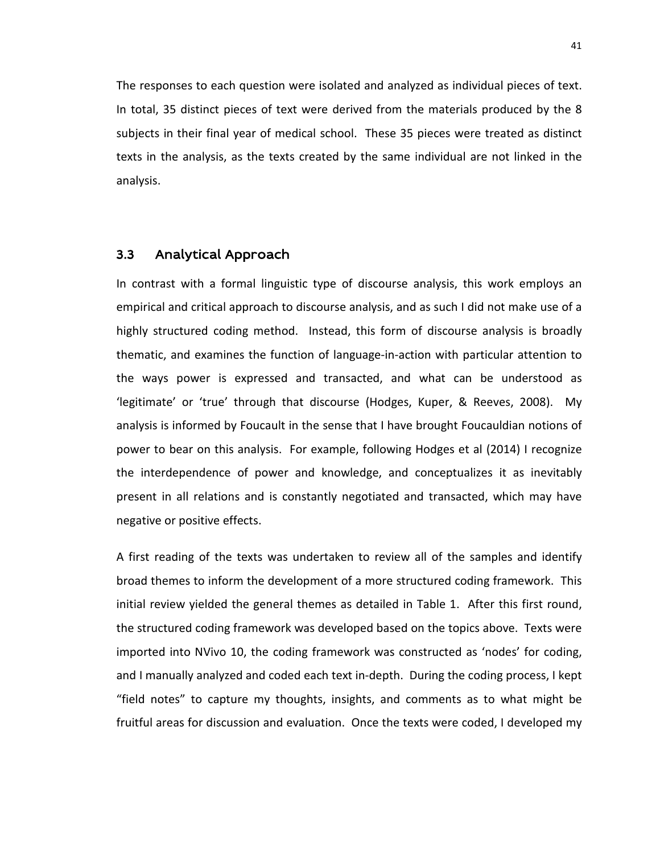The responses to each question were isolated and analyzed as individual pieces of text. In total, 35 distinct pieces of text were derived from the materials produced by the 8 subjects in their final year of medical school. These 35 pieces were treated as distinct texts in the analysis, as the texts created by the same individual are not linked in the analysis.

#### 3.3 Analytical Approach

In contrast with a formal linguistic type of discourse analysis, this work employs an empirical and critical approach to discourse analysis, and as such I did not make use of a highly structured coding method. Instead, this form of discourse analysis is broadly thematic, and examines the function of language-in-action with particular attention to the ways power is expressed and transacted, and what can be understood as 'legitimate' or 'true' through that discourse (Hodges, Kuper, & Reeves, 2008). My analysis is informed by Foucault in the sense that I have brought Foucauldian notions of power to bear on this analysis. For example, following Hodges et al (2014) I recognize the interdependence of power and knowledge, and conceptualizes it as inevitably present in all relations and is constantly negotiated and transacted, which may have negative or positive effects.

A first reading of the texts was undertaken to review all of the samples and identify broad themes to inform the development of a more structured coding framework. This initial review yielded the general themes as detailed in Table 1. After this first round, the structured coding framework was developed based on the topics above. Texts were imported into NVivo 10, the coding framework was constructed as 'nodes' for coding, and I manually analyzed and coded each text in-depth. During the coding process, I kept "field notes" to capture my thoughts, insights, and comments as to what might be fruitful areas for discussion and evaluation. Once the texts were coded, I developed my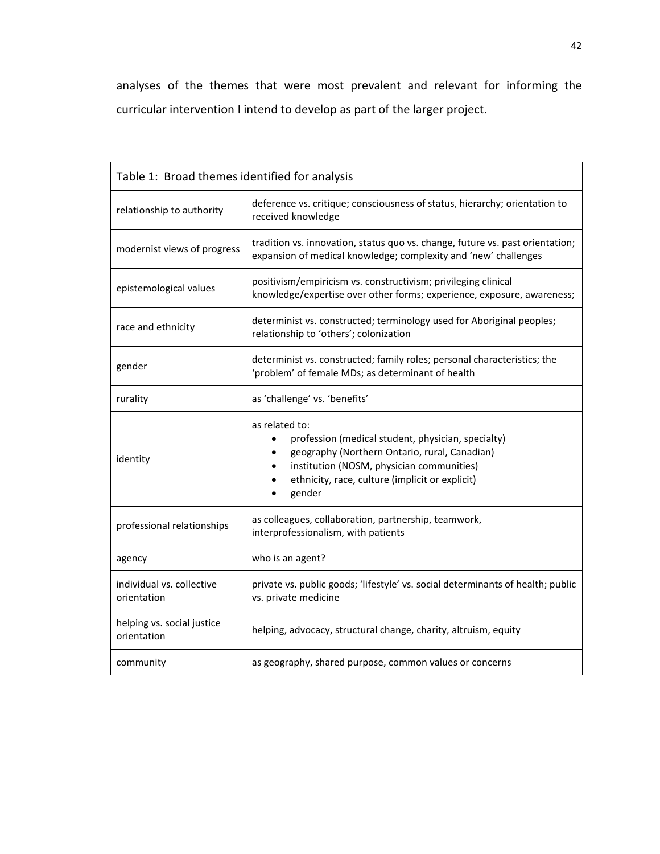analyses of the themes that were most prevalent and relevant for informing the curricular intervention I intend to develop as part of the larger project.

| Table 1: Broad themes identified for analysis |                                                                                                                                                                                                                                 |
|-----------------------------------------------|---------------------------------------------------------------------------------------------------------------------------------------------------------------------------------------------------------------------------------|
| relationship to authority                     | deference vs. critique; consciousness of status, hierarchy; orientation to<br>received knowledge                                                                                                                                |
| modernist views of progress                   | tradition vs. innovation, status quo vs. change, future vs. past orientation;<br>expansion of medical knowledge; complexity and 'new' challenges                                                                                |
| epistemological values                        | positivism/empiricism vs. constructivism; privileging clinical<br>knowledge/expertise over other forms; experience, exposure, awareness;                                                                                        |
| race and ethnicity                            | determinist vs. constructed; terminology used for Aboriginal peoples;<br>relationship to 'others'; colonization                                                                                                                 |
| gender                                        | determinist vs. constructed; family roles; personal characteristics; the<br>'problem' of female MDs; as determinant of health                                                                                                   |
| rurality                                      | as 'challenge' vs. 'benefits'                                                                                                                                                                                                   |
| identity                                      | as related to:<br>profession (medical student, physician, specialty)<br>geography (Northern Ontario, rural, Canadian)<br>institution (NOSM, physician communities)<br>ethnicity, race, culture (implicit or explicit)<br>gender |
| professional relationships                    | as colleagues, collaboration, partnership, teamwork,<br>interprofessionalism, with patients                                                                                                                                     |
| agency                                        | who is an agent?                                                                                                                                                                                                                |
| individual vs. collective<br>orientation      | private vs. public goods; 'lifestyle' vs. social determinants of health; public<br>vs. private medicine                                                                                                                         |
| helping vs. social justice<br>orientation     | helping, advocacy, structural change, charity, altruism, equity                                                                                                                                                                 |
| community                                     | as geography, shared purpose, common values or concerns                                                                                                                                                                         |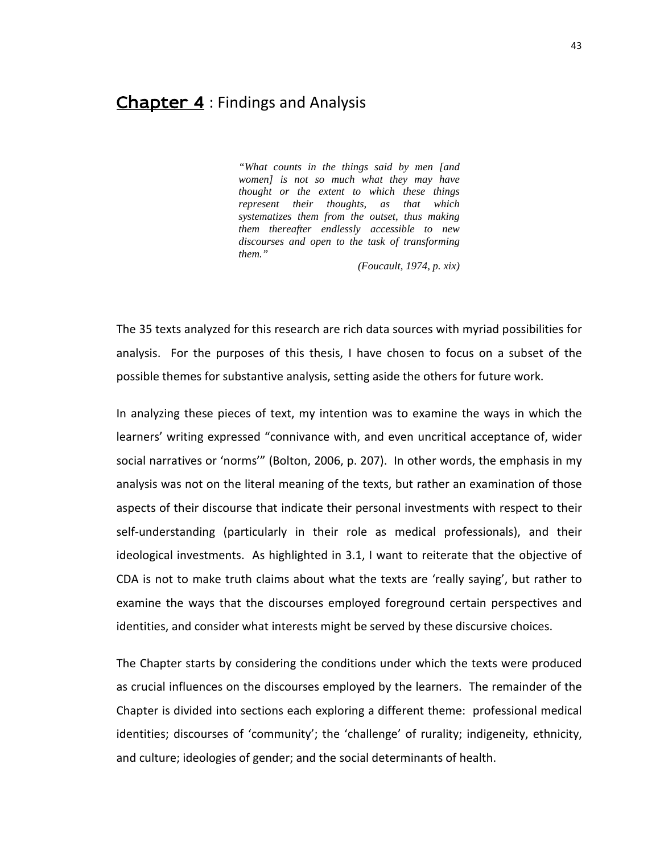## Chapter 4 : Findings and Analysis

*"What counts in the things said by men [and women] is not so much what they may have thought or the extent to which these things represent their thoughts, as that which systematizes them from the outset, thus making them thereafter endlessly accessible to new discourses and open to the task of transforming them."*

*(Foucault, 1974, p. xix)*

The 35 texts analyzed for this research are rich data sources with myriad possibilities for analysis. For the purposes of this thesis, I have chosen to focus on a subset of the possible themes for substantive analysis, setting aside the others for future work.

In analyzing these pieces of text, my intention was to examine the ways in which the learners' writing expressed "connivance with, and even uncritical acceptance of, wider social narratives or 'norms'" (Bolton, 2006, p. 207). In other words, the emphasis in my analysis was not on the literal meaning of the texts, but rather an examination of those aspects of their discourse that indicate their personal investments with respect to their self-understanding (particularly in their role as medical professionals), and their ideological investments. As highlighted in 3.1, I want to reiterate that the objective of CDA is not to make truth claims about what the texts are 'really saying', but rather to examine the ways that the discourses employed foreground certain perspectives and identities, and consider what interests might be served by these discursive choices.

The Chapter starts by considering the conditions under which the texts were produced as crucial influences on the discourses employed by the learners. The remainder of the Chapter is divided into sections each exploring a different theme: professional medical identities; discourses of 'community'; the 'challenge' of rurality; indigeneity, ethnicity, and culture; ideologies of gender; and the social determinants of health.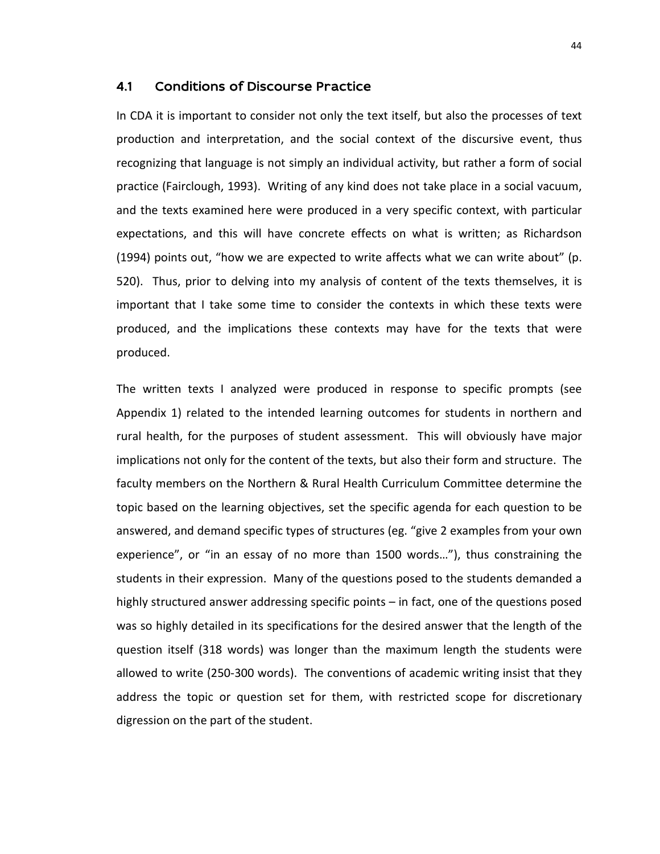#### 4.1 Conditions of Discourse Practice

In CDA it is important to consider not only the text itself, but also the processes of text production and interpretation, and the social context of the discursive event, thus recognizing that language is not simply an individual activity, but rather a form of social practice (Fairclough, 1993). Writing of any kind does not take place in a social vacuum, and the texts examined here were produced in a very specific context, with particular expectations, and this will have concrete effects on what is written; as Richardson (1994) points out, "how we are expected to write affects what we can write about" (p. 520). Thus, prior to delving into my analysis of content of the texts themselves, it is important that I take some time to consider the contexts in which these texts were produced, and the implications these contexts may have for the texts that were produced.

The written texts I analyzed were produced in response to specific prompts (see Appendix 1) related to the intended learning outcomes for students in northern and rural health, for the purposes of student assessment. This will obviously have major implications not only for the content of the texts, but also their form and structure. The faculty members on the Northern & Rural Health Curriculum Committee determine the topic based on the learning objectives, set the specific agenda for each question to be answered, and demand specific types of structures (eg. "give 2 examples from your own experience", or "in an essay of no more than 1500 words…"), thus constraining the students in their expression. Many of the questions posed to the students demanded a highly structured answer addressing specific points – in fact, one of the questions posed was so highly detailed in its specifications for the desired answer that the length of the question itself (318 words) was longer than the maximum length the students were allowed to write (250-300 words). The conventions of academic writing insist that they address the topic or question set for them, with restricted scope for discretionary digression on the part of the student.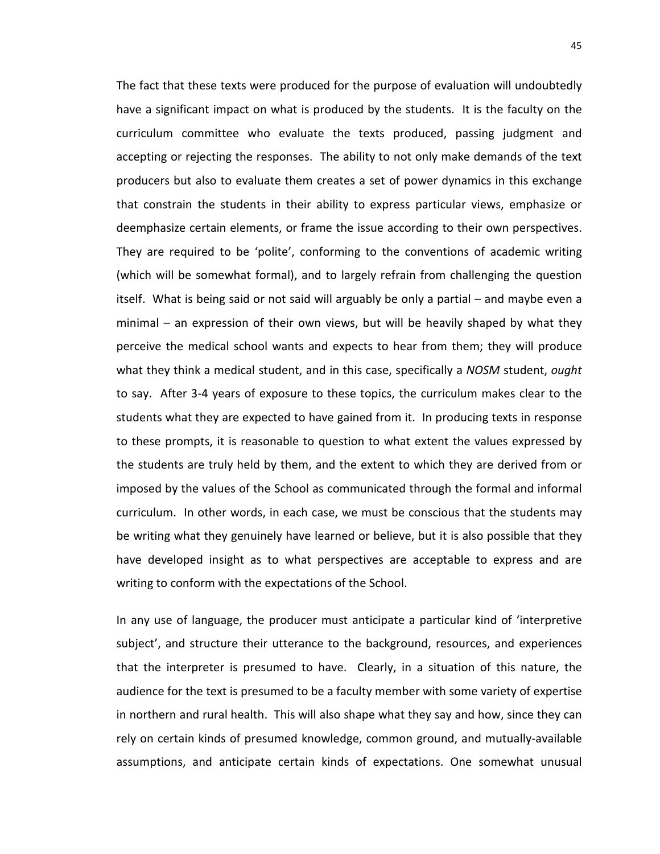The fact that these texts were produced for the purpose of evaluation will undoubtedly have a significant impact on what is produced by the students. It is the faculty on the curriculum committee who evaluate the texts produced, passing judgment and accepting or rejecting the responses. The ability to not only make demands of the text producers but also to evaluate them creates a set of power dynamics in this exchange that constrain the students in their ability to express particular views, emphasize or deemphasize certain elements, or frame the issue according to their own perspectives. They are required to be 'polite', conforming to the conventions of academic writing (which will be somewhat formal), and to largely refrain from challenging the question itself. What is being said or not said will arguably be only a partial – and maybe even a minimal – an expression of their own views, but will be heavily shaped by what they perceive the medical school wants and expects to hear from them; they will produce what they think a medical student, and in this case, specifically a *NOSM* student, *ought* to say. After 3-4 years of exposure to these topics, the curriculum makes clear to the students what they are expected to have gained from it. In producing texts in response to these prompts, it is reasonable to question to what extent the values expressed by the students are truly held by them, and the extent to which they are derived from or imposed by the values of the School as communicated through the formal and informal curriculum. In other words, in each case, we must be conscious that the students may be writing what they genuinely have learned or believe, but it is also possible that they have developed insight as to what perspectives are acceptable to express and are writing to conform with the expectations of the School.

In any use of language, the producer must anticipate a particular kind of 'interpretive subject', and structure their utterance to the background, resources, and experiences that the interpreter is presumed to have. Clearly, in a situation of this nature, the audience for the text is presumed to be a faculty member with some variety of expertise in northern and rural health. This will also shape what they say and how, since they can rely on certain kinds of presumed knowledge, common ground, and mutually-available assumptions, and anticipate certain kinds of expectations. One somewhat unusual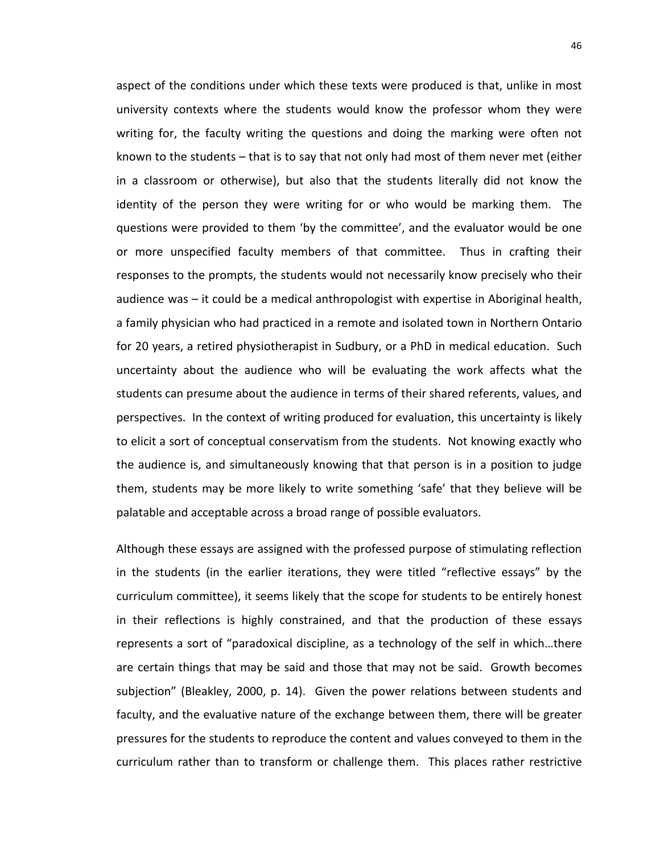aspect of the conditions under which these texts were produced is that, unlike in most university contexts where the students would know the professor whom they were writing for, the faculty writing the questions and doing the marking were often not known to the students – that is to say that not only had most of them never met (either in a classroom or otherwise), but also that the students literally did not know the identity of the person they were writing for or who would be marking them. The questions were provided to them 'by the committee', and the evaluator would be one or more unspecified faculty members of that committee. Thus in crafting their responses to the prompts, the students would not necessarily know precisely who their audience was – it could be a medical anthropologist with expertise in Aboriginal health, a family physician who had practiced in a remote and isolated town in Northern Ontario for 20 years, a retired physiotherapist in Sudbury, or a PhD in medical education. Such uncertainty about the audience who will be evaluating the work affects what the students can presume about the audience in terms of their shared referents, values, and perspectives. In the context of writing produced for evaluation, this uncertainty is likely to elicit a sort of conceptual conservatism from the students. Not knowing exactly who the audience is, and simultaneously knowing that that person is in a position to judge them, students may be more likely to write something 'safe' that they believe will be palatable and acceptable across a broad range of possible evaluators.

Although these essays are assigned with the professed purpose of stimulating reflection in the students (in the earlier iterations, they were titled "reflective essays" by the curriculum committee), it seems likely that the scope for students to be entirely honest in their reflections is highly constrained, and that the production of these essays represents a sort of "paradoxical discipline, as a technology of the self in which…there are certain things that may be said and those that may not be said. Growth becomes subjection" (Bleakley, 2000, p. 14). Given the power relations between students and faculty, and the evaluative nature of the exchange between them, there will be greater pressures for the students to reproduce the content and values conveyed to them in the curriculum rather than to transform or challenge them. This places rather restrictive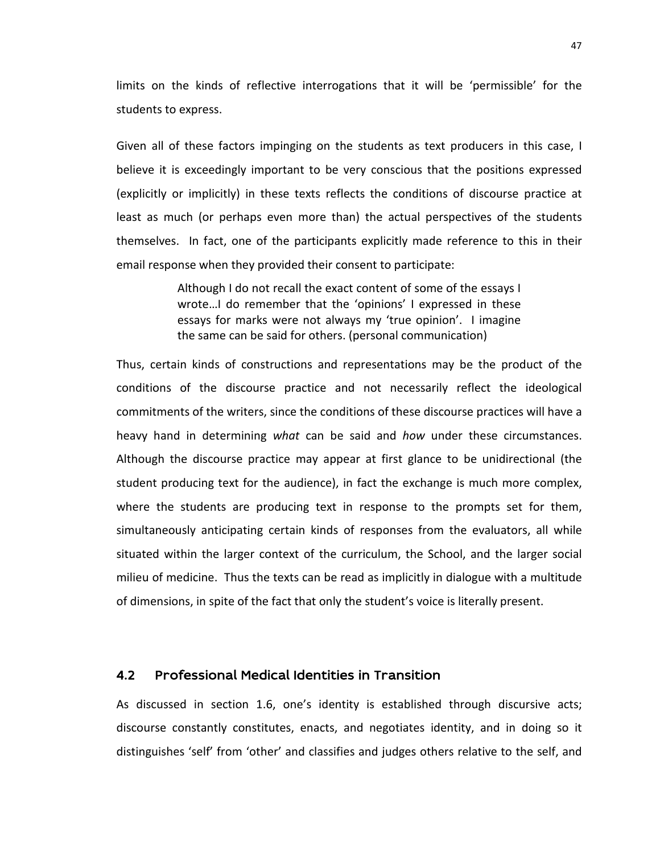limits on the kinds of reflective interrogations that it will be 'permissible' for the students to express.

Given all of these factors impinging on the students as text producers in this case, I believe it is exceedingly important to be very conscious that the positions expressed (explicitly or implicitly) in these texts reflects the conditions of discourse practice at least as much (or perhaps even more than) the actual perspectives of the students themselves. In fact, one of the participants explicitly made reference to this in their email response when they provided their consent to participate:

> Although I do not recall the exact content of some of the essays I wrote…I do remember that the 'opinions' I expressed in these essays for marks were not always my 'true opinion'. I imagine the same can be said for others. (personal communication)

Thus, certain kinds of constructions and representations may be the product of the conditions of the discourse practice and not necessarily reflect the ideological commitments of the writers, since the conditions of these discourse practices will have a heavy hand in determining *what* can be said and *how* under these circumstances. Although the discourse practice may appear at first glance to be unidirectional (the student producing text for the audience), in fact the exchange is much more complex, where the students are producing text in response to the prompts set for them, simultaneously anticipating certain kinds of responses from the evaluators, all while situated within the larger context of the curriculum, the School, and the larger social milieu of medicine. Thus the texts can be read as implicitly in dialogue with a multitude of dimensions, in spite of the fact that only the student's voice is literally present.

#### 4.2 Professional Medical Identities in Transition

As discussed in section 1.6, one's identity is established through discursive acts; discourse constantly constitutes, enacts, and negotiates identity, and in doing so it distinguishes 'self' from 'other' and classifies and judges others relative to the self, and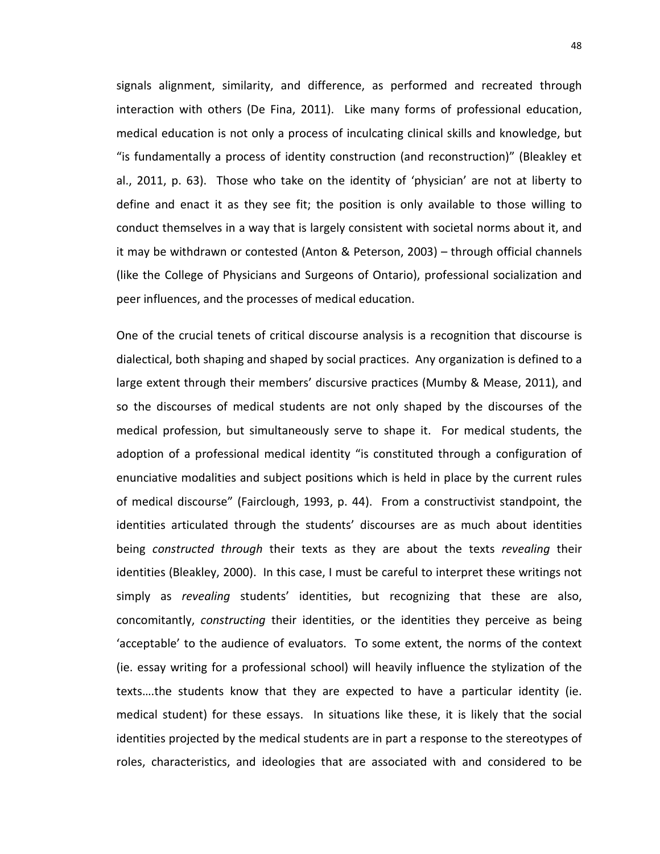signals alignment, similarity, and difference, as performed and recreated through interaction with others (De Fina, 2011). Like many forms of professional education, medical education is not only a process of inculcating clinical skills and knowledge, but "is fundamentally a process of identity construction (and reconstruction)" (Bleakley et al., 2011, p. 63). Those who take on the identity of 'physician' are not at liberty to define and enact it as they see fit; the position is only available to those willing to conduct themselves in a way that is largely consistent with societal norms about it, and it may be withdrawn or contested (Anton & Peterson, 2003) – through official channels (like the College of Physicians and Surgeons of Ontario), professional socialization and peer influences, and the processes of medical education.

One of the crucial tenets of critical discourse analysis is a recognition that discourse is dialectical, both shaping and shaped by social practices. Any organization is defined to a large extent through their members' discursive practices (Mumby & Mease, 2011), and so the discourses of medical students are not only shaped by the discourses of the medical profession, but simultaneously serve to shape it. For medical students, the adoption of a professional medical identity "is constituted through a configuration of enunciative modalities and subject positions which is held in place by the current rules of medical discourse" (Fairclough, 1993, p. 44). From a constructivist standpoint, the identities articulated through the students' discourses are as much about identities being *constructed through* their texts as they are about the texts *revealing* their identities (Bleakley, 2000). In this case, I must be careful to interpret these writings not simply as *revealing* students' identities, but recognizing that these are also, concomitantly, *constructing* their identities, or the identities they perceive as being 'acceptable' to the audience of evaluators. To some extent, the norms of the context (ie. essay writing for a professional school) will heavily influence the stylization of the texts….the students know that they are expected to have a particular identity (ie. medical student) for these essays. In situations like these, it is likely that the social identities projected by the medical students are in part a response to the stereotypes of roles, characteristics, and ideologies that are associated with and considered to be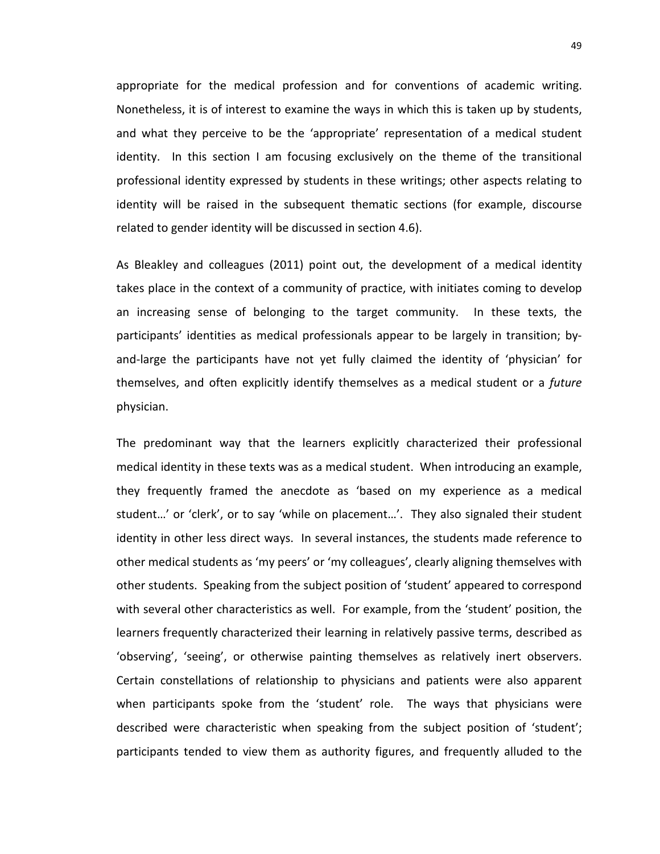appropriate for the medical profession and for conventions of academic writing. Nonetheless, it is of interest to examine the ways in which this is taken up by students, and what they perceive to be the 'appropriate' representation of a medical student identity. In this section I am focusing exclusively on the theme of the transitional professional identity expressed by students in these writings; other aspects relating to identity will be raised in the subsequent thematic sections (for example, discourse related to gender identity will be discussed in section 4.6).

As Bleakley and colleagues (2011) point out, the development of a medical identity takes place in the context of a community of practice, with initiates coming to develop an increasing sense of belonging to the target community. In these texts, the participants' identities as medical professionals appear to be largely in transition; byand-large the participants have not yet fully claimed the identity of 'physician' for themselves, and often explicitly identify themselves as a medical student or a *future* physician.

The predominant way that the learners explicitly characterized their professional medical identity in these texts was as a medical student. When introducing an example, they frequently framed the anecdote as 'based on my experience as a medical student…' or 'clerk', or to say 'while on placement…'. They also signaled their student identity in other less direct ways. In several instances, the students made reference to other medical students as 'my peers' or 'my colleagues', clearly aligning themselves with other students. Speaking from the subject position of 'student' appeared to correspond with several other characteristics as well. For example, from the 'student' position, the learners frequently characterized their learning in relatively passive terms, described as 'observing', 'seeing', or otherwise painting themselves as relatively inert observers. Certain constellations of relationship to physicians and patients were also apparent when participants spoke from the 'student' role. The ways that physicians were described were characteristic when speaking from the subject position of 'student'; participants tended to view them as authority figures, and frequently alluded to the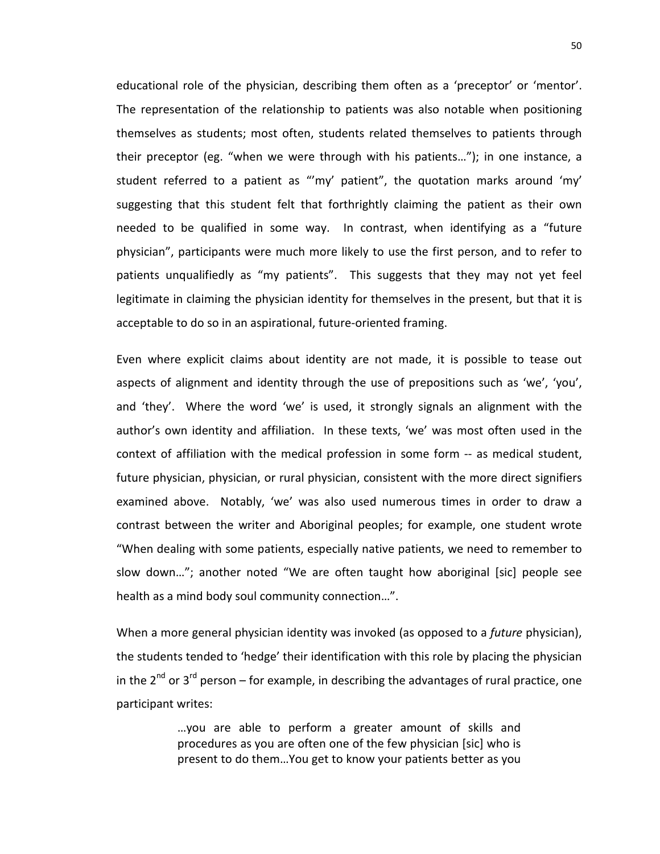educational role of the physician, describing them often as a 'preceptor' or 'mentor'. The representation of the relationship to patients was also notable when positioning themselves as students; most often, students related themselves to patients through their preceptor (eg. "when we were through with his patients…"); in one instance, a student referred to a patient as "'my' patient", the quotation marks around 'my' suggesting that this student felt that forthrightly claiming the patient as their own needed to be qualified in some way. In contrast, when identifying as a "future physician", participants were much more likely to use the first person, and to refer to patients unqualifiedly as "my patients". This suggests that they may not yet feel legitimate in claiming the physician identity for themselves in the present, but that it is acceptable to do so in an aspirational, future-oriented framing.

Even where explicit claims about identity are not made, it is possible to tease out aspects of alignment and identity through the use of prepositions such as 'we', 'you', and 'they'. Where the word 'we' is used, it strongly signals an alignment with the author's own identity and affiliation. In these texts, 'we' was most often used in the context of affiliation with the medical profession in some form -- as medical student, future physician, physician, or rural physician, consistent with the more direct signifiers examined above. Notably, 'we' was also used numerous times in order to draw a contrast between the writer and Aboriginal peoples; for example, one student wrote "When dealing with some patients, especially native patients, we need to remember to slow down…"; another noted "We are often taught how aboriginal [sic] people see health as a mind body soul community connection…".

When a more general physician identity was invoked (as opposed to a *future* physician), the students tended to 'hedge' their identification with this role by placing the physician in the  $2^{nd}$  or  $3^{rd}$  person – for example, in describing the advantages of rural practice, one participant writes:

> …you are able to perform a greater amount of skills and procedures as you are often one of the few physician [sic] who is present to do them…You get to know your patients better as you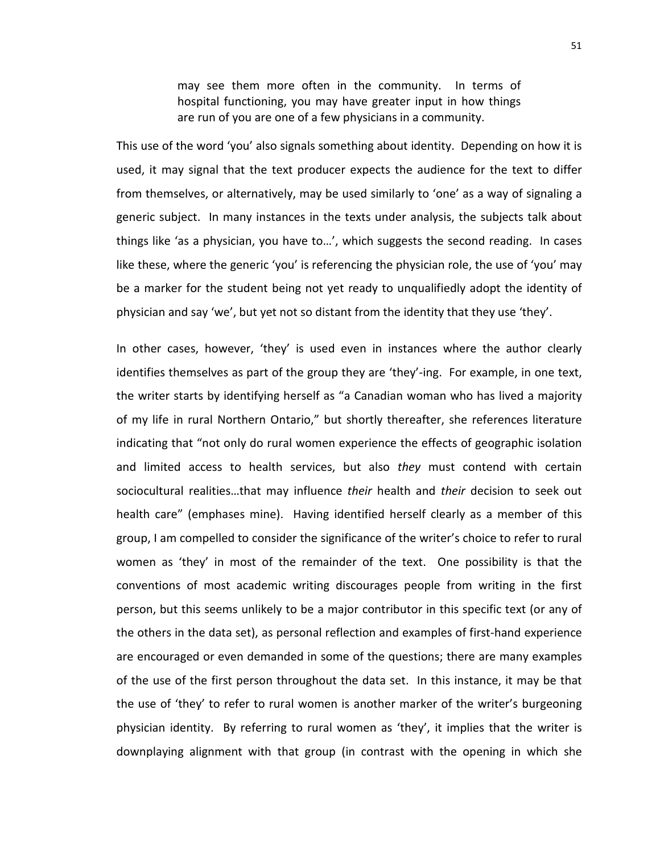may see them more often in the community. In terms of hospital functioning, you may have greater input in how things are run of you are one of a few physicians in a community.

This use of the word 'you' also signals something about identity. Depending on how it is used, it may signal that the text producer expects the audience for the text to differ from themselves, or alternatively, may be used similarly to 'one' as a way of signaling a generic subject. In many instances in the texts under analysis, the subjects talk about things like 'as a physician, you have to…', which suggests the second reading. In cases like these, where the generic 'you' is referencing the physician role, the use of 'you' may be a marker for the student being not yet ready to unqualifiedly adopt the identity of physician and say 'we', but yet not so distant from the identity that they use 'they'.

In other cases, however, 'they' is used even in instances where the author clearly identifies themselves as part of the group they are 'they'-ing. For example, in one text, the writer starts by identifying herself as "a Canadian woman who has lived a majority of my life in rural Northern Ontario," but shortly thereafter, she references literature indicating that "not only do rural women experience the effects of geographic isolation and limited access to health services, but also *they* must contend with certain sociocultural realities…that may influence *their* health and *their* decision to seek out health care" (emphases mine). Having identified herself clearly as a member of this group, I am compelled to consider the significance of the writer's choice to refer to rural women as 'they' in most of the remainder of the text. One possibility is that the conventions of most academic writing discourages people from writing in the first person, but this seems unlikely to be a major contributor in this specific text (or any of the others in the data set), as personal reflection and examples of first-hand experience are encouraged or even demanded in some of the questions; there are many examples of the use of the first person throughout the data set. In this instance, it may be that the use of 'they' to refer to rural women is another marker of the writer's burgeoning physician identity. By referring to rural women as 'they', it implies that the writer is downplaying alignment with that group (in contrast with the opening in which she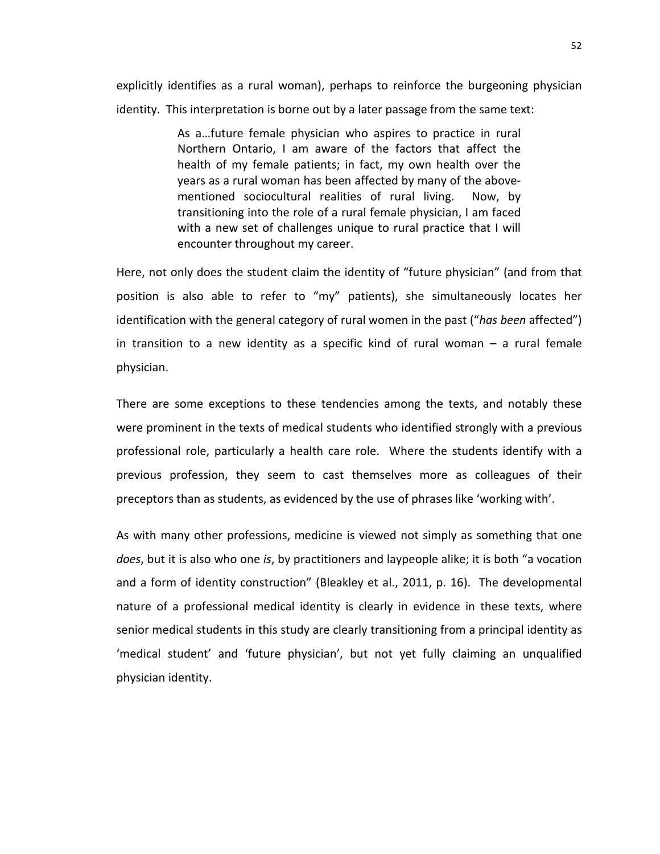explicitly identifies as a rural woman), perhaps to reinforce the burgeoning physician identity. This interpretation is borne out by a later passage from the same text:

> As a…future female physician who aspires to practice in rural Northern Ontario, I am aware of the factors that affect the health of my female patients; in fact, my own health over the years as a rural woman has been affected by many of the abovementioned sociocultural realities of rural living. Now, by transitioning into the role of a rural female physician, I am faced with a new set of challenges unique to rural practice that I will encounter throughout my career.

Here, not only does the student claim the identity of "future physician" (and from that position is also able to refer to "my" patients), she simultaneously locates her identification with the general category of rural women in the past ("*has been* affected") in transition to a new identity as a specific kind of rural woman – a rural female physician.

There are some exceptions to these tendencies among the texts, and notably these were prominent in the texts of medical students who identified strongly with a previous professional role, particularly a health care role. Where the students identify with a previous profession, they seem to cast themselves more as colleagues of their preceptors than as students, as evidenced by the use of phrases like 'working with'.

As with many other professions, medicine is viewed not simply as something that one *does*, but it is also who one *is*, by practitioners and laypeople alike; it is both "a vocation and a form of identity construction" (Bleakley et al., 2011, p. 16). The developmental nature of a professional medical identity is clearly in evidence in these texts, where senior medical students in this study are clearly transitioning from a principal identity as 'medical student' and 'future physician', but not yet fully claiming an unqualified physician identity.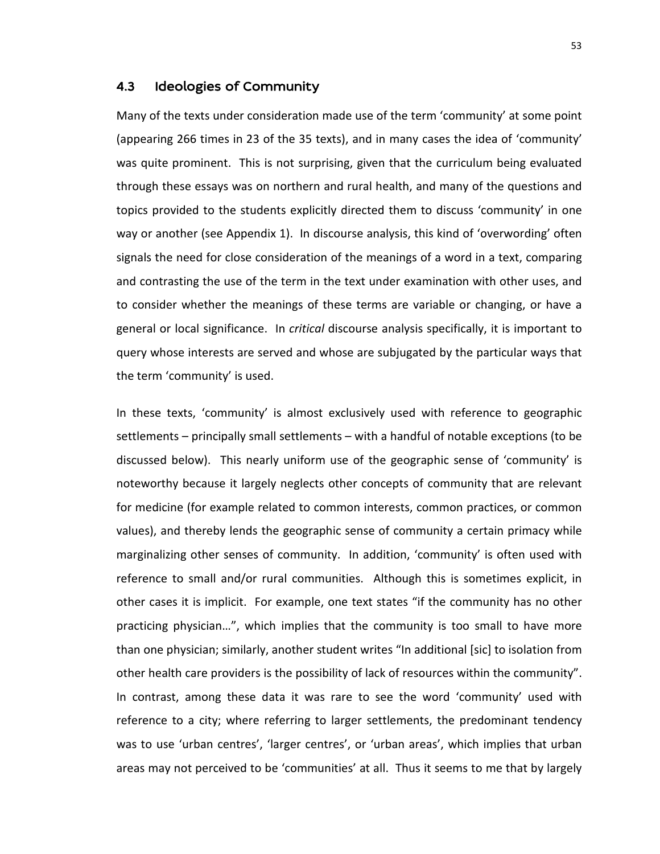#### 4.3 Ideologies of Community

Many of the texts under consideration made use of the term 'community' at some point (appearing 266 times in 23 of the 35 texts), and in many cases the idea of 'community' was quite prominent. This is not surprising, given that the curriculum being evaluated through these essays was on northern and rural health, and many of the questions and topics provided to the students explicitly directed them to discuss 'community' in one way or another (see Appendix 1). In discourse analysis, this kind of 'overwording' often signals the need for close consideration of the meanings of a word in a text, comparing and contrasting the use of the term in the text under examination with other uses, and to consider whether the meanings of these terms are variable or changing, or have a general or local significance. In *critical* discourse analysis specifically, it is important to query whose interests are served and whose are subjugated by the particular ways that the term 'community' is used.

In these texts, 'community' is almost exclusively used with reference to geographic settlements – principally small settlements – with a handful of notable exceptions (to be discussed below). This nearly uniform use of the geographic sense of 'community' is noteworthy because it largely neglects other concepts of community that are relevant for medicine (for example related to common interests, common practices, or common values), and thereby lends the geographic sense of community a certain primacy while marginalizing other senses of community. In addition, 'community' is often used with reference to small and/or rural communities. Although this is sometimes explicit, in other cases it is implicit. For example, one text states "if the community has no other practicing physician…", which implies that the community is too small to have more than one physician; similarly, another student writes "In additional [sic] to isolation from other health care providers is the possibility of lack of resources within the community". In contrast, among these data it was rare to see the word 'community' used with reference to a city; where referring to larger settlements, the predominant tendency was to use 'urban centres', 'larger centres', or 'urban areas', which implies that urban areas may not perceived to be 'communities' at all. Thus it seems to me that by largely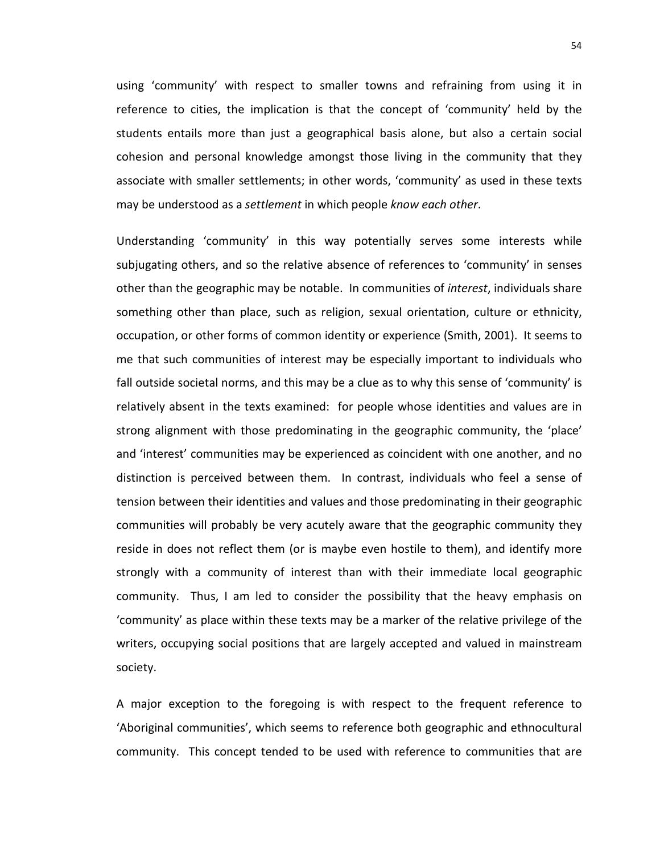using 'community' with respect to smaller towns and refraining from using it in reference to cities, the implication is that the concept of 'community' held by the students entails more than just a geographical basis alone, but also a certain social cohesion and personal knowledge amongst those living in the community that they associate with smaller settlements; in other words, 'community' as used in these texts may be understood as a *settlement* in which people *know each other*.

Understanding 'community' in this way potentially serves some interests while subjugating others, and so the relative absence of references to 'community' in senses other than the geographic may be notable. In communities of *interest*, individuals share something other than place, such as religion, sexual orientation, culture or ethnicity, occupation, or other forms of common identity or experience (Smith, 2001). It seems to me that such communities of interest may be especially important to individuals who fall outside societal norms, and this may be a clue as to why this sense of 'community' is relatively absent in the texts examined: for people whose identities and values are in strong alignment with those predominating in the geographic community, the 'place' and 'interest' communities may be experienced as coincident with one another, and no distinction is perceived between them. In contrast, individuals who feel a sense of tension between their identities and values and those predominating in their geographic communities will probably be very acutely aware that the geographic community they reside in does not reflect them (or is maybe even hostile to them), and identify more strongly with a community of interest than with their immediate local geographic community. Thus, I am led to consider the possibility that the heavy emphasis on 'community' as place within these texts may be a marker of the relative privilege of the writers, occupying social positions that are largely accepted and valued in mainstream society.

A major exception to the foregoing is with respect to the frequent reference to 'Aboriginal communities', which seems to reference both geographic and ethnocultural community. This concept tended to be used with reference to communities that are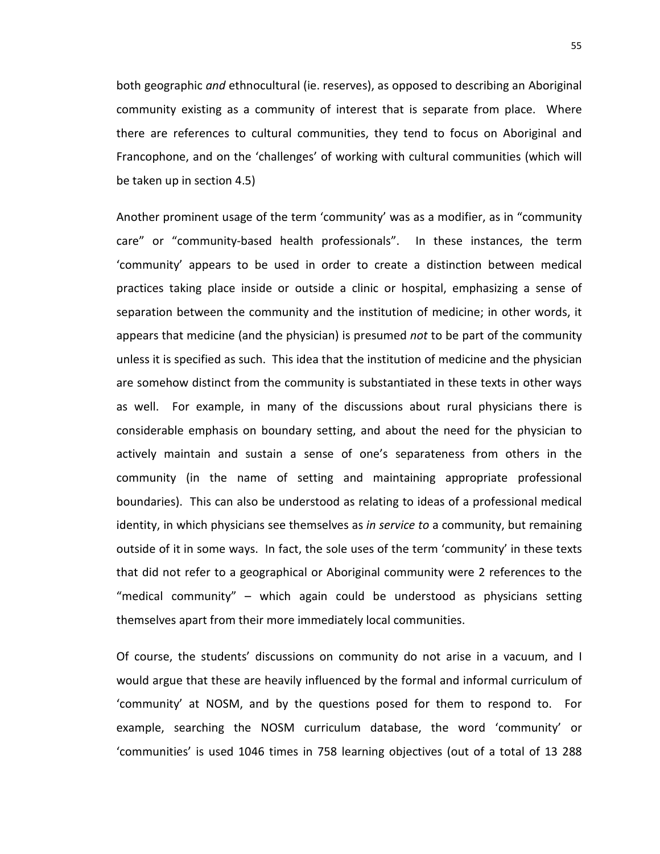both geographic *and* ethnocultural (ie. reserves), as opposed to describing an Aboriginal community existing as a community of interest that is separate from place. Where there are references to cultural communities, they tend to focus on Aboriginal and Francophone, and on the 'challenges' of working with cultural communities (which will be taken up in section 4.5)

Another prominent usage of the term 'community' was as a modifier, as in "community care" or "community-based health professionals". In these instances, the term 'community' appears to be used in order to create a distinction between medical practices taking place inside or outside a clinic or hospital, emphasizing a sense of separation between the community and the institution of medicine; in other words, it appears that medicine (and the physician) is presumed *not* to be part of the community unless it is specified as such. This idea that the institution of medicine and the physician are somehow distinct from the community is substantiated in these texts in other ways as well. For example, in many of the discussions about rural physicians there is considerable emphasis on boundary setting, and about the need for the physician to actively maintain and sustain a sense of one's separateness from others in the community (in the name of setting and maintaining appropriate professional boundaries). This can also be understood as relating to ideas of a professional medical identity, in which physicians see themselves as *in service to* a community, but remaining outside of it in some ways. In fact, the sole uses of the term 'community' in these texts that did not refer to a geographical or Aboriginal community were 2 references to the "medical community" – which again could be understood as physicians setting themselves apart from their more immediately local communities.

Of course, the students' discussions on community do not arise in a vacuum, and I would argue that these are heavily influenced by the formal and informal curriculum of 'community' at NOSM, and by the questions posed for them to respond to. For example, searching the NOSM curriculum database, the word 'community' or 'communities' is used 1046 times in 758 learning objectives (out of a total of 13 288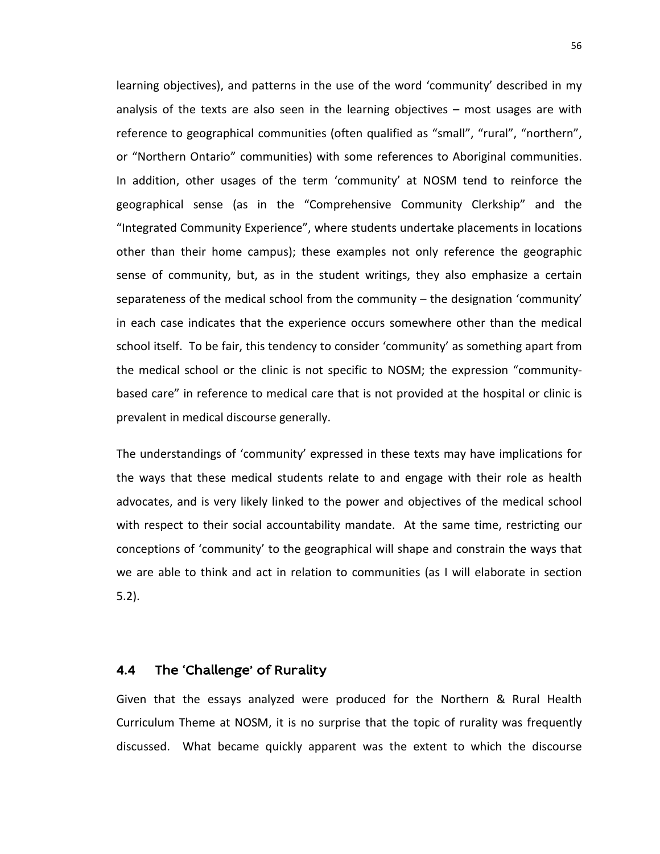learning objectives), and patterns in the use of the word 'community' described in my analysis of the texts are also seen in the learning objectives – most usages are with reference to geographical communities (often qualified as "small", "rural", "northern", or "Northern Ontario" communities) with some references to Aboriginal communities. In addition, other usages of the term 'community' at NOSM tend to reinforce the geographical sense (as in the "Comprehensive Community Clerkship" and the "Integrated Community Experience", where students undertake placements in locations other than their home campus); these examples not only reference the geographic sense of community, but, as in the student writings, they also emphasize a certain separateness of the medical school from the community – the designation 'community' in each case indicates that the experience occurs somewhere other than the medical school itself. To be fair, this tendency to consider 'community' as something apart from the medical school or the clinic is not specific to NOSM; the expression "communitybased care" in reference to medical care that is not provided at the hospital or clinic is prevalent in medical discourse generally.

The understandings of 'community' expressed in these texts may have implications for the ways that these medical students relate to and engage with their role as health advocates, and is very likely linked to the power and objectives of the medical school with respect to their social accountability mandate. At the same time, restricting our conceptions of 'community' to the geographical will shape and constrain the ways that we are able to think and act in relation to communities (as I will elaborate in section 5.2).

### 4.4 The 'Challenge' of Rurality

Given that the essays analyzed were produced for the Northern & Rural Health Curriculum Theme at NOSM, it is no surprise that the topic of rurality was frequently discussed. What became quickly apparent was the extent to which the discourse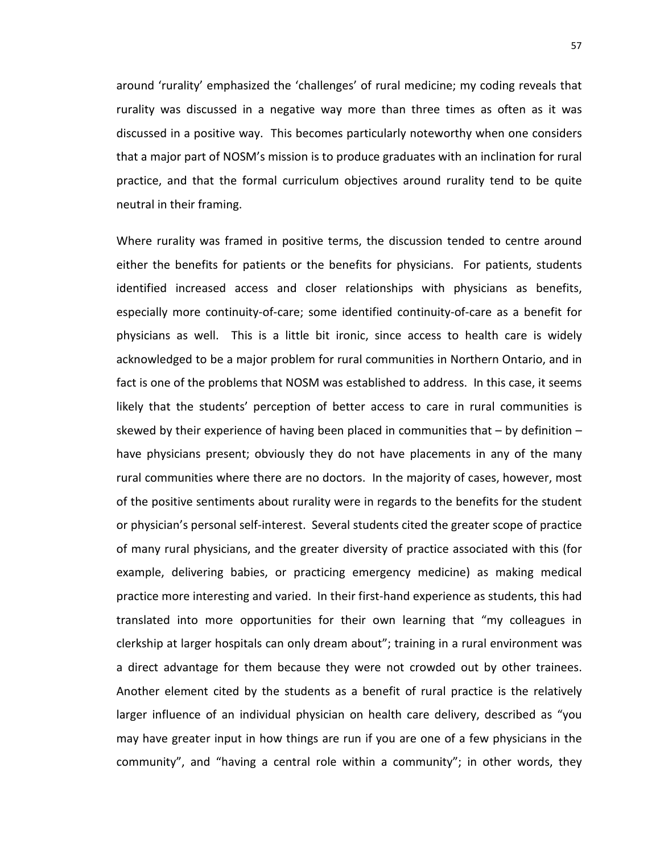around 'rurality' emphasized the 'challenges' of rural medicine; my coding reveals that rurality was discussed in a negative way more than three times as often as it was discussed in a positive way. This becomes particularly noteworthy when one considers that a major part of NOSM's mission is to produce graduates with an inclination for rural practice, and that the formal curriculum objectives around rurality tend to be quite neutral in their framing.

Where rurality was framed in positive terms, the discussion tended to centre around either the benefits for patients or the benefits for physicians. For patients, students identified increased access and closer relationships with physicians as benefits, especially more continuity-of-care; some identified continuity-of-care as a benefit for physicians as well. This is a little bit ironic, since access to health care is widely acknowledged to be a major problem for rural communities in Northern Ontario, and in fact is one of the problems that NOSM was established to address. In this case, it seems likely that the students' perception of better access to care in rural communities is skewed by their experience of having been placed in communities that  $-$  by definition  $$ have physicians present; obviously they do not have placements in any of the many rural communities where there are no doctors. In the majority of cases, however, most of the positive sentiments about rurality were in regards to the benefits for the student or physician's personal self-interest. Several students cited the greater scope of practice of many rural physicians, and the greater diversity of practice associated with this (for example, delivering babies, or practicing emergency medicine) as making medical practice more interesting and varied. In their first-hand experience as students, this had translated into more opportunities for their own learning that "my colleagues in clerkship at larger hospitals can only dream about"; training in a rural environment was a direct advantage for them because they were not crowded out by other trainees. Another element cited by the students as a benefit of rural practice is the relatively larger influence of an individual physician on health care delivery, described as "you may have greater input in how things are run if you are one of a few physicians in the community", and "having a central role within a community"; in other words, they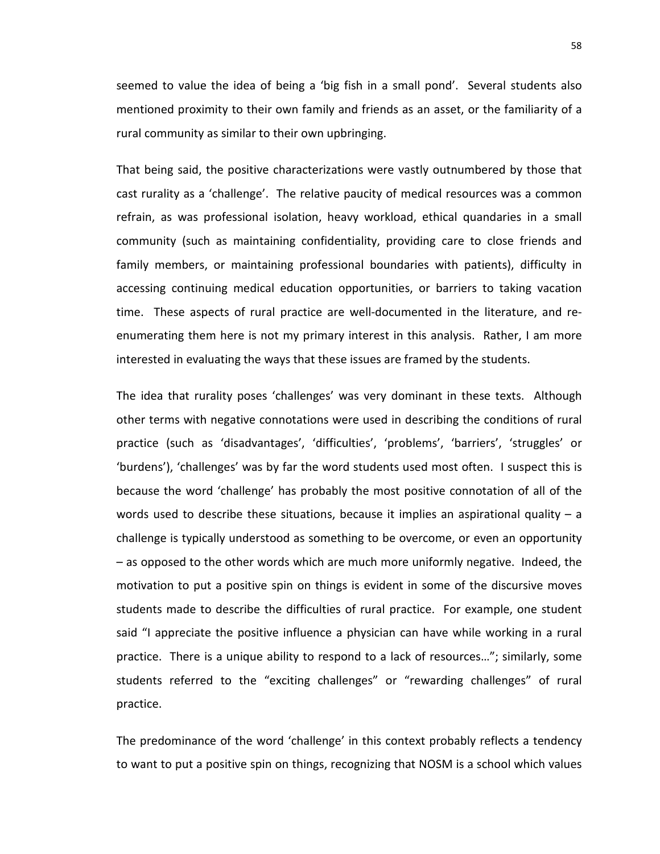seemed to value the idea of being a 'big fish in a small pond'. Several students also mentioned proximity to their own family and friends as an asset, or the familiarity of a rural community as similar to their own upbringing.

That being said, the positive characterizations were vastly outnumbered by those that cast rurality as a 'challenge'. The relative paucity of medical resources was a common refrain, as was professional isolation, heavy workload, ethical quandaries in a small community (such as maintaining confidentiality, providing care to close friends and family members, or maintaining professional boundaries with patients), difficulty in accessing continuing medical education opportunities, or barriers to taking vacation time. These aspects of rural practice are well-documented in the literature, and reenumerating them here is not my primary interest in this analysis. Rather, I am more interested in evaluating the ways that these issues are framed by the students.

The idea that rurality poses 'challenges' was very dominant in these texts. Although other terms with negative connotations were used in describing the conditions of rural practice (such as 'disadvantages', 'difficulties', 'problems', 'barriers', 'struggles' or 'burdens'), 'challenges' was by far the word students used most often. I suspect this is because the word 'challenge' has probably the most positive connotation of all of the words used to describe these situations, because it implies an aspirational quality  $- a$ challenge is typically understood as something to be overcome, or even an opportunity – as opposed to the other words which are much more uniformly negative. Indeed, the motivation to put a positive spin on things is evident in some of the discursive moves students made to describe the difficulties of rural practice. For example, one student said "I appreciate the positive influence a physician can have while working in a rural practice. There is a unique ability to respond to a lack of resources…"; similarly, some students referred to the "exciting challenges" or "rewarding challenges" of rural practice.

The predominance of the word 'challenge' in this context probably reflects a tendency to want to put a positive spin on things, recognizing that NOSM is a school which values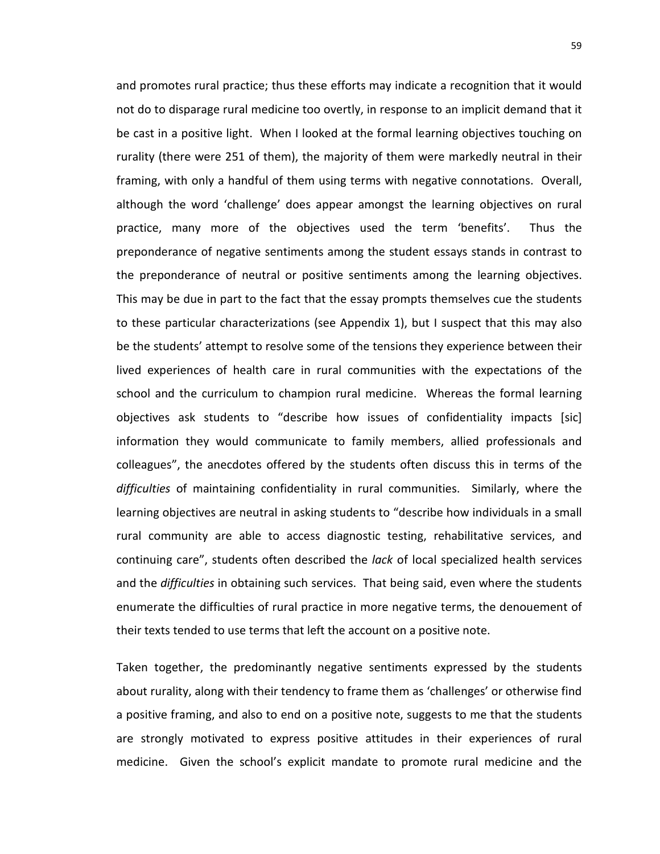and promotes rural practice; thus these efforts may indicate a recognition that it would not do to disparage rural medicine too overtly, in response to an implicit demand that it be cast in a positive light. When I looked at the formal learning objectives touching on rurality (there were 251 of them), the majority of them were markedly neutral in their framing, with only a handful of them using terms with negative connotations. Overall, although the word 'challenge' does appear amongst the learning objectives on rural practice, many more of the objectives used the term 'benefits'. Thus the preponderance of negative sentiments among the student essays stands in contrast to the preponderance of neutral or positive sentiments among the learning objectives. This may be due in part to the fact that the essay prompts themselves cue the students to these particular characterizations (see Appendix 1), but I suspect that this may also be the students' attempt to resolve some of the tensions they experience between their lived experiences of health care in rural communities with the expectations of the school and the curriculum to champion rural medicine. Whereas the formal learning objectives ask students to "describe how issues of confidentiality impacts [sic] information they would communicate to family members, allied professionals and colleagues", the anecdotes offered by the students often discuss this in terms of the *difficulties* of maintaining confidentiality in rural communities. Similarly, where the learning objectives are neutral in asking students to "describe how individuals in a small rural community are able to access diagnostic testing, rehabilitative services, and continuing care", students often described the *lack* of local specialized health services and the *difficulties* in obtaining such services. That being said, even where the students enumerate the difficulties of rural practice in more negative terms, the denouement of their texts tended to use terms that left the account on a positive note.

Taken together, the predominantly negative sentiments expressed by the students about rurality, along with their tendency to frame them as 'challenges' or otherwise find a positive framing, and also to end on a positive note, suggests to me that the students are strongly motivated to express positive attitudes in their experiences of rural medicine. Given the school's explicit mandate to promote rural medicine and the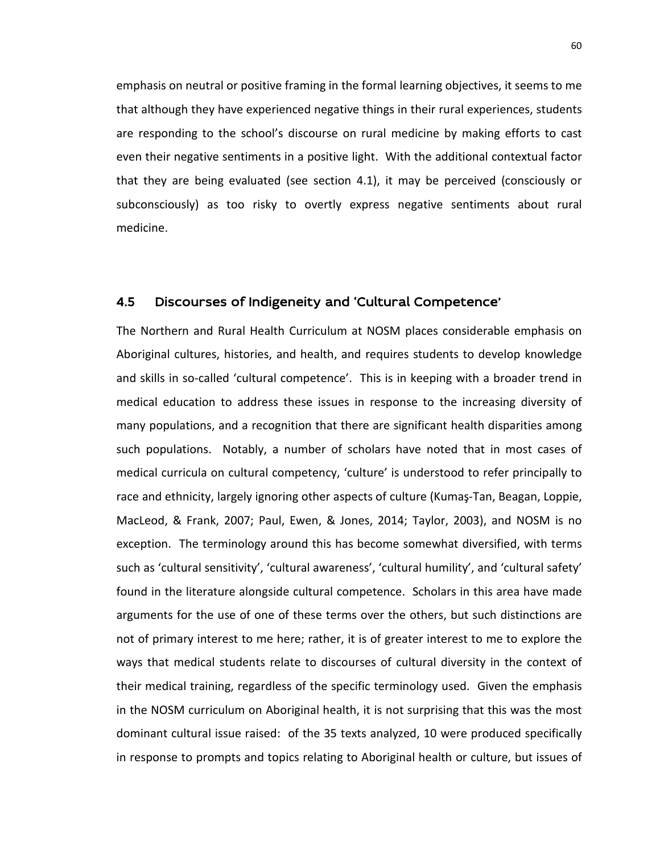emphasis on neutral or positive framing in the formal learning objectives, it seems to me that although they have experienced negative things in their rural experiences, students are responding to the school's discourse on rural medicine by making efforts to cast even their negative sentiments in a positive light. With the additional contextual factor that they are being evaluated (see section 4.1), it may be perceived (consciously or subconsciously) as too risky to overtly express negative sentiments about rural medicine.

#### 4.5 Discourses of Indigeneity and 'Cultural Competence'

The Northern and Rural Health Curriculum at NOSM places considerable emphasis on Aboriginal cultures, histories, and health, and requires students to develop knowledge and skills in so-called 'cultural competence'. This is in keeping with a broader trend in medical education to address these issues in response to the increasing diversity of many populations, and a recognition that there are significant health disparities among such populations. Notably, a number of scholars have noted that in most cases of medical curricula on cultural competency, 'culture' is understood to refer principally to race and ethnicity, largely ignoring other aspects of culture (Kumaş-Tan, Beagan, Loppie, MacLeod, & Frank, 2007; Paul, Ewen, & Jones, 2014; Taylor, 2003), and NOSM is no exception. The terminology around this has become somewhat diversified, with terms such as 'cultural sensitivity', 'cultural awareness', 'cultural humility', and 'cultural safety' found in the literature alongside cultural competence. Scholars in this area have made arguments for the use of one of these terms over the others, but such distinctions are not of primary interest to me here; rather, it is of greater interest to me to explore the ways that medical students relate to discourses of cultural diversity in the context of their medical training, regardless of the specific terminology used. Given the emphasis in the NOSM curriculum on Aboriginal health, it is not surprising that this was the most dominant cultural issue raised: of the 35 texts analyzed, 10 were produced specifically in response to prompts and topics relating to Aboriginal health or culture, but issues of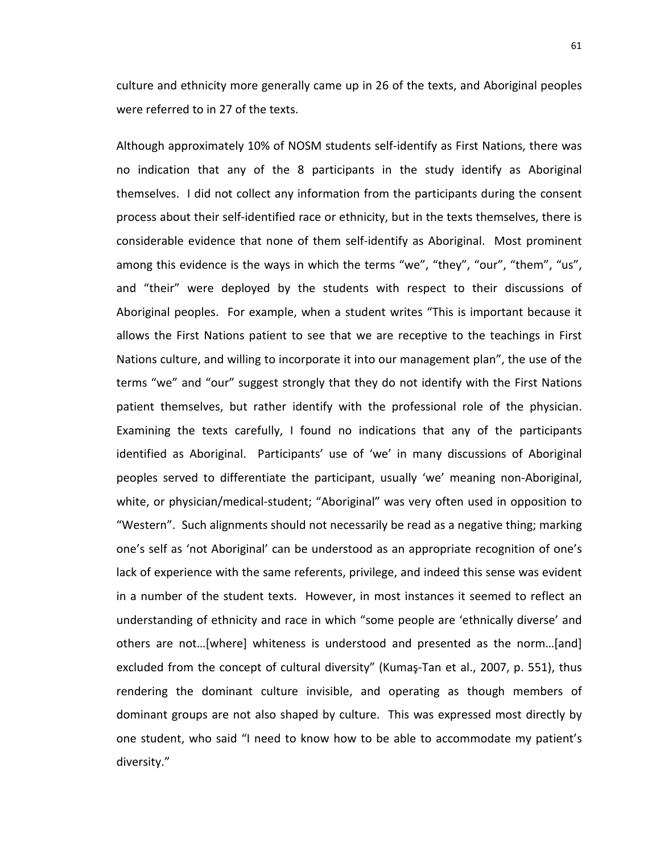culture and ethnicity more generally came up in 26 of the texts, and Aboriginal peoples were referred to in 27 of the texts.

Although approximately 10% of NOSM students self-identify as First Nations, there was no indication that any of the 8 participants in the study identify as Aboriginal themselves. I did not collect any information from the participants during the consent process about their self-identified race or ethnicity, but in the texts themselves, there is considerable evidence that none of them self-identify as Aboriginal. Most prominent among this evidence is the ways in which the terms "we", "they", "our", "them", "us", and "their" were deployed by the students with respect to their discussions of Aboriginal peoples. For example, when a student writes "This is important because it allows the First Nations patient to see that we are receptive to the teachings in First Nations culture, and willing to incorporate it into our management plan", the use of the terms "we" and "our" suggest strongly that they do not identify with the First Nations patient themselves, but rather identify with the professional role of the physician. Examining the texts carefully, I found no indications that any of the participants identified as Aboriginal. Participants' use of 'we' in many discussions of Aboriginal peoples served to differentiate the participant, usually 'we' meaning non-Aboriginal, white, or physician/medical-student; "Aboriginal" was very often used in opposition to "Western". Such alignments should not necessarily be read as a negative thing; marking one's self as 'not Aboriginal' can be understood as an appropriate recognition of one's lack of experience with the same referents, privilege, and indeed this sense was evident in a number of the student texts. However, in most instances it seemed to reflect an understanding of ethnicity and race in which "some people are 'ethnically diverse' and others are not…[where] whiteness is understood and presented as the norm…[and] excluded from the concept of cultural diversity" (Kumaş-Tan et al., 2007, p. 551), thus rendering the dominant culture invisible, and operating as though members of dominant groups are not also shaped by culture. This was expressed most directly by one student, who said "I need to know how to be able to accommodate my patient's diversity."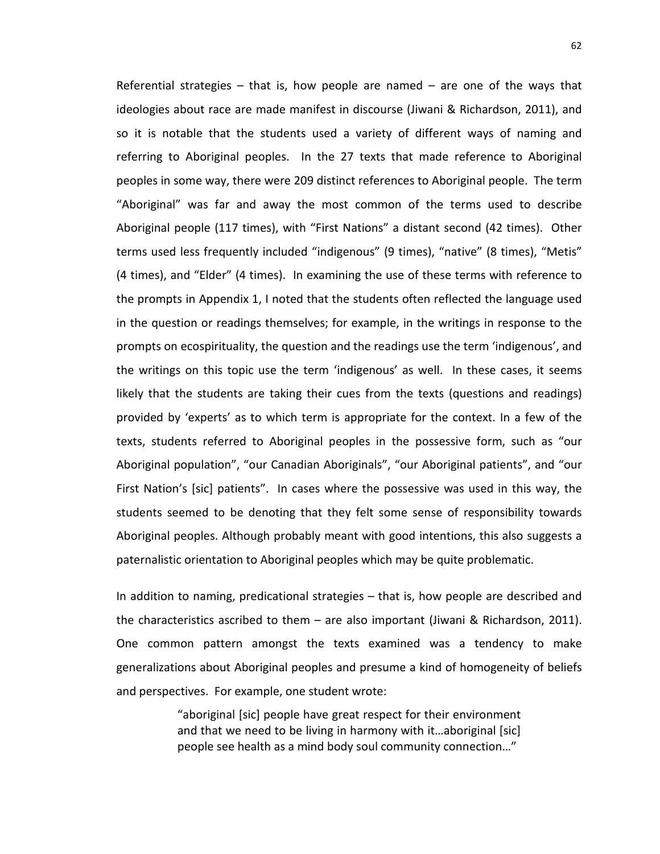Referential strategies – that is, how people are named – are one of the ways that ideologies about race are made manifest in discourse (Jiwani & Richardson, 2011), and so it is notable that the students used a variety of different ways of naming and referring to Aboriginal peoples. In the 27 texts that made reference to Aboriginal peoples in some way, there were 209 distinct references to Aboriginal people. The term "Aboriginal" was far and away the most common of the terms used to describe Aboriginal people (117 times), with "First Nations" a distant second (42 times). Other terms used less frequently included "indigenous" (9 times), "native" (8 times), "Metis" (4 times), and "Elder" (4 times). In examining the use of these terms with reference to the prompts in Appendix 1, I noted that the students often reflected the language used in the question or readings themselves; for example, in the writings in response to the prompts on ecospirituality, the question and the readings use the term 'indigenous', and the writings on this topic use the term 'indigenous' as well. In these cases, it seems likely that the students are taking their cues from the texts (questions and readings) provided by 'experts' as to which term is appropriate for the context. In a few of the texts, students referred to Aboriginal peoples in the possessive form, such as "our Aboriginal population", "our Canadian Aboriginals", "our Aboriginal patients", and "our First Nation's [sic] patients". In cases where the possessive was used in this way, the students seemed to be denoting that they felt some sense of responsibility towards Aboriginal peoples. Although probably meant with good intentions, this also suggests a paternalistic orientation to Aboriginal peoples which may be quite problematic.

In addition to naming, predicational strategies – that is, how people are described and the characteristics ascribed to them – are also important (Jiwani & Richardson, 2011). One common pattern amongst the texts examined was a tendency to make generalizations about Aboriginal peoples and presume a kind of homogeneity of beliefs and perspectives. For example, one student wrote:

> "aboriginal [sic] people have great respect for their environment and that we need to be living in harmony with it...aboriginal [sic] people see health as a mind body soul community connection…"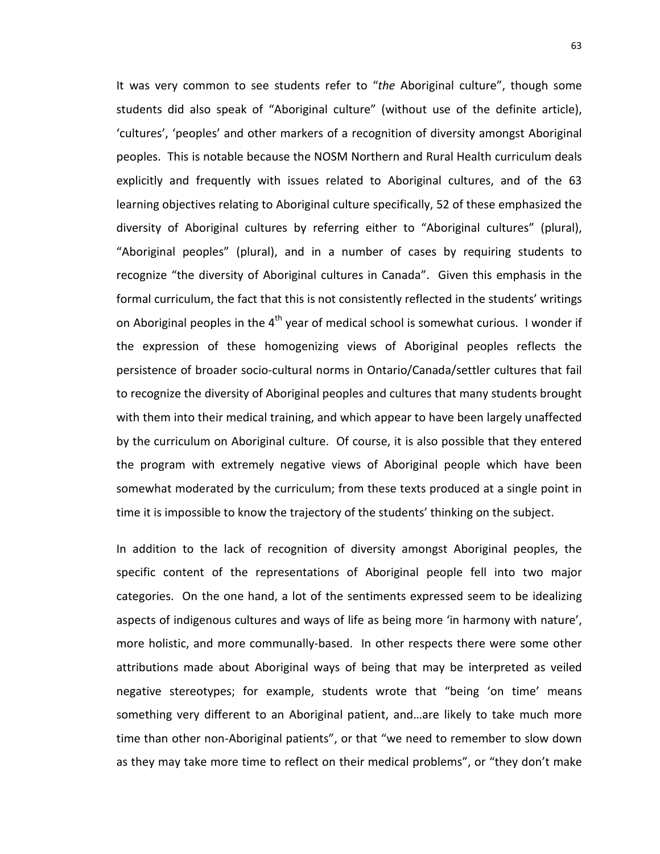It was very common to see students refer to "*the* Aboriginal culture", though some students did also speak of "Aboriginal culture" (without use of the definite article), 'cultures', 'peoples' and other markers of a recognition of diversity amongst Aboriginal peoples. This is notable because the NOSM Northern and Rural Health curriculum deals explicitly and frequently with issues related to Aboriginal cultures, and of the 63 learning objectives relating to Aboriginal culture specifically, 52 of these emphasized the diversity of Aboriginal cultures by referring either to "Aboriginal cultures" (plural), "Aboriginal peoples" (plural), and in a number of cases by requiring students to recognize "the diversity of Aboriginal cultures in Canada". Given this emphasis in the formal curriculum, the fact that this is not consistently reflected in the students' writings on Aboriginal peoples in the  $4<sup>th</sup>$  year of medical school is somewhat curious. I wonder if the expression of these homogenizing views of Aboriginal peoples reflects the persistence of broader socio-cultural norms in Ontario/Canada/settler cultures that fail to recognize the diversity of Aboriginal peoples and cultures that many students brought with them into their medical training, and which appear to have been largely unaffected by the curriculum on Aboriginal culture. Of course, it is also possible that they entered the program with extremely negative views of Aboriginal people which have been somewhat moderated by the curriculum; from these texts produced at a single point in time it is impossible to know the trajectory of the students' thinking on the subject.

In addition to the lack of recognition of diversity amongst Aboriginal peoples, the specific content of the representations of Aboriginal people fell into two major categories. On the one hand, a lot of the sentiments expressed seem to be idealizing aspects of indigenous cultures and ways of life as being more 'in harmony with nature', more holistic, and more communally-based. In other respects there were some other attributions made about Aboriginal ways of being that may be interpreted as veiled negative stereotypes; for example, students wrote that "being 'on time' means something very different to an Aboriginal patient, and…are likely to take much more time than other non-Aboriginal patients", or that "we need to remember to slow down as they may take more time to reflect on their medical problems", or "they don't make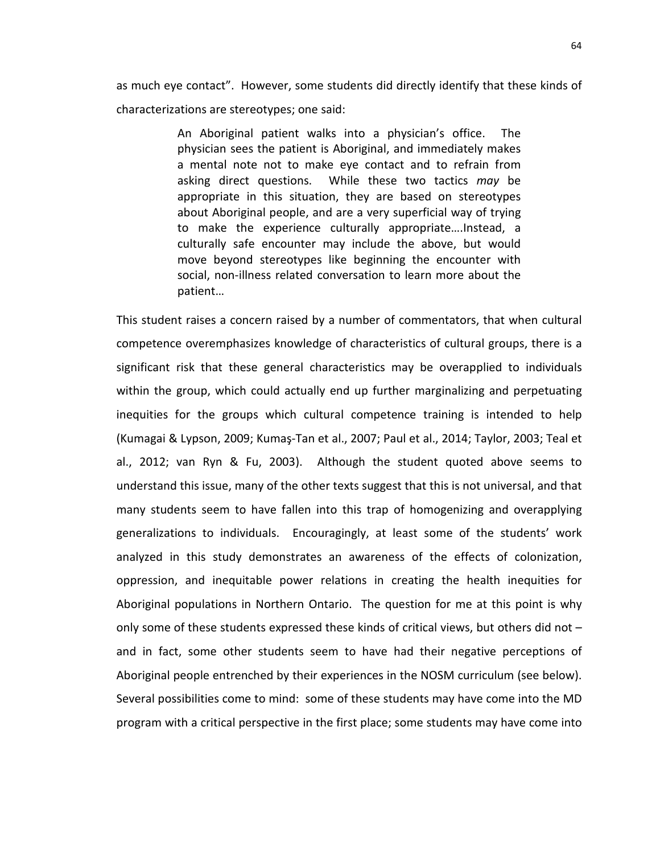as much eye contact". However, some students did directly identify that these kinds of characterizations are stereotypes; one said:

> An Aboriginal patient walks into a physician's office. The physician sees the patient is Aboriginal, and immediately makes a mental note not to make eye contact and to refrain from asking direct questions. While these two tactics *may* be appropriate in this situation, they are based on stereotypes about Aboriginal people, and are a very superficial way of trying to make the experience culturally appropriate….Instead, a culturally safe encounter may include the above, but would move beyond stereotypes like beginning the encounter with social, non-illness related conversation to learn more about the patient…

This student raises a concern raised by a number of commentators, that when cultural competence overemphasizes knowledge of characteristics of cultural groups, there is a significant risk that these general characteristics may be overapplied to individuals within the group, which could actually end up further marginalizing and perpetuating inequities for the groups which cultural competence training is intended to help (Kumagai & Lypson, 2009; Kumaş-Tan et al., 2007; Paul et al., 2014; Taylor, 2003; Teal et al., 2012; van Ryn & Fu, 2003). Although the student quoted above seems to understand this issue, many of the other texts suggest that this is not universal, and that many students seem to have fallen into this trap of homogenizing and overapplying generalizations to individuals. Encouragingly, at least some of the students' work analyzed in this study demonstrates an awareness of the effects of colonization, oppression, and inequitable power relations in creating the health inequities for Aboriginal populations in Northern Ontario. The question for me at this point is why only some of these students expressed these kinds of critical views, but others did not – and in fact, some other students seem to have had their negative perceptions of Aboriginal people entrenched by their experiences in the NOSM curriculum (see below). Several possibilities come to mind: some of these students may have come into the MD program with a critical perspective in the first place; some students may have come into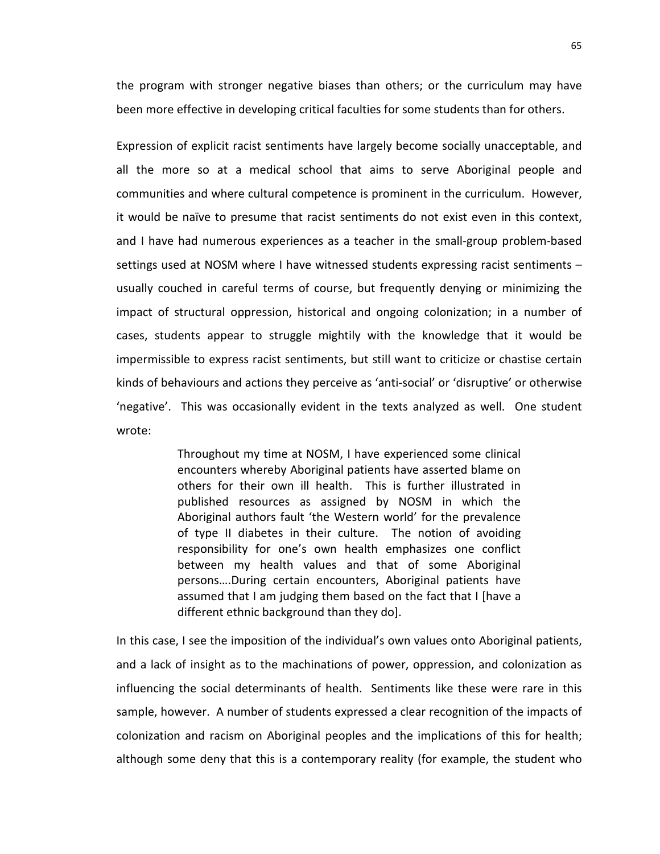the program with stronger negative biases than others; or the curriculum may have been more effective in developing critical faculties for some students than for others.

Expression of explicit racist sentiments have largely become socially unacceptable, and all the more so at a medical school that aims to serve Aboriginal people and communities and where cultural competence is prominent in the curriculum. However, it would be naïve to presume that racist sentiments do not exist even in this context, and I have had numerous experiences as a teacher in the small-group problem-based settings used at NOSM where I have witnessed students expressing racist sentiments – usually couched in careful terms of course, but frequently denying or minimizing the impact of structural oppression, historical and ongoing colonization; in a number of cases, students appear to struggle mightily with the knowledge that it would be impermissible to express racist sentiments, but still want to criticize or chastise certain kinds of behaviours and actions they perceive as 'anti-social' or 'disruptive' or otherwise 'negative'. This was occasionally evident in the texts analyzed as well. One student wrote:

> Throughout my time at NOSM, I have experienced some clinical encounters whereby Aboriginal patients have asserted blame on others for their own ill health. This is further illustrated in published resources as assigned by NOSM in which the Aboriginal authors fault 'the Western world' for the prevalence of type II diabetes in their culture. The notion of avoiding responsibility for one's own health emphasizes one conflict between my health values and that of some Aboriginal persons….During certain encounters, Aboriginal patients have assumed that I am judging them based on the fact that I [have a different ethnic background than they do].

In this case, I see the imposition of the individual's own values onto Aboriginal patients, and a lack of insight as to the machinations of power, oppression, and colonization as influencing the social determinants of health. Sentiments like these were rare in this sample, however. A number of students expressed a clear recognition of the impacts of colonization and racism on Aboriginal peoples and the implications of this for health; although some deny that this is a contemporary reality (for example, the student who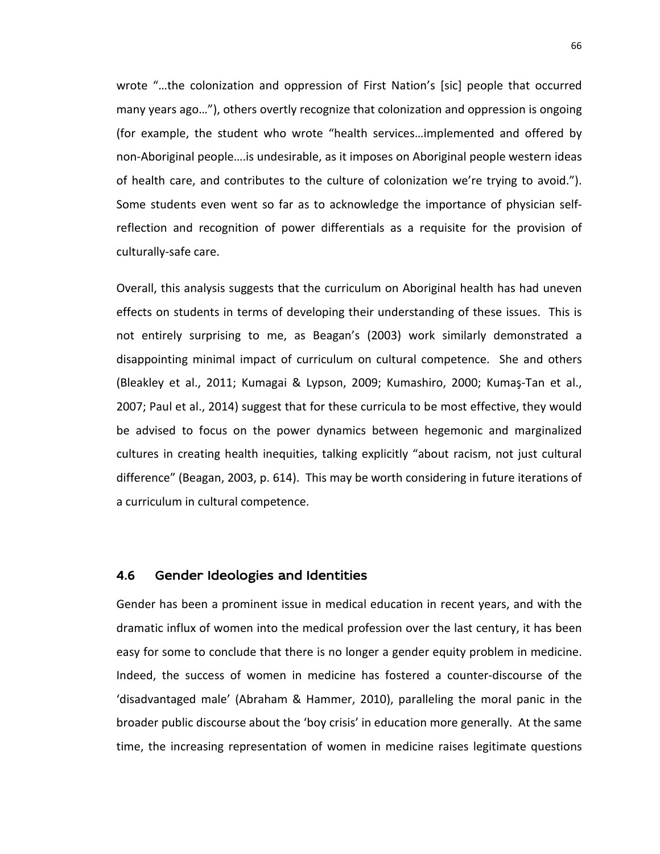wrote "…the colonization and oppression of First Nation's [sic] people that occurred many years ago…"), others overtly recognize that colonization and oppression is ongoing (for example, the student who wrote "health services…implemented and offered by non-Aboriginal people….is undesirable, as it imposes on Aboriginal people western ideas of health care, and contributes to the culture of colonization we're trying to avoid."). Some students even went so far as to acknowledge the importance of physician selfreflection and recognition of power differentials as a requisite for the provision of culturally-safe care.

Overall, this analysis suggests that the curriculum on Aboriginal health has had uneven effects on students in terms of developing their understanding of these issues. This is not entirely surprising to me, as Beagan's (2003) work similarly demonstrated a disappointing minimal impact of curriculum on cultural competence. She and others (Bleakley et al., 2011; Kumagai & Lypson, 2009; Kumashiro, 2000; Kumaş-Tan et al., 2007; Paul et al., 2014) suggest that for these curricula to be most effective, they would be advised to focus on the power dynamics between hegemonic and marginalized cultures in creating health inequities, talking explicitly "about racism, not just cultural difference" (Beagan, 2003, p. 614). This may be worth considering in future iterations of a curriculum in cultural competence.

### 4.6 Gender Ideologies and Identities

Gender has been a prominent issue in medical education in recent years, and with the dramatic influx of women into the medical profession over the last century, it has been easy for some to conclude that there is no longer a gender equity problem in medicine. Indeed, the success of women in medicine has fostered a counter-discourse of the 'disadvantaged male' (Abraham & Hammer, 2010), paralleling the moral panic in the broader public discourse about the 'boy crisis' in education more generally. At the same time, the increasing representation of women in medicine raises legitimate questions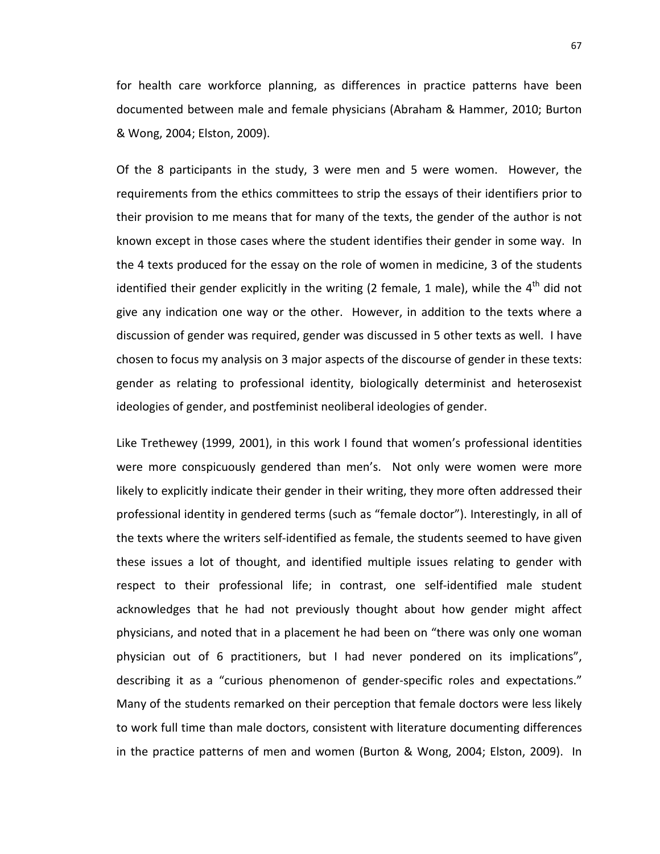for health care workforce planning, as differences in practice patterns have been documented between male and female physicians (Abraham & Hammer, 2010; Burton & Wong, 2004; Elston, 2009).

Of the 8 participants in the study, 3 were men and 5 were women. However, the requirements from the ethics committees to strip the essays of their identifiers prior to their provision to me means that for many of the texts, the gender of the author is not known except in those cases where the student identifies their gender in some way. In the 4 texts produced for the essay on the role of women in medicine, 3 of the students identified their gender explicitly in the writing (2 female, 1 male), while the  $4<sup>th</sup>$  did not give any indication one way or the other. However, in addition to the texts where a discussion of gender was required, gender was discussed in 5 other texts as well. I have chosen to focus my analysis on 3 major aspects of the discourse of gender in these texts: gender as relating to professional identity, biologically determinist and heterosexist ideologies of gender, and postfeminist neoliberal ideologies of gender.

Like Trethewey (1999, 2001), in this work I found that women's professional identities were more conspicuously gendered than men's. Not only were women were more likely to explicitly indicate their gender in their writing, they more often addressed their professional identity in gendered terms (such as "female doctor"). Interestingly, in all of the texts where the writers self-identified as female, the students seemed to have given these issues a lot of thought, and identified multiple issues relating to gender with respect to their professional life; in contrast, one self-identified male student acknowledges that he had not previously thought about how gender might affect physicians, and noted that in a placement he had been on "there was only one woman physician out of 6 practitioners, but I had never pondered on its implications", describing it as a "curious phenomenon of gender-specific roles and expectations." Many of the students remarked on their perception that female doctors were less likely to work full time than male doctors, consistent with literature documenting differences in the practice patterns of men and women (Burton & Wong, 2004; Elston, 2009). In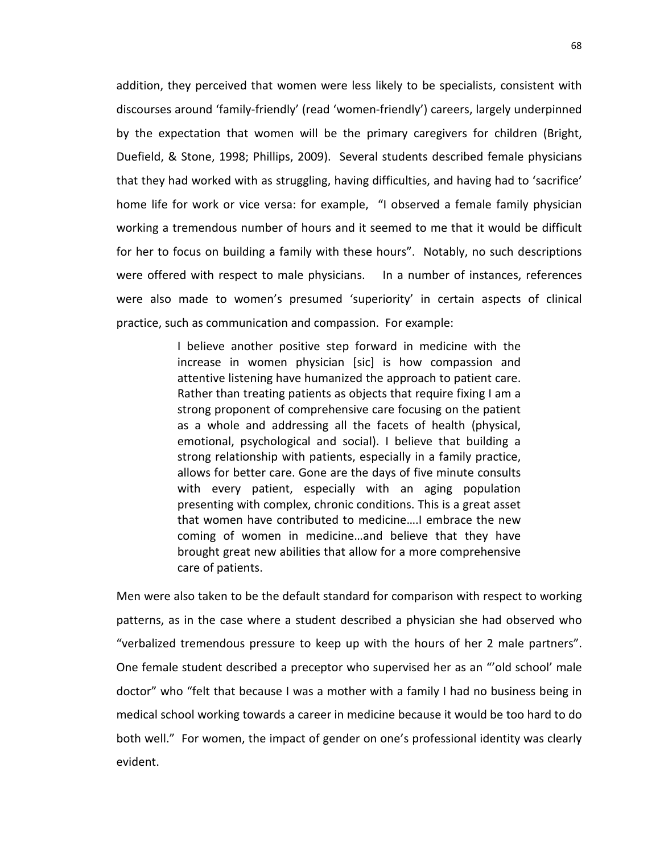addition, they perceived that women were less likely to be specialists, consistent with discourses around 'family-friendly' (read 'women-friendly') careers, largely underpinned by the expectation that women will be the primary caregivers for children (Bright, Duefield, & Stone, 1998; Phillips, 2009). Several students described female physicians that they had worked with as struggling, having difficulties, and having had to 'sacrifice' home life for work or vice versa: for example, "I observed a female family physician working a tremendous number of hours and it seemed to me that it would be difficult for her to focus on building a family with these hours". Notably, no such descriptions were offered with respect to male physicians. In a number of instances, references were also made to women's presumed 'superiority' in certain aspects of clinical practice, such as communication and compassion. For example:

> I believe another positive step forward in medicine with the increase in women physician [sic] is how compassion and attentive listening have humanized the approach to patient care. Rather than treating patients as objects that require fixing I am a strong proponent of comprehensive care focusing on the patient as a whole and addressing all the facets of health (physical, emotional, psychological and social). I believe that building a strong relationship with patients, especially in a family practice, allows for better care. Gone are the days of five minute consults with every patient, especially with an aging population presenting with complex, chronic conditions. This is a great asset that women have contributed to medicine….I embrace the new coming of women in medicine…and believe that they have brought great new abilities that allow for a more comprehensive care of patients.

Men were also taken to be the default standard for comparison with respect to working patterns, as in the case where a student described a physician she had observed who "verbalized tremendous pressure to keep up with the hours of her 2 male partners". One female student described a preceptor who supervised her as an "'old school' male doctor" who "felt that because I was a mother with a family I had no business being in medical school working towards a career in medicine because it would be too hard to do both well." For women, the impact of gender on one's professional identity was clearly evident.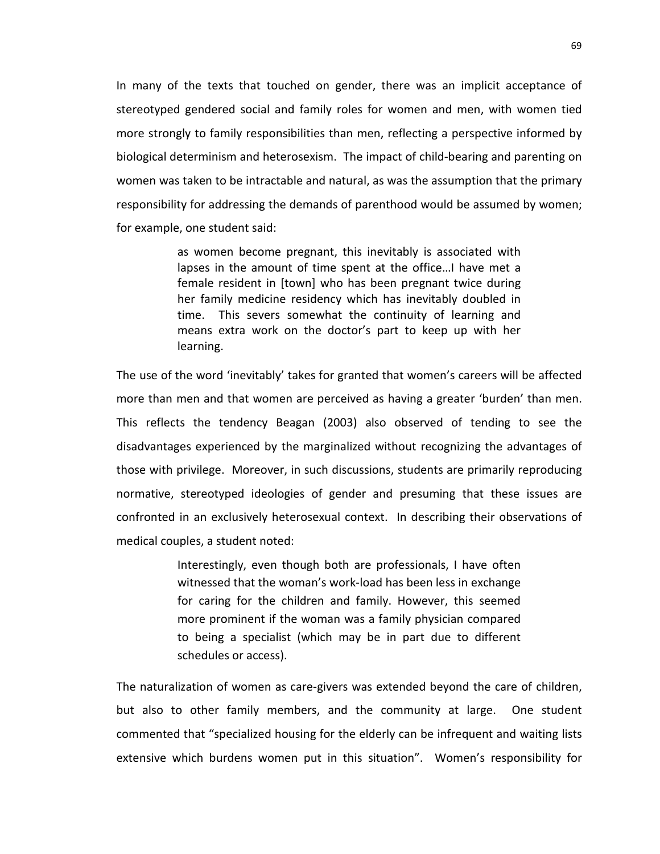In many of the texts that touched on gender, there was an implicit acceptance of stereotyped gendered social and family roles for women and men, with women tied more strongly to family responsibilities than men, reflecting a perspective informed by biological determinism and heterosexism. The impact of child-bearing and parenting on women was taken to be intractable and natural, as was the assumption that the primary responsibility for addressing the demands of parenthood would be assumed by women; for example, one student said:

> as women become pregnant, this inevitably is associated with lapses in the amount of time spent at the office…I have met a female resident in [town] who has been pregnant twice during her family medicine residency which has inevitably doubled in time. This severs somewhat the continuity of learning and means extra work on the doctor's part to keep up with her learning.

The use of the word 'inevitably' takes for granted that women's careers will be affected more than men and that women are perceived as having a greater 'burden' than men. This reflects the tendency Beagan (2003) also observed of tending to see the disadvantages experienced by the marginalized without recognizing the advantages of those with privilege. Moreover, in such discussions, students are primarily reproducing normative, stereotyped ideologies of gender and presuming that these issues are confronted in an exclusively heterosexual context. In describing their observations of medical couples, a student noted:

> Interestingly, even though both are professionals, I have often witnessed that the woman's work-load has been less in exchange for caring for the children and family. However, this seemed more prominent if the woman was a family physician compared to being a specialist (which may be in part due to different schedules or access).

The naturalization of women as care-givers was extended beyond the care of children, but also to other family members, and the community at large. One student commented that "specialized housing for the elderly can be infrequent and waiting lists extensive which burdens women put in this situation". Women's responsibility for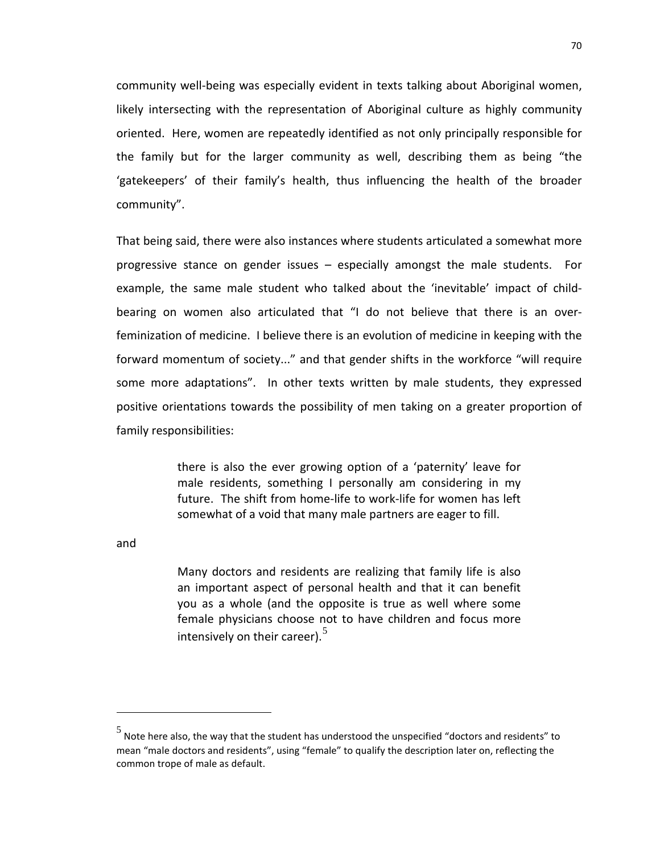community well-being was especially evident in texts talking about Aboriginal women, likely intersecting with the representation of Aboriginal culture as highly community oriented. Here, women are repeatedly identified as not only principally responsible for the family but for the larger community as well, describing them as being "the 'gatekeepers' of their family's health, thus influencing the health of the broader community".

That being said, there were also instances where students articulated a somewhat more progressive stance on gender issues – especially amongst the male students. For example, the same male student who talked about the 'inevitable' impact of childbearing on women also articulated that "I do not believe that there is an overfeminization of medicine. I believe there is an evolution of medicine in keeping with the forward momentum of society..." and that gender shifts in the workforce "will require some more adaptations". In other texts written by male students, they expressed positive orientations towards the possibility of men taking on a greater proportion of family responsibilities:

> there is also the ever growing option of a 'paternity' leave for male residents, something I personally am considering in my future. The shift from home-life to work-life for women has left somewhat of a void that many male partners are eager to fill.

and

 $\overline{a}$ 

Many doctors and residents are realizing that family life is also an important aspect of personal health and that it can benefit you as a whole (and the opposite is true as well where some female physicians choose not to have children and focus more intensively on their career). $5$ 

<span id="page-76-0"></span> $\frac{5}{10}$  Note here also, the way that the student has understood the unspecified "doctors and residents" to mean "male doctors and residents", using "female" to qualify the description later on, reflecting the common trope of male as default.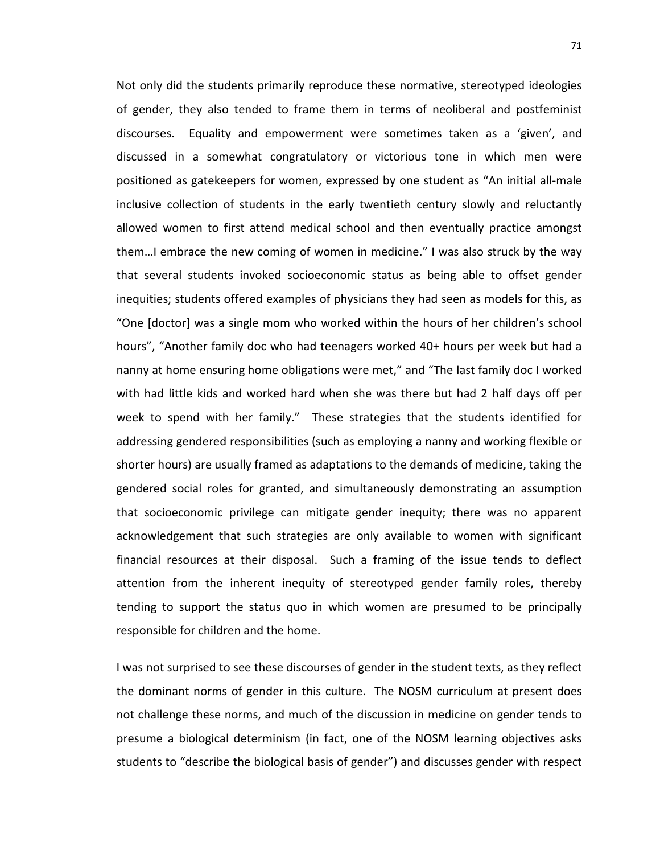Not only did the students primarily reproduce these normative, stereotyped ideologies of gender, they also tended to frame them in terms of neoliberal and postfeminist discourses. Equality and empowerment were sometimes taken as a 'given', and discussed in a somewhat congratulatory or victorious tone in which men were positioned as gatekeepers for women, expressed by one student as "An initial all-male inclusive collection of students in the early twentieth century slowly and reluctantly allowed women to first attend medical school and then eventually practice amongst them…I embrace the new coming of women in medicine." I was also struck by the way that several students invoked socioeconomic status as being able to offset gender inequities; students offered examples of physicians they had seen as models for this, as "One [doctor] was a single mom who worked within the hours of her children's school hours", "Another family doc who had teenagers worked 40+ hours per week but had a nanny at home ensuring home obligations were met," and "The last family doc I worked with had little kids and worked hard when she was there but had 2 half days off per week to spend with her family." These strategies that the students identified for addressing gendered responsibilities (such as employing a nanny and working flexible or shorter hours) are usually framed as adaptations to the demands of medicine, taking the gendered social roles for granted, and simultaneously demonstrating an assumption that socioeconomic privilege can mitigate gender inequity; there was no apparent acknowledgement that such strategies are only available to women with significant financial resources at their disposal. Such a framing of the issue tends to deflect attention from the inherent inequity of stereotyped gender family roles, thereby tending to support the status quo in which women are presumed to be principally responsible for children and the home.

I was not surprised to see these discourses of gender in the student texts, as they reflect the dominant norms of gender in this culture. The NOSM curriculum at present does not challenge these norms, and much of the discussion in medicine on gender tends to presume a biological determinism (in fact, one of the NOSM learning objectives asks students to "describe the biological basis of gender") and discusses gender with respect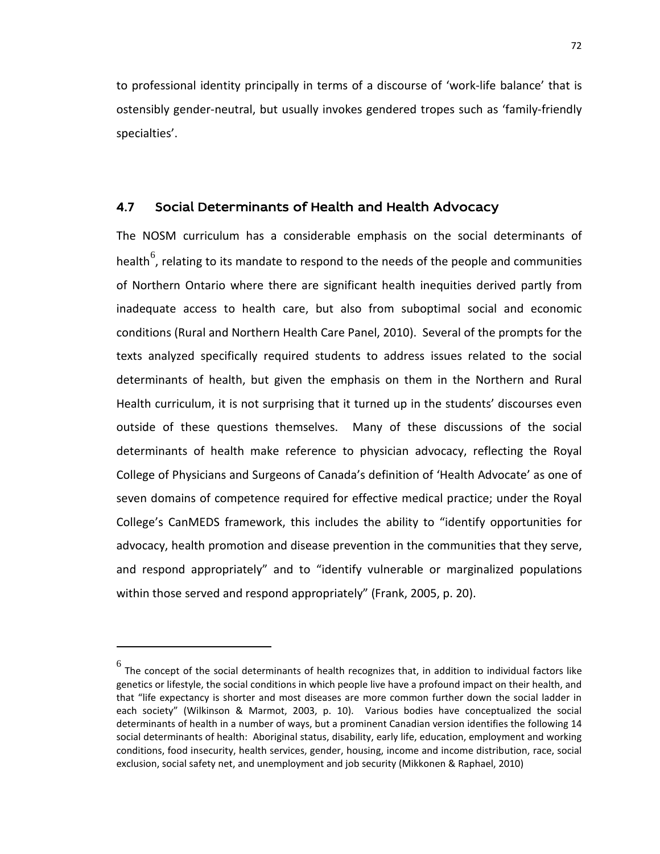to professional identity principally in terms of a discourse of 'work-life balance' that is ostensibly gender-neutral, but usually invokes gendered tropes such as 'family-friendly specialties'.

## 4.7 Social Determinants of Health and Health Advocacy

The NOSM curriculum has a considerable emphasis on the social determinants of health<sup>[6](#page-78-0)</sup>, relating to its mandate to respond to the needs of the people and communities of Northern Ontario where there are significant health inequities derived partly from inadequate access to health care, but also from suboptimal social and economic conditions (Rural and Northern Health Care Panel, 2010). Several of the prompts for the texts analyzed specifically required students to address issues related to the social determinants of health, but given the emphasis on them in the Northern and Rural Health curriculum, it is not surprising that it turned up in the students' discourses even outside of these questions themselves. Many of these discussions of the social determinants of health make reference to physician advocacy, reflecting the Royal College of Physicians and Surgeons of Canada's definition of 'Health Advocate' as one of seven domains of competence required for effective medical practice; under the Royal College's CanMEDS framework, this includes the ability to "identify opportunities for advocacy, health promotion and disease prevention in the communities that they serve, and respond appropriately" and to "identify vulnerable or marginalized populations within those served and respond appropriately" (Frank, 2005, p. 20).

 $\overline{a}$ 

<span id="page-78-0"></span> $^6$  The concept of the social determinants of health recognizes that, in addition to individual factors like genetics or lifestyle, the social conditions in which people live have a profound impact on their health, and that "life expectancy is shorter and most diseases are more common further down the social ladder in each society" (Wilkinson & Marmot, 2003, p. 10). Various bodies have conceptualized the social determinants of health in a number of ways, but a prominent Canadian version identifies the following 14 social determinants of health: Aboriginal status, disability, early life, education, employment and working conditions, food insecurity, health services, gender, housing, income and income distribution, race, social exclusion, social safety net, and unemployment and job security (Mikkonen & Raphael, 2010)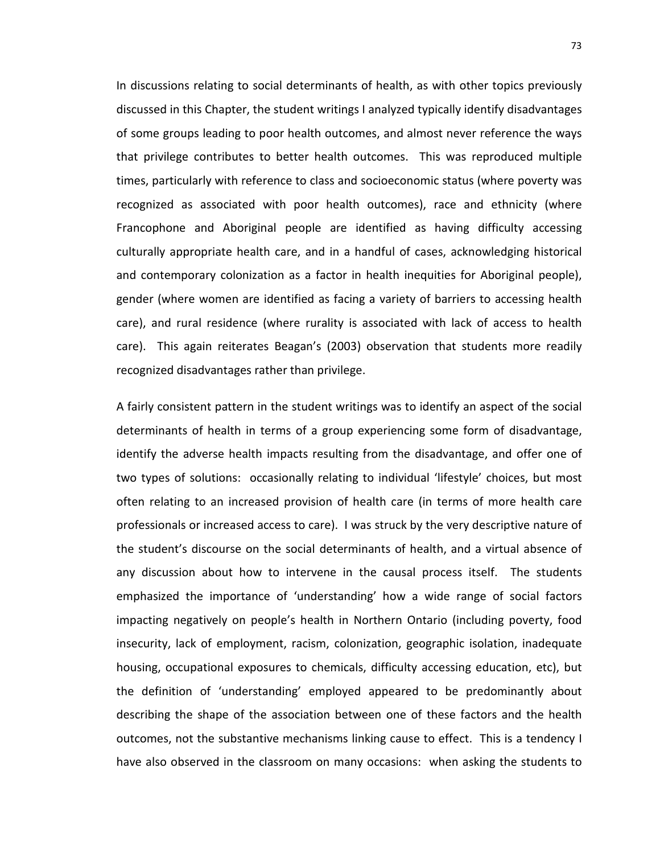In discussions relating to social determinants of health, as with other topics previously discussed in this Chapter, the student writings I analyzed typically identify disadvantages of some groups leading to poor health outcomes, and almost never reference the ways that privilege contributes to better health outcomes. This was reproduced multiple times, particularly with reference to class and socioeconomic status (where poverty was recognized as associated with poor health outcomes), race and ethnicity (where Francophone and Aboriginal people are identified as having difficulty accessing culturally appropriate health care, and in a handful of cases, acknowledging historical and contemporary colonization as a factor in health inequities for Aboriginal people), gender (where women are identified as facing a variety of barriers to accessing health care), and rural residence (where rurality is associated with lack of access to health care). This again reiterates Beagan's (2003) observation that students more readily recognized disadvantages rather than privilege.

A fairly consistent pattern in the student writings was to identify an aspect of the social determinants of health in terms of a group experiencing some form of disadvantage, identify the adverse health impacts resulting from the disadvantage, and offer one of two types of solutions: occasionally relating to individual 'lifestyle' choices, but most often relating to an increased provision of health care (in terms of more health care professionals or increased access to care). I was struck by the very descriptive nature of the student's discourse on the social determinants of health, and a virtual absence of any discussion about how to intervene in the causal process itself. The students emphasized the importance of 'understanding' how a wide range of social factors impacting negatively on people's health in Northern Ontario (including poverty, food insecurity, lack of employment, racism, colonization, geographic isolation, inadequate housing, occupational exposures to chemicals, difficulty accessing education, etc), but the definition of 'understanding' employed appeared to be predominantly about describing the shape of the association between one of these factors and the health outcomes, not the substantive mechanisms linking cause to effect. This is a tendency I have also observed in the classroom on many occasions: when asking the students to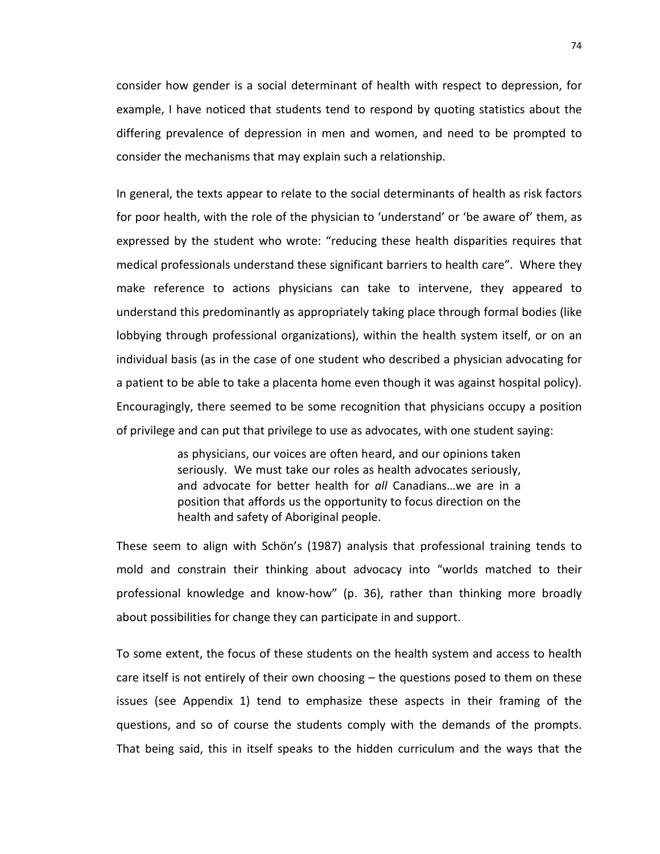consider how gender is a social determinant of health with respect to depression, for example, I have noticed that students tend to respond by quoting statistics about the differing prevalence of depression in men and women, and need to be prompted to consider the mechanisms that may explain such a relationship.

In general, the texts appear to relate to the social determinants of health as risk factors for poor health, with the role of the physician to 'understand' or 'be aware of' them, as expressed by the student who wrote: "reducing these health disparities requires that medical professionals understand these significant barriers to health care". Where they make reference to actions physicians can take to intervene, they appeared to understand this predominantly as appropriately taking place through formal bodies (like lobbying through professional organizations), within the health system itself, or on an individual basis (as in the case of one student who described a physician advocating for a patient to be able to take a placenta home even though it was against hospital policy). Encouragingly, there seemed to be some recognition that physicians occupy a position of privilege and can put that privilege to use as advocates, with one student saying:

> as physicians, our voices are often heard, and our opinions taken seriously. We must take our roles as health advocates seriously, and advocate for better health for *all* Canadians…we are in a position that affords us the opportunity to focus direction on the health and safety of Aboriginal people.

These seem to align with Schön's (1987) analysis that professional training tends to mold and constrain their thinking about advocacy into "worlds matched to their professional knowledge and know-how" (p. 36), rather than thinking more broadly about possibilities for change they can participate in and support.

To some extent, the focus of these students on the health system and access to health care itself is not entirely of their own choosing – the questions posed to them on these issues (see Appendix 1) tend to emphasize these aspects in their framing of the questions, and so of course the students comply with the demands of the prompts. That being said, this in itself speaks to the hidden curriculum and the ways that the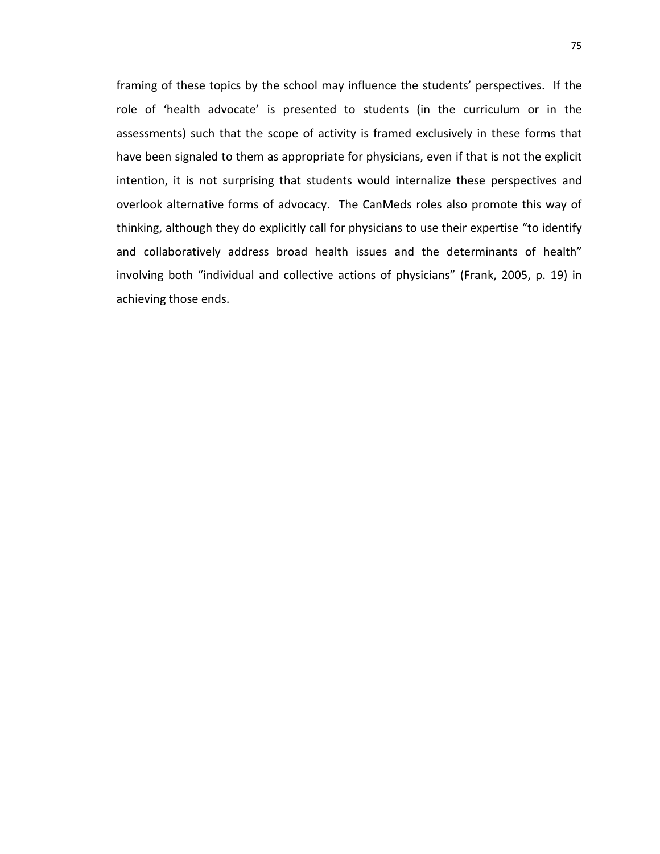framing of these topics by the school may influence the students' perspectives. If the role of 'health advocate' is presented to students (in the curriculum or in the assessments) such that the scope of activity is framed exclusively in these forms that have been signaled to them as appropriate for physicians, even if that is not the explicit intention, it is not surprising that students would internalize these perspectives and overlook alternative forms of advocacy. The CanMeds roles also promote this way of thinking, although they do explicitly call for physicians to use their expertise "to identify and collaboratively address broad health issues and the determinants of health" involving both "individual and collective actions of physicians" (Frank, 2005, p. 19) in achieving those ends.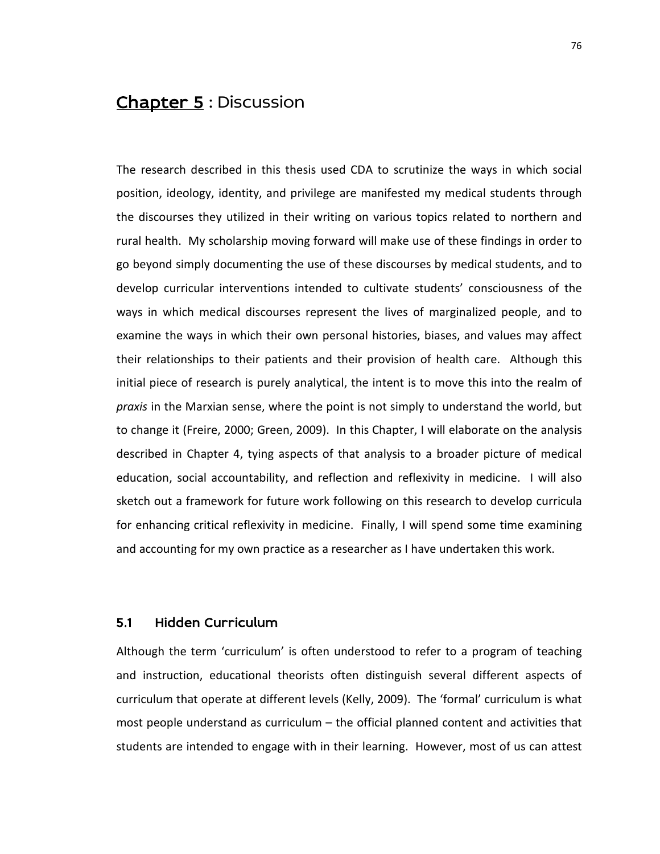# Chapter 5: Discussion

The research described in this thesis used CDA to scrutinize the ways in which social position, ideology, identity, and privilege are manifested my medical students through the discourses they utilized in their writing on various topics related to northern and rural health. My scholarship moving forward will make use of these findings in order to go beyond simply documenting the use of these discourses by medical students, and to develop curricular interventions intended to cultivate students' consciousness of the ways in which medical discourses represent the lives of marginalized people, and to examine the ways in which their own personal histories, biases, and values may affect their relationships to their patients and their provision of health care. Although this initial piece of research is purely analytical, the intent is to move this into the realm of *praxis* in the Marxian sense, where the point is not simply to understand the world, but to change it (Freire, 2000; Green, 2009). In this Chapter, I will elaborate on the analysis described in Chapter 4, tying aspects of that analysis to a broader picture of medical education, social accountability, and reflection and reflexivity in medicine. I will also sketch out a framework for future work following on this research to develop curricula for enhancing critical reflexivity in medicine. Finally, I will spend some time examining and accounting for my own practice as a researcher as I have undertaken this work.

# 5.1 Hidden Curriculum

Although the term 'curriculum' is often understood to refer to a program of teaching and instruction, educational theorists often distinguish several different aspects of curriculum that operate at different levels (Kelly, 2009). The 'formal' curriculum is what most people understand as curriculum – the official planned content and activities that students are intended to engage with in their learning. However, most of us can attest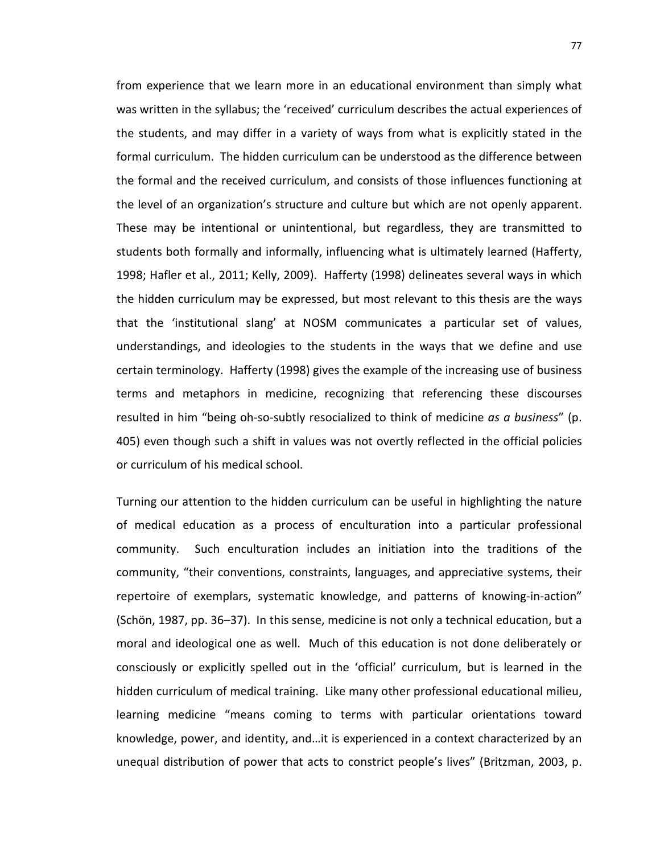from experience that we learn more in an educational environment than simply what was written in the syllabus; the 'received' curriculum describes the actual experiences of the students, and may differ in a variety of ways from what is explicitly stated in the formal curriculum. The hidden curriculum can be understood as the difference between the formal and the received curriculum, and consists of those influences functioning at the level of an organization's structure and culture but which are not openly apparent. These may be intentional or unintentional, but regardless, they are transmitted to students both formally and informally, influencing what is ultimately learned (Hafferty, 1998; Hafler et al., 2011; Kelly, 2009). Hafferty (1998) delineates several ways in which the hidden curriculum may be expressed, but most relevant to this thesis are the ways that the 'institutional slang' at NOSM communicates a particular set of values, understandings, and ideologies to the students in the ways that we define and use certain terminology. Hafferty (1998) gives the example of the increasing use of business terms and metaphors in medicine, recognizing that referencing these discourses resulted in him "being oh-so-subtly resocialized to think of medicine *as a business*" (p. 405) even though such a shift in values was not overtly reflected in the official policies or curriculum of his medical school.

Turning our attention to the hidden curriculum can be useful in highlighting the nature of medical education as a process of enculturation into a particular professional community. Such enculturation includes an initiation into the traditions of the community, "their conventions, constraints, languages, and appreciative systems, their repertoire of exemplars, systematic knowledge, and patterns of knowing-in-action" (Schön, 1987, pp. 36–37). In this sense, medicine is not only a technical education, but a moral and ideological one as well. Much of this education is not done deliberately or consciously or explicitly spelled out in the 'official' curriculum, but is learned in the hidden curriculum of medical training. Like many other professional educational milieu, learning medicine "means coming to terms with particular orientations toward knowledge, power, and identity, and…it is experienced in a context characterized by an unequal distribution of power that acts to constrict people's lives" (Britzman, 2003, p.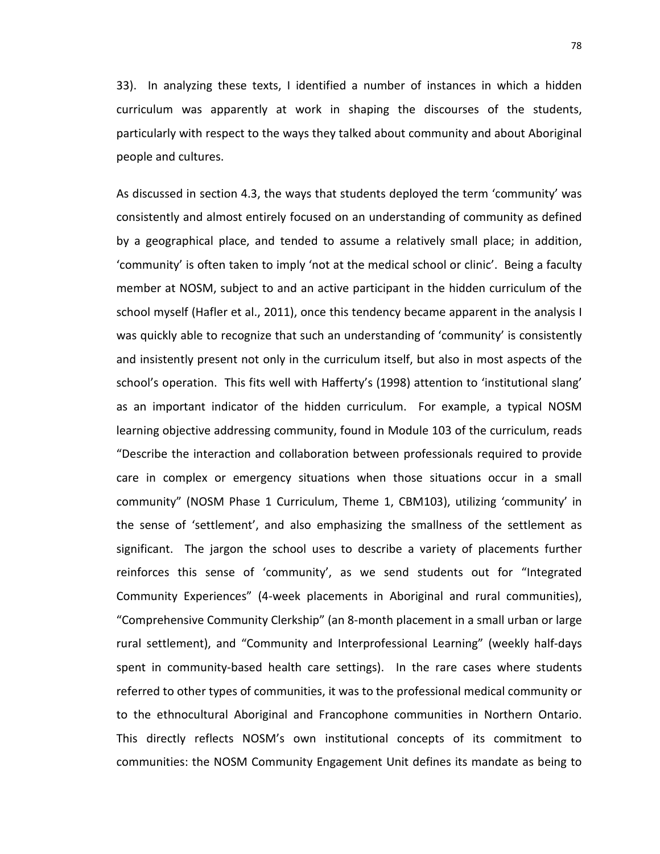33). In analyzing these texts, I identified a number of instances in which a hidden curriculum was apparently at work in shaping the discourses of the students, particularly with respect to the ways they talked about community and about Aboriginal people and cultures.

As discussed in section 4.3, the ways that students deployed the term 'community' was consistently and almost entirely focused on an understanding of community as defined by a geographical place, and tended to assume a relatively small place; in addition, 'community' is often taken to imply 'not at the medical school or clinic'. Being a faculty member at NOSM, subject to and an active participant in the hidden curriculum of the school myself (Hafler et al., 2011), once this tendency became apparent in the analysis I was quickly able to recognize that such an understanding of 'community' is consistently and insistently present not only in the curriculum itself, but also in most aspects of the school's operation. This fits well with Hafferty's (1998) attention to 'institutional slang' as an important indicator of the hidden curriculum. For example, a typical NOSM learning objective addressing community, found in Module 103 of the curriculum, reads "Describe the interaction and collaboration between professionals required to provide care in complex or emergency situations when those situations occur in a small community" (NOSM Phase 1 Curriculum, Theme 1, CBM103), utilizing 'community' in the sense of 'settlement', and also emphasizing the smallness of the settlement as significant. The jargon the school uses to describe a variety of placements further reinforces this sense of 'community', as we send students out for "Integrated Community Experiences" (4-week placements in Aboriginal and rural communities), "Comprehensive Community Clerkship" (an 8-month placement in a small urban or large rural settlement), and "Community and Interprofessional Learning" (weekly half-days spent in community-based health care settings). In the rare cases where students referred to other types of communities, it was to the professional medical community or to the ethnocultural Aboriginal and Francophone communities in Northern Ontario. This directly reflects NOSM's own institutional concepts of its commitment to communities: the NOSM Community Engagement Unit defines its mandate as being to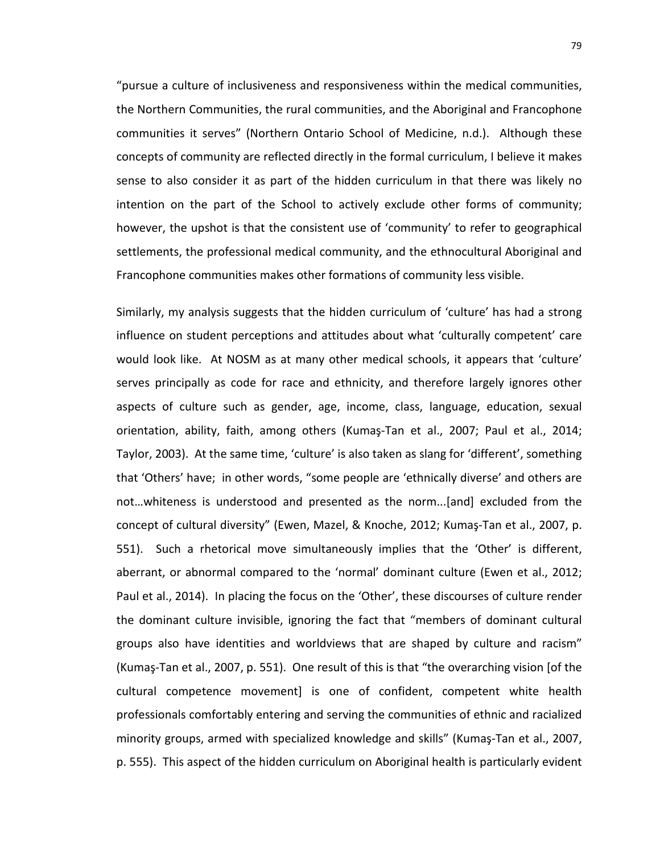"pursue a culture of inclusiveness and responsiveness within the medical communities, the Northern Communities, the rural communities, and the Aboriginal and Francophone communities it serves" (Northern Ontario School of Medicine, n.d.). Although these concepts of community are reflected directly in the formal curriculum, I believe it makes sense to also consider it as part of the hidden curriculum in that there was likely no intention on the part of the School to actively exclude other forms of community; however, the upshot is that the consistent use of 'community' to refer to geographical settlements, the professional medical community, and the ethnocultural Aboriginal and Francophone communities makes other formations of community less visible.

Similarly, my analysis suggests that the hidden curriculum of 'culture' has had a strong influence on student perceptions and attitudes about what 'culturally competent' care would look like. At NOSM as at many other medical schools, it appears that 'culture' serves principally as code for race and ethnicity, and therefore largely ignores other aspects of culture such as gender, age, income, class, language, education, sexual orientation, ability, faith, among others (Kumaş-Tan et al., 2007; Paul et al., 2014; Taylor, 2003). At the same time, 'culture' is also taken as slang for 'different', something that 'Others' have; in other words, "some people are 'ethnically diverse' and others are not…whiteness is understood and presented as the norm...[and] excluded from the concept of cultural diversity" (Ewen, Mazel, & Knoche, 2012; Kumaş-Tan et al., 2007, p. 551). Such a rhetorical move simultaneously implies that the 'Other' is different, aberrant, or abnormal compared to the 'normal' dominant culture (Ewen et al., 2012; Paul et al., 2014). In placing the focus on the 'Other', these discourses of culture render the dominant culture invisible, ignoring the fact that "members of dominant cultural groups also have identities and worldviews that are shaped by culture and racism" (Kumaş-Tan et al., 2007, p. 551). One result of this is that "the overarching vision [of the cultural competence movement] is one of confident, competent white health professionals comfortably entering and serving the communities of ethnic and racialized minority groups, armed with specialized knowledge and skills" (Kumaş-Tan et al., 2007, p. 555). This aspect of the hidden curriculum on Aboriginal health is particularly evident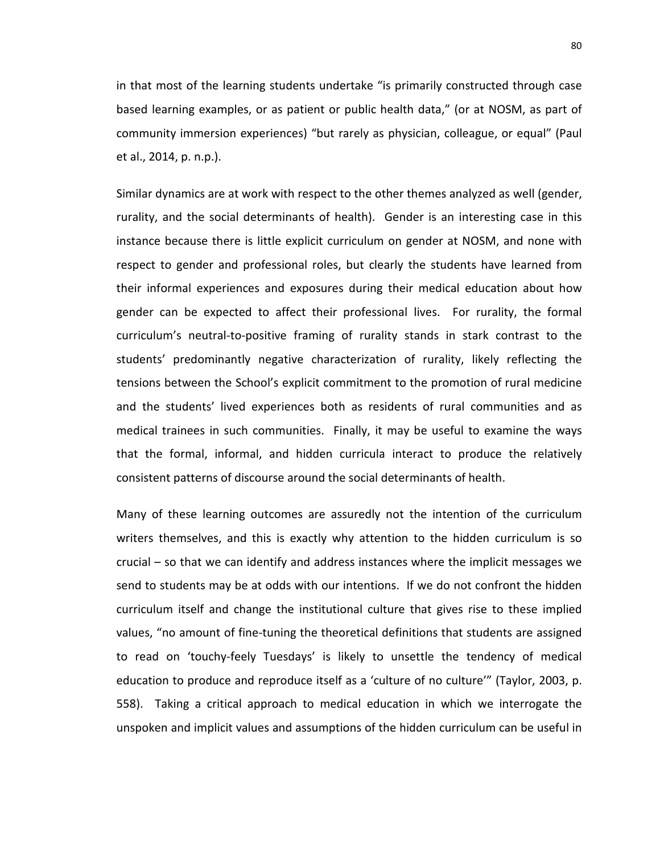in that most of the learning students undertake "is primarily constructed through case based learning examples, or as patient or public health data," (or at NOSM, as part of community immersion experiences) "but rarely as physician, colleague, or equal" (Paul et al., 2014, p. n.p.).

Similar dynamics are at work with respect to the other themes analyzed as well (gender, rurality, and the social determinants of health). Gender is an interesting case in this instance because there is little explicit curriculum on gender at NOSM, and none with respect to gender and professional roles, but clearly the students have learned from their informal experiences and exposures during their medical education about how gender can be expected to affect their professional lives. For rurality, the formal curriculum's neutral-to-positive framing of rurality stands in stark contrast to the students' predominantly negative characterization of rurality, likely reflecting the tensions between the School's explicit commitment to the promotion of rural medicine and the students' lived experiences both as residents of rural communities and as medical trainees in such communities. Finally, it may be useful to examine the ways that the formal, informal, and hidden curricula interact to produce the relatively consistent patterns of discourse around the social determinants of health.

Many of these learning outcomes are assuredly not the intention of the curriculum writers themselves, and this is exactly why attention to the hidden curriculum is so crucial – so that we can identify and address instances where the implicit messages we send to students may be at odds with our intentions. If we do not confront the hidden curriculum itself and change the institutional culture that gives rise to these implied values, "no amount of fine-tuning the theoretical definitions that students are assigned to read on 'touchy-feely Tuesdays' is likely to unsettle the tendency of medical education to produce and reproduce itself as a 'culture of no culture'" (Taylor, 2003, p. 558). Taking a critical approach to medical education in which we interrogate the unspoken and implicit values and assumptions of the hidden curriculum can be useful in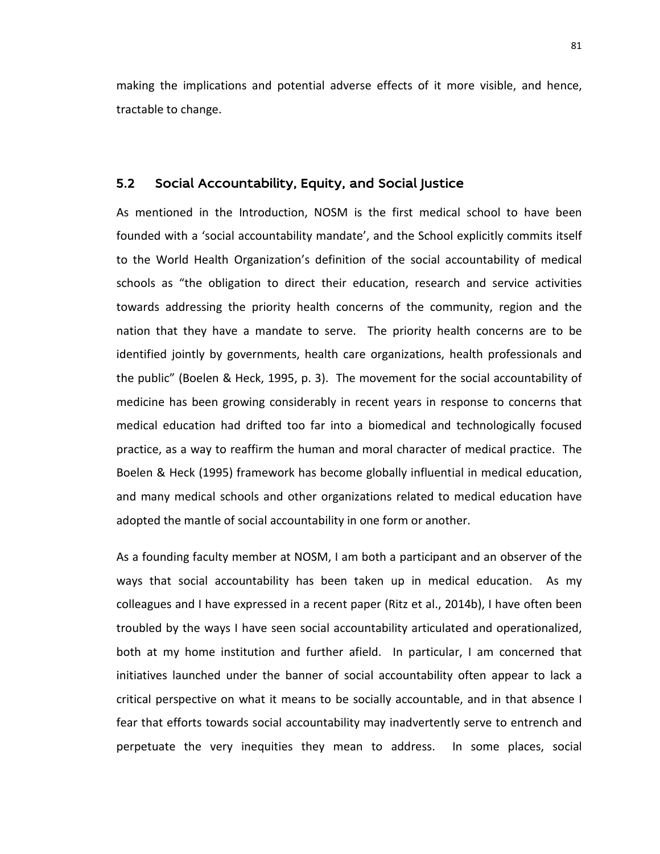making the implications and potential adverse effects of it more visible, and hence, tractable to change.

#### 5.2 Social Accountability, Equity, and Social Justice

As mentioned in the Introduction, NOSM is the first medical school to have been founded with a 'social accountability mandate', and the School explicitly commits itself to the World Health Organization's definition of the social accountability of medical schools as "the obligation to direct their education, research and service activities towards addressing the priority health concerns of the community, region and the nation that they have a mandate to serve. The priority health concerns are to be identified jointly by governments, health care organizations, health professionals and the public" (Boelen & Heck, 1995, p. 3). The movement for the social accountability of medicine has been growing considerably in recent years in response to concerns that medical education had drifted too far into a biomedical and technologically focused practice, as a way to reaffirm the human and moral character of medical practice. The Boelen & Heck (1995) framework has become globally influential in medical education, and many medical schools and other organizations related to medical education have adopted the mantle of social accountability in one form or another.

As a founding faculty member at NOSM, I am both a participant and an observer of the ways that social accountability has been taken up in medical education. As my colleagues and I have expressed in a recent paper (Ritz et al., 2014b), I have often been troubled by the ways I have seen social accountability articulated and operationalized, both at my home institution and further afield. In particular, I am concerned that initiatives launched under the banner of social accountability often appear to lack a critical perspective on what it means to be socially accountable, and in that absence I fear that efforts towards social accountability may inadvertently serve to entrench and perpetuate the very inequities they mean to address. In some places, social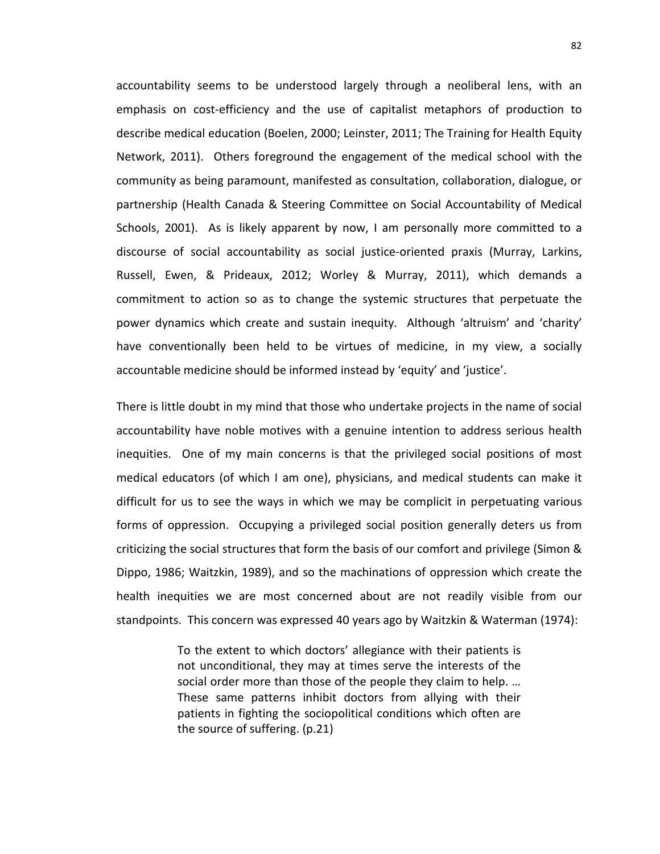accountability seems to be understood largely through a neoliberal lens, with an emphasis on cost-efficiency and the use of capitalist metaphors of production to describe medical education (Boelen, 2000; Leinster, 2011; The Training for Health Equity Network, 2011). Others foreground the engagement of the medical school with the community as being paramount, manifested as consultation, collaboration, dialogue, or partnership (Health Canada & Steering Committee on Social Accountability of Medical Schools, 2001). As is likely apparent by now, I am personally more committed to a discourse of social accountability as social justice-oriented praxis (Murray, Larkins, Russell, Ewen, & Prideaux, 2012; Worley & Murray, 2011), which demands a commitment to action so as to change the systemic structures that perpetuate the power dynamics which create and sustain inequity. Although 'altruism' and 'charity' have conventionally been held to be virtues of medicine, in my view, a socially accountable medicine should be informed instead by 'equity' and 'justice'.

There is little doubt in my mind that those who undertake projects in the name of social accountability have noble motives with a genuine intention to address serious health inequities. One of my main concerns is that the privileged social positions of most medical educators (of which I am one), physicians, and medical students can make it difficult for us to see the ways in which we may be complicit in perpetuating various forms of oppression. Occupying a privileged social position generally deters us from criticizing the social structures that form the basis of our comfort and privilege (Simon & Dippo, 1986; Waitzkin, 1989), and so the machinations of oppression which create the health inequities we are most concerned about are not readily visible from our standpoints. This concern was expressed 40 years ago by Waitzkin & Waterman (1974):

> To the extent to which doctors' allegiance with their patients is not unconditional, they may at times serve the interests of the social order more than those of the people they claim to help. … These same patterns inhibit doctors from allying with their patients in fighting the sociopolitical conditions which often are the source of suffering. (p.21)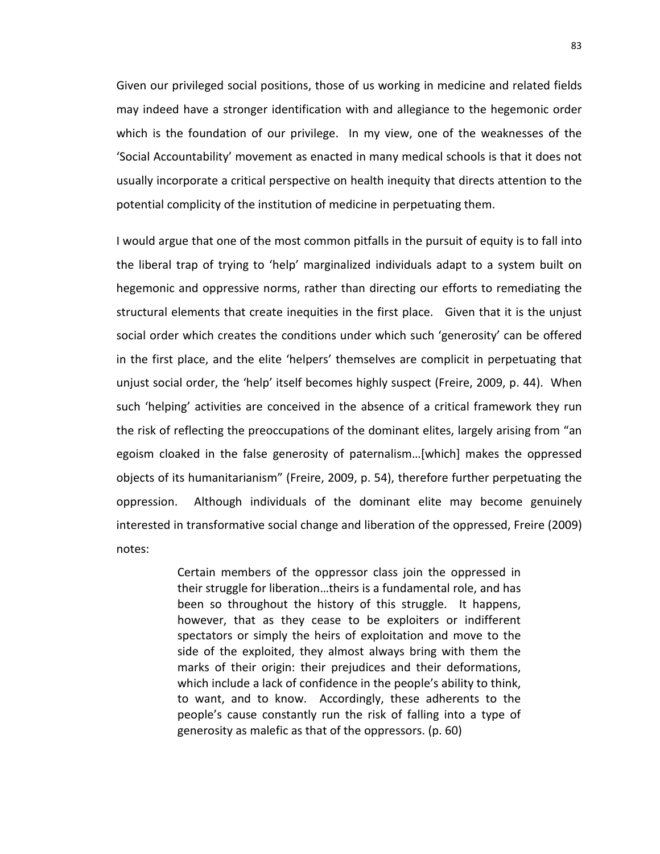Given our privileged social positions, those of us working in medicine and related fields may indeed have a stronger identification with and allegiance to the hegemonic order which is the foundation of our privilege. In my view, one of the weaknesses of the 'Social Accountability' movement as enacted in many medical schools is that it does not usually incorporate a critical perspective on health inequity that directs attention to the potential complicity of the institution of medicine in perpetuating them.

I would argue that one of the most common pitfalls in the pursuit of equity is to fall into the liberal trap of trying to 'help' marginalized individuals adapt to a system built on hegemonic and oppressive norms, rather than directing our efforts to remediating the structural elements that create inequities in the first place. Given that it is the unjust social order which creates the conditions under which such 'generosity' can be offered in the first place, and the elite 'helpers' themselves are complicit in perpetuating that unjust social order, the 'help' itself becomes highly suspect (Freire, 2009, p. 44). When such 'helping' activities are conceived in the absence of a critical framework they run the risk of reflecting the preoccupations of the dominant elites, largely arising from "an egoism cloaked in the false generosity of paternalism…[which] makes the oppressed objects of its humanitarianism" (Freire, 2009, p. 54), therefore further perpetuating the oppression. Although individuals of the dominant elite may become genuinely interested in transformative social change and liberation of the oppressed, Freire (2009) notes:

> Certain members of the oppressor class join the oppressed in their struggle for liberation…theirs is a fundamental role, and has been so throughout the history of this struggle. It happens, however, that as they cease to be exploiters or indifferent spectators or simply the heirs of exploitation and move to the side of the exploited, they almost always bring with them the marks of their origin: their prejudices and their deformations, which include a lack of confidence in the people's ability to think, to want, and to know. Accordingly, these adherents to the people's cause constantly run the risk of falling into a type of generosity as malefic as that of the oppressors. (p. 60)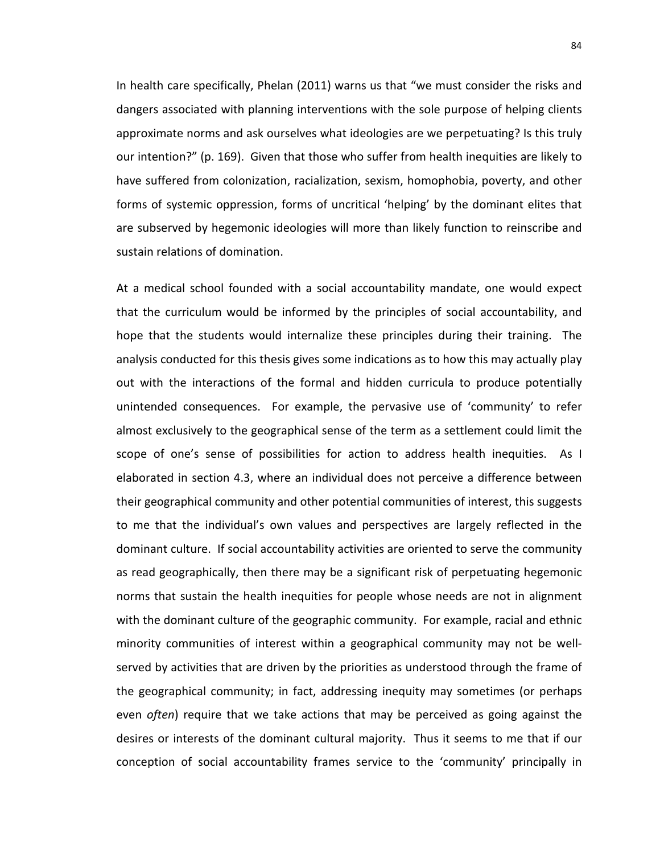In health care specifically, Phelan (2011) warns us that "we must consider the risks and dangers associated with planning interventions with the sole purpose of helping clients approximate norms and ask ourselves what ideologies are we perpetuating? Is this truly our intention?" (p. 169). Given that those who suffer from health inequities are likely to have suffered from colonization, racialization, sexism, homophobia, poverty, and other forms of systemic oppression, forms of uncritical 'helping' by the dominant elites that are subserved by hegemonic ideologies will more than likely function to reinscribe and sustain relations of domination.

At a medical school founded with a social accountability mandate, one would expect that the curriculum would be informed by the principles of social accountability, and hope that the students would internalize these principles during their training. The analysis conducted for this thesis gives some indications as to how this may actually play out with the interactions of the formal and hidden curricula to produce potentially unintended consequences. For example, the pervasive use of 'community' to refer almost exclusively to the geographical sense of the term as a settlement could limit the scope of one's sense of possibilities for action to address health inequities. As I elaborated in section 4.3, where an individual does not perceive a difference between their geographical community and other potential communities of interest, this suggests to me that the individual's own values and perspectives are largely reflected in the dominant culture. If social accountability activities are oriented to serve the community as read geographically, then there may be a significant risk of perpetuating hegemonic norms that sustain the health inequities for people whose needs are not in alignment with the dominant culture of the geographic community. For example, racial and ethnic minority communities of interest within a geographical community may not be wellserved by activities that are driven by the priorities as understood through the frame of the geographical community; in fact, addressing inequity may sometimes (or perhaps even *often*) require that we take actions that may be perceived as going against the desires or interests of the dominant cultural majority. Thus it seems to me that if our conception of social accountability frames service to the 'community' principally in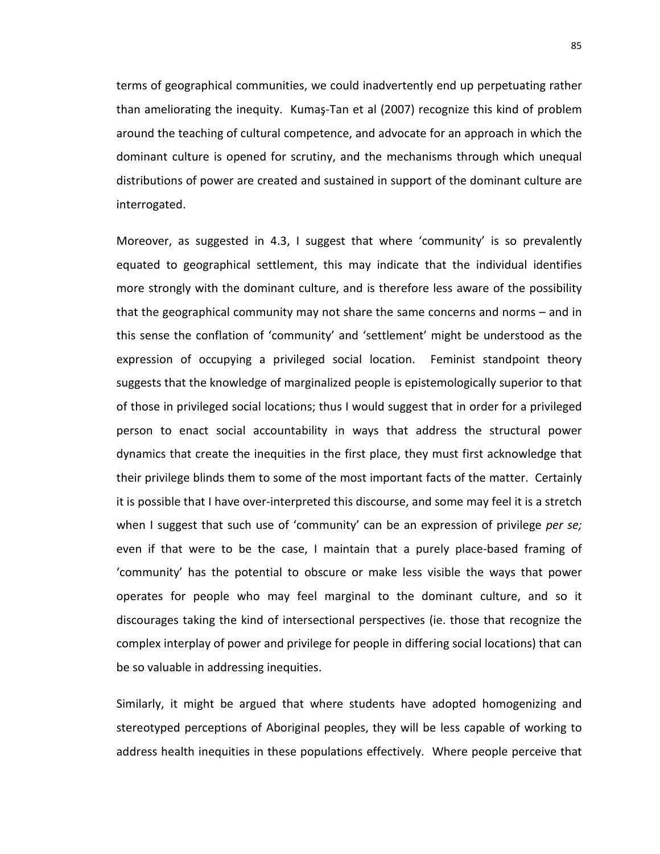terms of geographical communities, we could inadvertently end up perpetuating rather than ameliorating the inequity. Kumaş-Tan et al (2007) recognize this kind of problem around the teaching of cultural competence, and advocate for an approach in which the dominant culture is opened for scrutiny, and the mechanisms through which unequal distributions of power are created and sustained in support of the dominant culture are interrogated.

Moreover, as suggested in 4.3, I suggest that where 'community' is so prevalently equated to geographical settlement, this may indicate that the individual identifies more strongly with the dominant culture, and is therefore less aware of the possibility that the geographical community may not share the same concerns and norms – and in this sense the conflation of 'community' and 'settlement' might be understood as the expression of occupying a privileged social location. Feminist standpoint theory suggests that the knowledge of marginalized people is epistemologically superior to that of those in privileged social locations; thus I would suggest that in order for a privileged person to enact social accountability in ways that address the structural power dynamics that create the inequities in the first place, they must first acknowledge that their privilege blinds them to some of the most important facts of the matter. Certainly it is possible that I have over-interpreted this discourse, and some may feel it is a stretch when I suggest that such use of 'community' can be an expression of privilege *per se;*  even if that were to be the case, I maintain that a purely place-based framing of 'community' has the potential to obscure or make less visible the ways that power operates for people who may feel marginal to the dominant culture, and so it discourages taking the kind of intersectional perspectives (ie. those that recognize the complex interplay of power and privilege for people in differing social locations) that can be so valuable in addressing inequities.

Similarly, it might be argued that where students have adopted homogenizing and stereotyped perceptions of Aboriginal peoples, they will be less capable of working to address health inequities in these populations effectively. Where people perceive that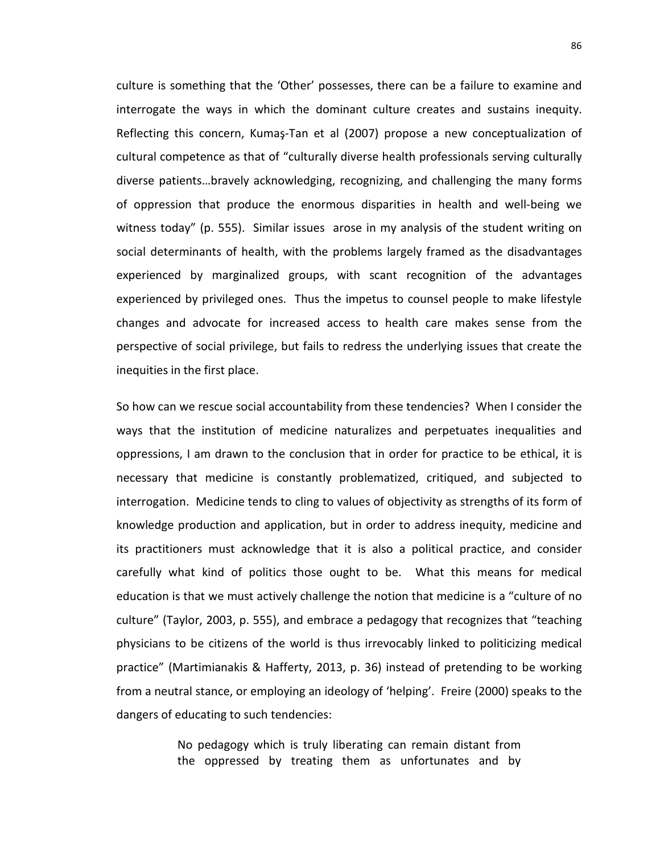culture is something that the 'Other' possesses, there can be a failure to examine and interrogate the ways in which the dominant culture creates and sustains inequity. Reflecting this concern, Kumaş-Tan et al (2007) propose a new conceptualization of cultural competence as that of "culturally diverse health professionals serving culturally diverse patients…bravely acknowledging, recognizing, and challenging the many forms of oppression that produce the enormous disparities in health and well-being we witness today" (p. 555). Similar issues arose in my analysis of the student writing on social determinants of health, with the problems largely framed as the disadvantages experienced by marginalized groups, with scant recognition of the advantages experienced by privileged ones. Thus the impetus to counsel people to make lifestyle changes and advocate for increased access to health care makes sense from the perspective of social privilege, but fails to redress the underlying issues that create the inequities in the first place.

So how can we rescue social accountability from these tendencies? When I consider the ways that the institution of medicine naturalizes and perpetuates inequalities and oppressions, I am drawn to the conclusion that in order for practice to be ethical, it is necessary that medicine is constantly problematized, critiqued, and subjected to interrogation. Medicine tends to cling to values of objectivity as strengths of its form of knowledge production and application, but in order to address inequity, medicine and its practitioners must acknowledge that it is also a political practice, and consider carefully what kind of politics those ought to be. What this means for medical education is that we must actively challenge the notion that medicine is a "culture of no culture" (Taylor, 2003, p. 555), and embrace a pedagogy that recognizes that "teaching physicians to be citizens of the world is thus irrevocably linked to politicizing medical practice" (Martimianakis & Hafferty, 2013, p. 36) instead of pretending to be working from a neutral stance, or employing an ideology of 'helping'. Freire (2000) speaks to the dangers of educating to such tendencies:

> No pedagogy which is truly liberating can remain distant from the oppressed by treating them as unfortunates and by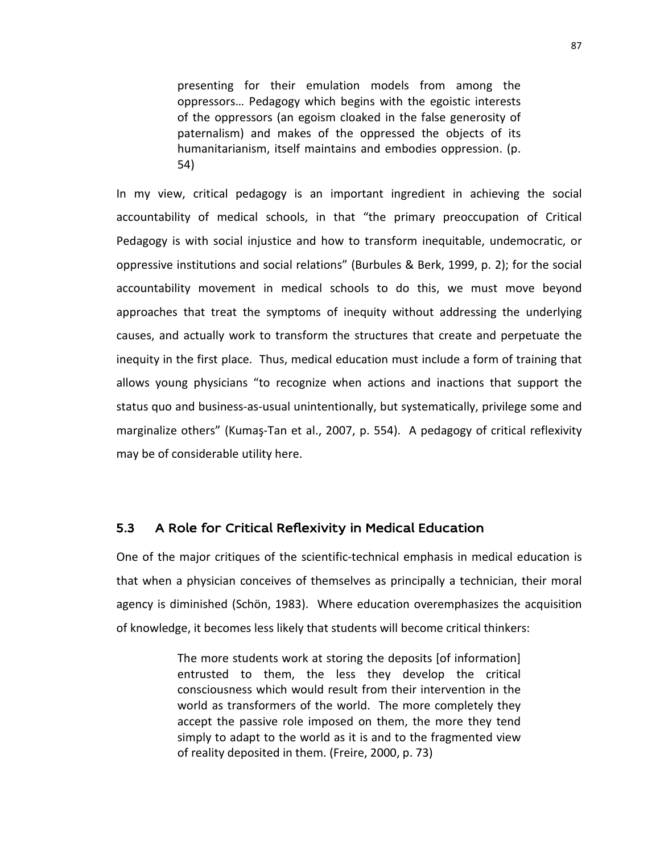presenting for their emulation models from among the oppressors… Pedagogy which begins with the egoistic interests of the oppressors (an egoism cloaked in the false generosity of paternalism) and makes of the oppressed the objects of its humanitarianism, itself maintains and embodies oppression. (p. 54)

In my view, critical pedagogy is an important ingredient in achieving the social accountability of medical schools, in that "the primary preoccupation of Critical Pedagogy is with social injustice and how to transform inequitable, undemocratic, or oppressive institutions and social relations" (Burbules & Berk, 1999, p. 2); for the social accountability movement in medical schools to do this, we must move beyond approaches that treat the symptoms of inequity without addressing the underlying causes, and actually work to transform the structures that create and perpetuate the inequity in the first place. Thus, medical education must include a form of training that allows young physicians "to recognize when actions and inactions that support the status quo and business-as-usual unintentionally, but systematically, privilege some and marginalize others" (Kumaş-Tan et al., 2007, p. 554). A pedagogy of critical reflexivity may be of considerable utility here.

#### 5.3 A Role for Critical Reflexivity in Medical Education

One of the major critiques of the scientific-technical emphasis in medical education is that when a physician conceives of themselves as principally a technician, their moral agency is diminished (Schön, 1983). Where education overemphasizes the acquisition of knowledge, it becomes less likely that students will become critical thinkers:

> The more students work at storing the deposits [of information] entrusted to them, the less they develop the critical consciousness which would result from their intervention in the world as transformers of the world. The more completely they accept the passive role imposed on them, the more they tend simply to adapt to the world as it is and to the fragmented view of reality deposited in them. (Freire, 2000, p. 73)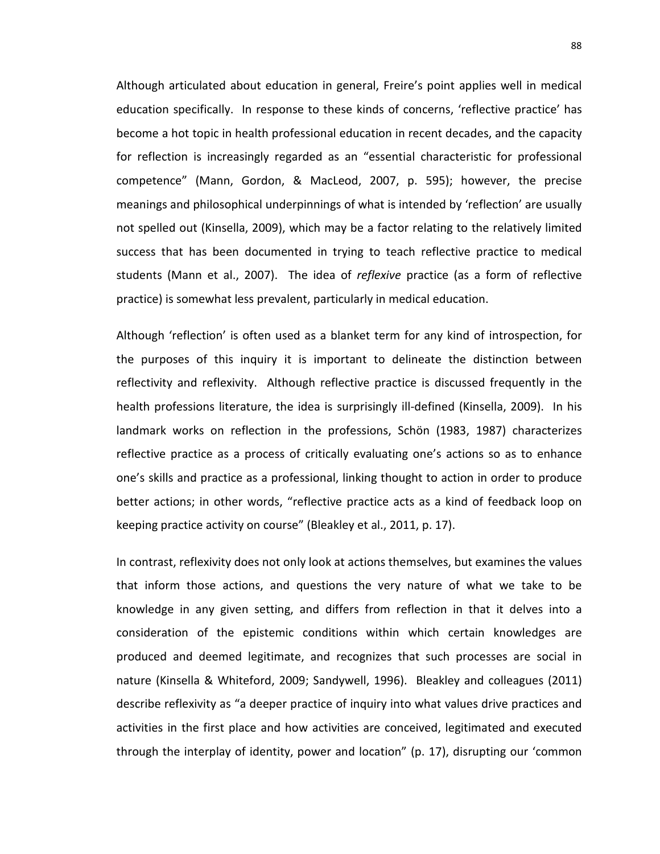Although articulated about education in general, Freire's point applies well in medical education specifically. In response to these kinds of concerns, 'reflective practice' has become a hot topic in health professional education in recent decades, and the capacity for reflection is increasingly regarded as an "essential characteristic for professional competence" (Mann, Gordon, & MacLeod, 2007, p. 595); however, the precise meanings and philosophical underpinnings of what is intended by 'reflection' are usually not spelled out (Kinsella, 2009), which may be a factor relating to the relatively limited success that has been documented in trying to teach reflective practice to medical students (Mann et al., 2007). The idea of *reflexive* practice (as a form of reflective practice) is somewhat less prevalent, particularly in medical education.

Although 'reflection' is often used as a blanket term for any kind of introspection, for the purposes of this inquiry it is important to delineate the distinction between reflectivity and reflexivity. Although reflective practice is discussed frequently in the health professions literature, the idea is surprisingly ill-defined (Kinsella, 2009). In his landmark works on reflection in the professions, Schön (1983, 1987) characterizes reflective practice as a process of critically evaluating one's actions so as to enhance one's skills and practice as a professional, linking thought to action in order to produce better actions; in other words, "reflective practice acts as a kind of feedback loop on keeping practice activity on course" (Bleakley et al., 2011, p. 17).

In contrast, reflexivity does not only look at actions themselves, but examines the values that inform those actions, and questions the very nature of what we take to be knowledge in any given setting, and differs from reflection in that it delves into a consideration of the epistemic conditions within which certain knowledges are produced and deemed legitimate, and recognizes that such processes are social in nature (Kinsella & Whiteford, 2009; Sandywell, 1996). Bleakley and colleagues (2011) describe reflexivity as "a deeper practice of inquiry into what values drive practices and activities in the first place and how activities are conceived, legitimated and executed through the interplay of identity, power and location" (p. 17), disrupting our 'common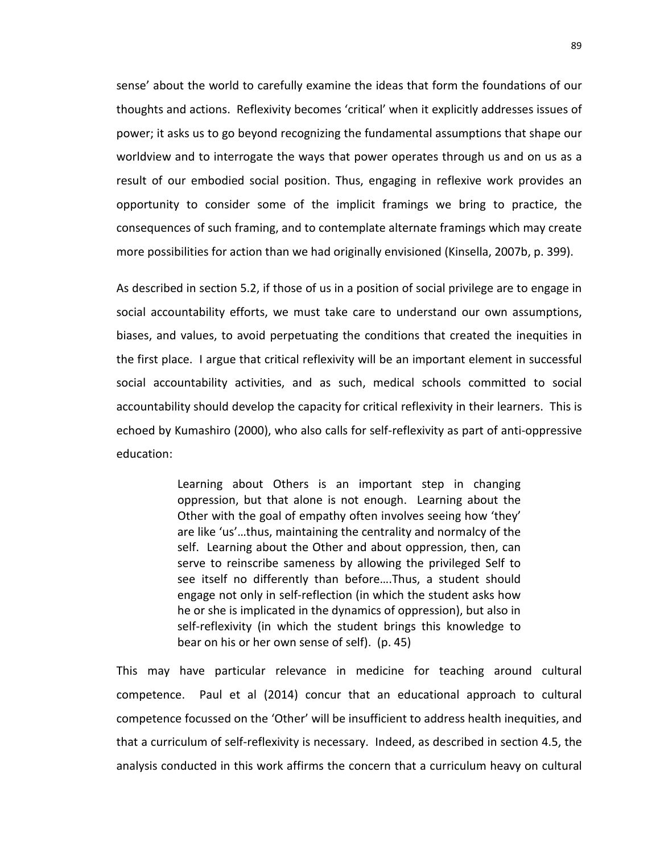sense' about the world to carefully examine the ideas that form the foundations of our thoughts and actions. Reflexivity becomes 'critical' when it explicitly addresses issues of power; it asks us to go beyond recognizing the fundamental assumptions that shape our worldview and to interrogate the ways that power operates through us and on us as a result of our embodied social position. Thus, engaging in reflexive work provides an opportunity to consider some of the implicit framings we bring to practice, the consequences of such framing, and to contemplate alternate framings which may create more possibilities for action than we had originally envisioned (Kinsella, 2007b, p. 399).

As described in section 5.2, if those of us in a position of social privilege are to engage in social accountability efforts, we must take care to understand our own assumptions, biases, and values, to avoid perpetuating the conditions that created the inequities in the first place. I argue that critical reflexivity will be an important element in successful social accountability activities, and as such, medical schools committed to social accountability should develop the capacity for critical reflexivity in their learners. This is echoed by Kumashiro (2000), who also calls for self-reflexivity as part of anti-oppressive education:

> Learning about Others is an important step in changing oppression, but that alone is not enough. Learning about the Other with the goal of empathy often involves seeing how 'they' are like 'us'…thus, maintaining the centrality and normalcy of the self. Learning about the Other and about oppression, then, can serve to reinscribe sameness by allowing the privileged Self to see itself no differently than before….Thus, a student should engage not only in self-reflection (in which the student asks how he or she is implicated in the dynamics of oppression), but also in self-reflexivity (in which the student brings this knowledge to bear on his or her own sense of self). (p. 45)

This may have particular relevance in medicine for teaching around cultural competence. Paul et al (2014) concur that an educational approach to cultural competence focussed on the 'Other' will be insufficient to address health inequities, and that a curriculum of self-reflexivity is necessary. Indeed, as described in section 4.5, the analysis conducted in this work affirms the concern that a curriculum heavy on cultural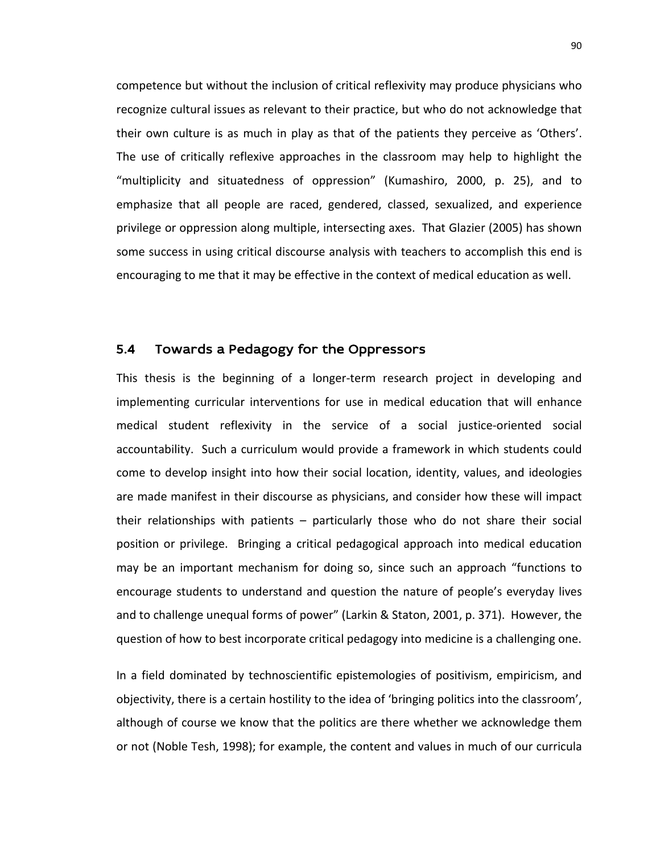competence but without the inclusion of critical reflexivity may produce physicians who recognize cultural issues as relevant to their practice, but who do not acknowledge that their own culture is as much in play as that of the patients they perceive as 'Others'. The use of critically reflexive approaches in the classroom may help to highlight the "multiplicity and situatedness of oppression" (Kumashiro, 2000, p. 25), and to emphasize that all people are raced, gendered, classed, sexualized, and experience privilege or oppression along multiple, intersecting axes. That Glazier (2005) has shown some success in using critical discourse analysis with teachers to accomplish this end is encouraging to me that it may be effective in the context of medical education as well.

#### 5.4 Towards a Pedagogy for the Oppressors

This thesis is the beginning of a longer-term research project in developing and implementing curricular interventions for use in medical education that will enhance medical student reflexivity in the service of a social justice-oriented social accountability. Such a curriculum would provide a framework in which students could come to develop insight into how their social location, identity, values, and ideologies are made manifest in their discourse as physicians, and consider how these will impact their relationships with patients – particularly those who do not share their social position or privilege. Bringing a critical pedagogical approach into medical education may be an important mechanism for doing so, since such an approach "functions to encourage students to understand and question the nature of people's everyday lives and to challenge unequal forms of power" (Larkin & Staton, 2001, p. 371). However, the question of how to best incorporate critical pedagogy into medicine is a challenging one.

In a field dominated by technoscientific epistemologies of positivism, empiricism, and objectivity, there is a certain hostility to the idea of 'bringing politics into the classroom', although of course we know that the politics are there whether we acknowledge them or not (Noble Tesh, 1998); for example, the content and values in much of our curricula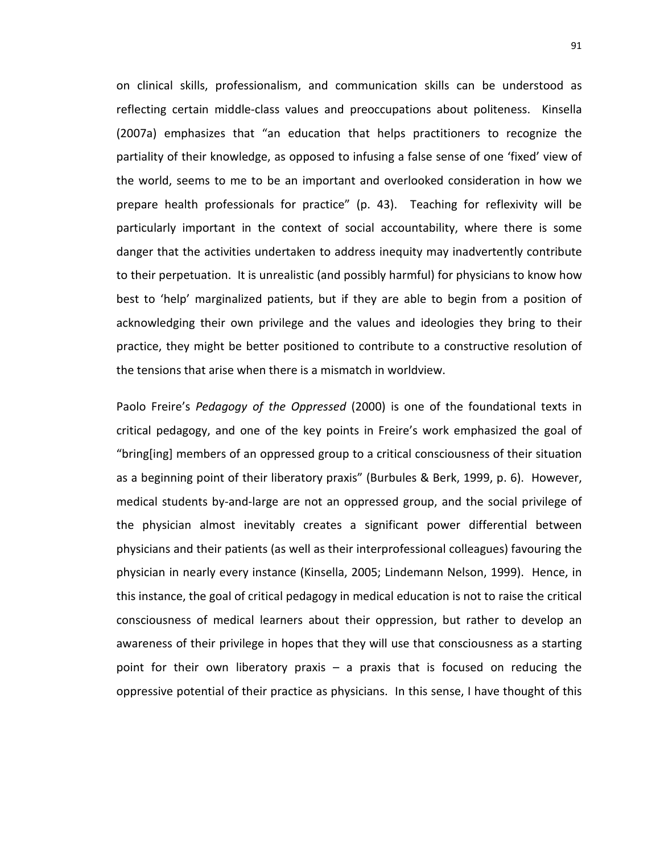on clinical skills, professionalism, and communication skills can be understood as reflecting certain middle-class values and preoccupations about politeness. Kinsella (2007a) emphasizes that "an education that helps practitioners to recognize the partiality of their knowledge, as opposed to infusing a false sense of one 'fixed' view of the world, seems to me to be an important and overlooked consideration in how we prepare health professionals for practice" (p. 43). Teaching for reflexivity will be particularly important in the context of social accountability, where there is some danger that the activities undertaken to address inequity may inadvertently contribute to their perpetuation. It is unrealistic (and possibly harmful) for physicians to know how best to 'help' marginalized patients, but if they are able to begin from a position of acknowledging their own privilege and the values and ideologies they bring to their practice, they might be better positioned to contribute to a constructive resolution of the tensions that arise when there is a mismatch in worldview.

Paolo Freire's *Pedagogy of the Oppressed* (2000) is one of the foundational texts in critical pedagogy, and one of the key points in Freire's work emphasized the goal of "bring[ing] members of an oppressed group to a critical consciousness of their situation as a beginning point of their liberatory praxis" (Burbules & Berk, 1999, p. 6). However, medical students by-and-large are not an oppressed group, and the social privilege of the physician almost inevitably creates a significant power differential between physicians and their patients (as well as their interprofessional colleagues) favouring the physician in nearly every instance (Kinsella, 2005; Lindemann Nelson, 1999). Hence, in this instance, the goal of critical pedagogy in medical education is not to raise the critical consciousness of medical learners about their oppression, but rather to develop an awareness of their privilege in hopes that they will use that consciousness as a starting point for their own liberatory praxis – a praxis that is focused on reducing the oppressive potential of their practice as physicians. In this sense, I have thought of this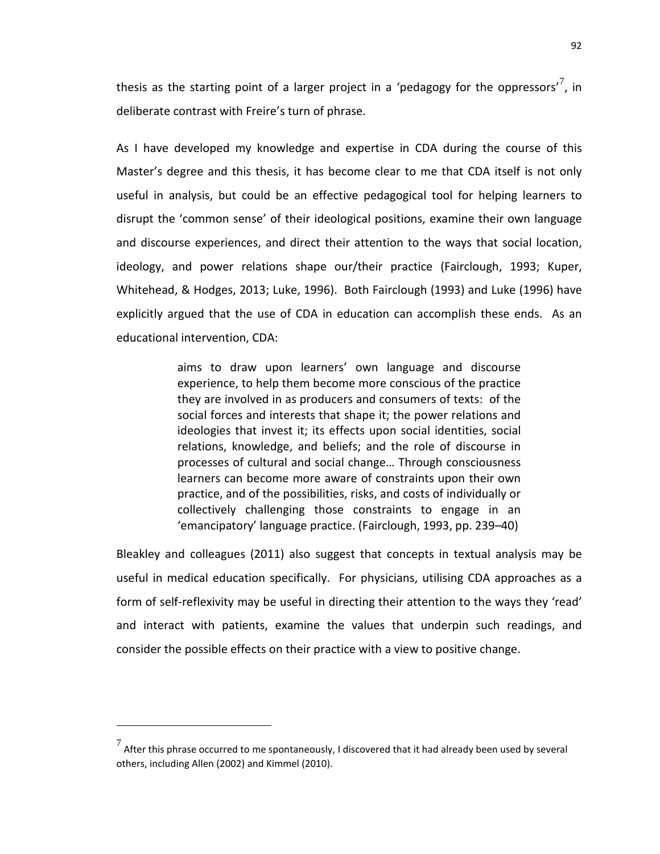thesis as the starting point of a larger project in a 'pedagogy for the oppressors'<sup>[7](#page-98-0)</sup>, in deliberate contrast with Freire's turn of phrase.

As I have developed my knowledge and expertise in CDA during the course of this Master's degree and this thesis, it has become clear to me that CDA itself is not only useful in analysis, but could be an effective pedagogical tool for helping learners to disrupt the 'common sense' of their ideological positions, examine their own language and discourse experiences, and direct their attention to the ways that social location, ideology, and power relations shape our/their practice (Fairclough, 1993; Kuper, Whitehead, & Hodges, 2013; Luke, 1996). Both Fairclough (1993) and Luke (1996) have explicitly argued that the use of CDA in education can accomplish these ends. As an educational intervention, CDA:

> aims to draw upon learners' own language and discourse experience, to help them become more conscious of the practice they are involved in as producers and consumers of texts: of the social forces and interests that shape it; the power relations and ideologies that invest it; its effects upon social identities, social relations, knowledge, and beliefs; and the role of discourse in processes of cultural and social change… Through consciousness learners can become more aware of constraints upon their own practice, and of the possibilities, risks, and costs of individually or collectively challenging those constraints to engage in an 'emancipatory' language practice. (Fairclough, 1993, pp. 239–40)

Bleakley and colleagues (2011) also suggest that concepts in textual analysis may be useful in medical education specifically. For physicians, utilising CDA approaches as a form of self-reflexivity may be useful in directing their attention to the ways they 'read' and interact with patients, examine the values that underpin such readings, and consider the possible effects on their practice with a view to positive change.

 $\overline{a}$ 

<span id="page-98-0"></span> $\frac{7}{1}$  After this phrase occurred to me spontaneously, I discovered that it had already been used by several others, including Allen (2002) and Kimmel (2010).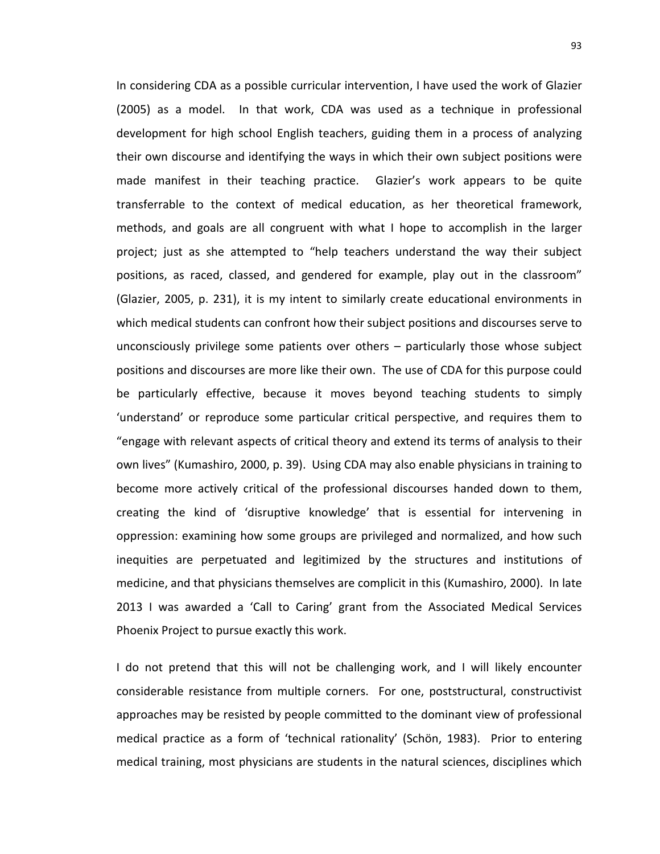In considering CDA as a possible curricular intervention, I have used the work of Glazier (2005) as a model. In that work, CDA was used as a technique in professional development for high school English teachers, guiding them in a process of analyzing their own discourse and identifying the ways in which their own subject positions were made manifest in their teaching practice. Glazier's work appears to be quite transferrable to the context of medical education, as her theoretical framework, methods, and goals are all congruent with what I hope to accomplish in the larger project; just as she attempted to "help teachers understand the way their subject positions, as raced, classed, and gendered for example, play out in the classroom" (Glazier, 2005, p. 231), it is my intent to similarly create educational environments in which medical students can confront how their subject positions and discourses serve to unconsciously privilege some patients over others – particularly those whose subject positions and discourses are more like their own. The use of CDA for this purpose could be particularly effective, because it moves beyond teaching students to simply 'understand' or reproduce some particular critical perspective, and requires them to "engage with relevant aspects of critical theory and extend its terms of analysis to their own lives" (Kumashiro, 2000, p. 39). Using CDA may also enable physicians in training to become more actively critical of the professional discourses handed down to them, creating the kind of 'disruptive knowledge' that is essential for intervening in oppression: examining how some groups are privileged and normalized, and how such inequities are perpetuated and legitimized by the structures and institutions of medicine, and that physicians themselves are complicit in this (Kumashiro, 2000). In late 2013 I was awarded a 'Call to Caring' grant from the Associated Medical Services Phoenix Project to pursue exactly this work.

I do not pretend that this will not be challenging work, and I will likely encounter considerable resistance from multiple corners. For one, poststructural, constructivist approaches may be resisted by people committed to the dominant view of professional medical practice as a form of 'technical rationality' (Schön, 1983). Prior to entering medical training, most physicians are students in the natural sciences, disciplines which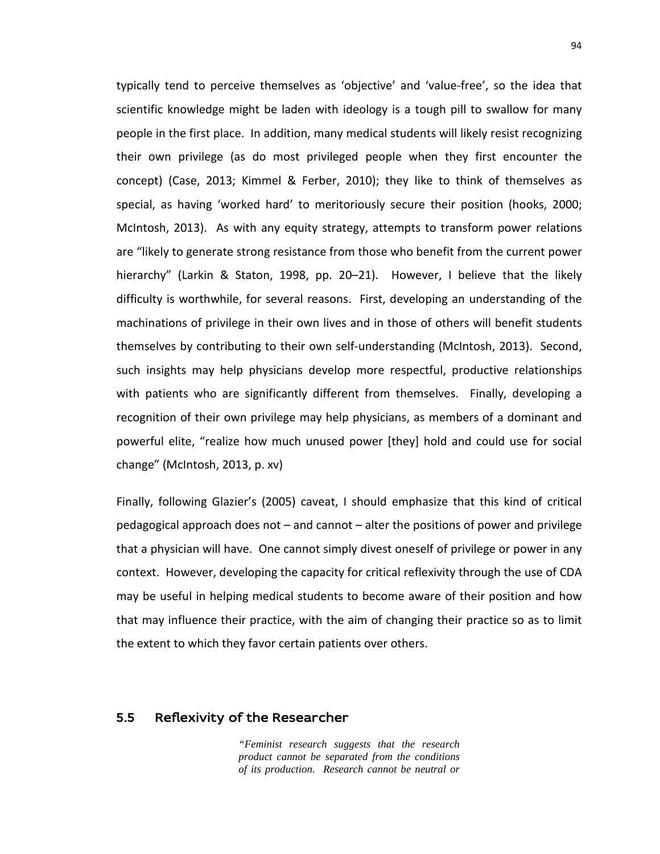typically tend to perceive themselves as 'objective' and 'value-free', so the idea that scientific knowledge might be laden with ideology is a tough pill to swallow for many people in the first place. In addition, many medical students will likely resist recognizing their own privilege (as do most privileged people when they first encounter the concept) (Case, 2013; Kimmel & Ferber, 2010); they like to think of themselves as special, as having 'worked hard' to meritoriously secure their position (hooks, 2000; McIntosh, 2013). As with any equity strategy, attempts to transform power relations are "likely to generate strong resistance from those who benefit from the current power hierarchy" (Larkin & Staton, 1998, pp. 20–21). However, I believe that the likely difficulty is worthwhile, for several reasons. First, developing an understanding of the machinations of privilege in their own lives and in those of others will benefit students themselves by contributing to their own self-understanding (McIntosh, 2013). Second, such insights may help physicians develop more respectful, productive relationships with patients who are significantly different from themselves. Finally, developing a recognition of their own privilege may help physicians, as members of a dominant and powerful elite, "realize how much unused power [they] hold and could use for social change" (McIntosh, 2013, p. xv)

Finally, following Glazier's (2005) caveat, I should emphasize that this kind of critical pedagogical approach does not – and cannot – alter the positions of power and privilege that a physician will have. One cannot simply divest oneself of privilege or power in any context. However, developing the capacity for critical reflexivity through the use of CDA may be useful in helping medical students to become aware of their position and how that may influence their practice, with the aim of changing their practice so as to limit the extent to which they favor certain patients over others.

#### 5.5 Reflexivity of the Researcher

*"Feminist research suggests that the research product cannot be separated from the conditions of its production. Research cannot be neutral or*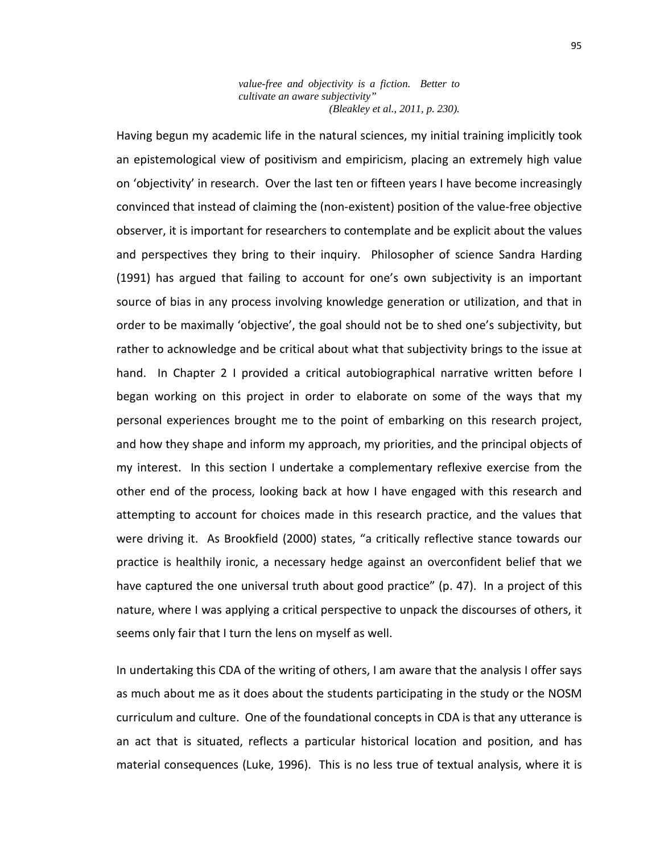*value-free and objectivity is a fiction. Better to cultivate an aware subjectivity" (Bleakley et al., 2011, p. 230).*

Having begun my academic life in the natural sciences, my initial training implicitly took an epistemological view of positivism and empiricism, placing an extremely high value on 'objectivity' in research. Over the last ten or fifteen years I have become increasingly convinced that instead of claiming the (non-existent) position of the value-free objective observer, it is important for researchers to contemplate and be explicit about the values and perspectives they bring to their inquiry. Philosopher of science Sandra Harding (1991) has argued that failing to account for one's own subjectivity is an important source of bias in any process involving knowledge generation or utilization, and that in order to be maximally 'objective', the goal should not be to shed one's subjectivity, but rather to acknowledge and be critical about what that subjectivity brings to the issue at hand. In Chapter 2 I provided a critical autobiographical narrative written before I began working on this project in order to elaborate on some of the ways that my personal experiences brought me to the point of embarking on this research project, and how they shape and inform my approach, my priorities, and the principal objects of my interest. In this section I undertake a complementary reflexive exercise from the other end of the process, looking back at how I have engaged with this research and attempting to account for choices made in this research practice, and the values that were driving it. As Brookfield (2000) states, "a critically reflective stance towards our practice is healthily ironic, a necessary hedge against an overconfident belief that we have captured the one universal truth about good practice" (p. 47). In a project of this nature, where I was applying a critical perspective to unpack the discourses of others, it seems only fair that I turn the lens on myself as well.

In undertaking this CDA of the writing of others, I am aware that the analysis I offer says as much about me as it does about the students participating in the study or the NOSM curriculum and culture. One of the foundational concepts in CDA is that any utterance is an act that is situated, reflects a particular historical location and position, and has material consequences (Luke, 1996). This is no less true of textual analysis, where it is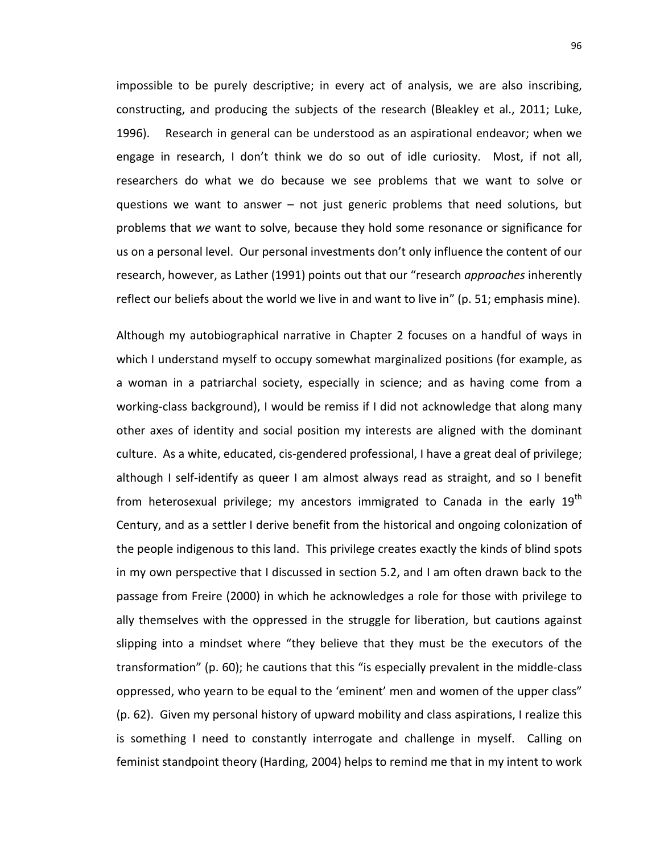impossible to be purely descriptive; in every act of analysis, we are also inscribing, constructing, and producing the subjects of the research (Bleakley et al., 2011; Luke, 1996). Research in general can be understood as an aspirational endeavor; when we engage in research, I don't think we do so out of idle curiosity. Most, if not all, researchers do what we do because we see problems that we want to solve or questions we want to answer – not just generic problems that need solutions, but problems that *we* want to solve, because they hold some resonance or significance for us on a personal level. Our personal investments don't only influence the content of our research, however, as Lather (1991) points out that our "research *approaches* inherently reflect our beliefs about the world we live in and want to live in" (p. 51; emphasis mine).

Although my autobiographical narrative in Chapter 2 focuses on a handful of ways in which I understand myself to occupy somewhat marginalized positions (for example, as a woman in a patriarchal society, especially in science; and as having come from a working-class background), I would be remiss if I did not acknowledge that along many other axes of identity and social position my interests are aligned with the dominant culture. As a white, educated, cis-gendered professional, I have a great deal of privilege; although I self-identify as queer I am almost always read as straight, and so I benefit from heterosexual privilege; my ancestors immigrated to Canada in the early  $19<sup>th</sup>$ Century, and as a settler I derive benefit from the historical and ongoing colonization of the people indigenous to this land. This privilege creates exactly the kinds of blind spots in my own perspective that I discussed in section 5.2, and I am often drawn back to the passage from Freire (2000) in which he acknowledges a role for those with privilege to ally themselves with the oppressed in the struggle for liberation, but cautions against slipping into a mindset where "they believe that they must be the executors of the transformation" (p. 60); he cautions that this "is especially prevalent in the middle-class oppressed, who yearn to be equal to the 'eminent' men and women of the upper class" (p. 62). Given my personal history of upward mobility and class aspirations, I realize this is something I need to constantly interrogate and challenge in myself. Calling on feminist standpoint theory (Harding, 2004) helps to remind me that in my intent to work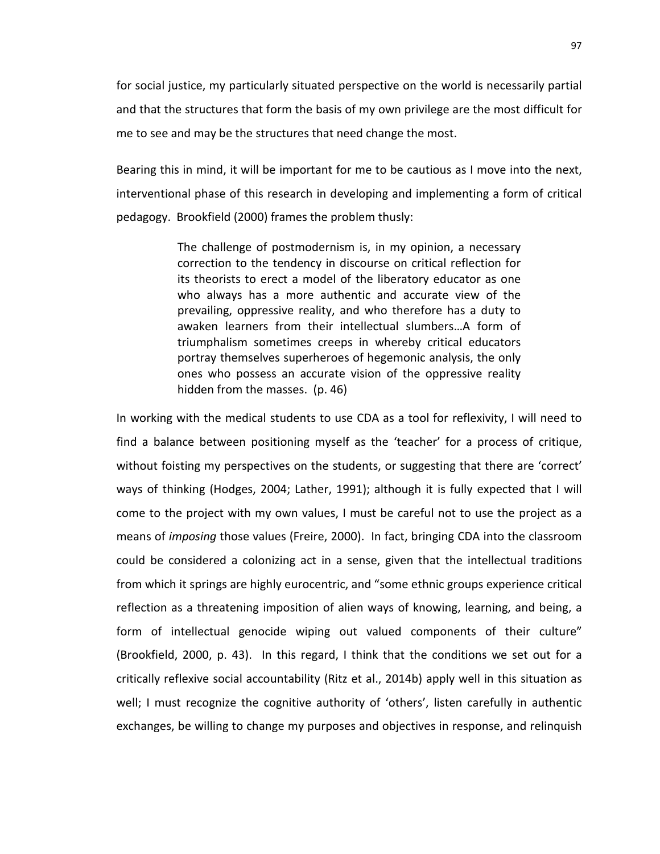for social justice, my particularly situated perspective on the world is necessarily partial and that the structures that form the basis of my own privilege are the most difficult for me to see and may be the structures that need change the most.

Bearing this in mind, it will be important for me to be cautious as I move into the next, interventional phase of this research in developing and implementing a form of critical pedagogy. Brookfield (2000) frames the problem thusly:

> The challenge of postmodernism is, in my opinion, a necessary correction to the tendency in discourse on critical reflection for its theorists to erect a model of the liberatory educator as one who always has a more authentic and accurate view of the prevailing, oppressive reality, and who therefore has a duty to awaken learners from their intellectual slumbers…A form of triumphalism sometimes creeps in whereby critical educators portray themselves superheroes of hegemonic analysis, the only ones who possess an accurate vision of the oppressive reality hidden from the masses. (p. 46)

In working with the medical students to use CDA as a tool for reflexivity, I will need to find a balance between positioning myself as the 'teacher' for a process of critique, without foisting my perspectives on the students, or suggesting that there are 'correct' ways of thinking (Hodges, 2004; Lather, 1991); although it is fully expected that I will come to the project with my own values, I must be careful not to use the project as a means of *imposing* those values (Freire, 2000). In fact, bringing CDA into the classroom could be considered a colonizing act in a sense, given that the intellectual traditions from which it springs are highly eurocentric, and "some ethnic groups experience critical reflection as a threatening imposition of alien ways of knowing, learning, and being, a form of intellectual genocide wiping out valued components of their culture" (Brookfield, 2000, p. 43). In this regard, I think that the conditions we set out for a critically reflexive social accountability (Ritz et al., 2014b) apply well in this situation as well; I must recognize the cognitive authority of 'others', listen carefully in authentic exchanges, be willing to change my purposes and objectives in response, and relinquish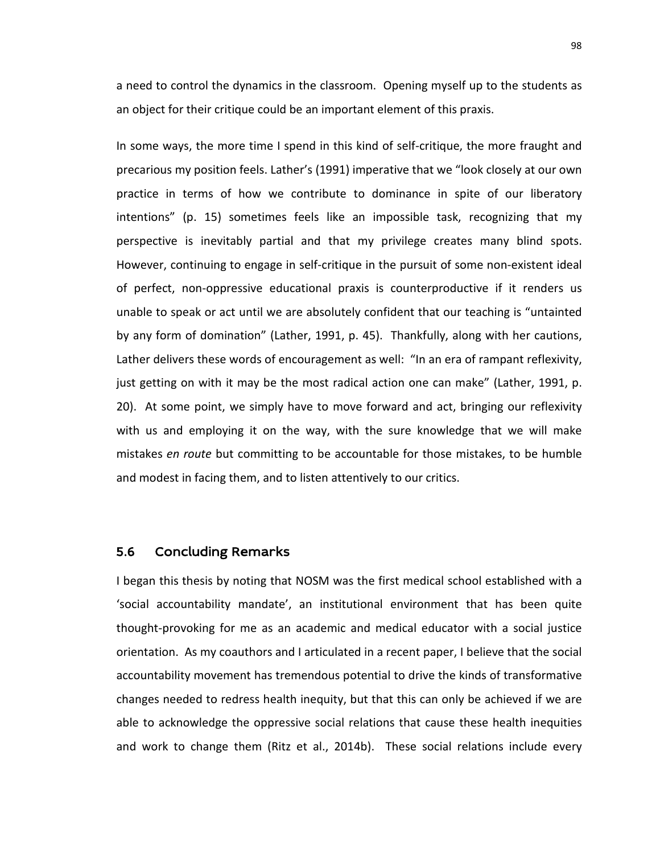a need to control the dynamics in the classroom. Opening myself up to the students as an object for their critique could be an important element of this praxis.

In some ways, the more time I spend in this kind of self-critique, the more fraught and precarious my position feels. Lather's (1991) imperative that we "look closely at our own practice in terms of how we contribute to dominance in spite of our liberatory intentions" (p. 15) sometimes feels like an impossible task, recognizing that my perspective is inevitably partial and that my privilege creates many blind spots. However, continuing to engage in self-critique in the pursuit of some non-existent ideal of perfect, non-oppressive educational praxis is counterproductive if it renders us unable to speak or act until we are absolutely confident that our teaching is "untainted by any form of domination" (Lather, 1991, p. 45). Thankfully, along with her cautions, Lather delivers these words of encouragement as well: "In an era of rampant reflexivity, just getting on with it may be the most radical action one can make" (Lather, 1991, p. 20). At some point, we simply have to move forward and act, bringing our reflexivity with us and employing it on the way, with the sure knowledge that we will make mistakes *en route* but committing to be accountable for those mistakes, to be humble and modest in facing them, and to listen attentively to our critics.

#### 5.6 Concluding Remarks

I began this thesis by noting that NOSM was the first medical school established with a 'social accountability mandate', an institutional environment that has been quite thought-provoking for me as an academic and medical educator with a social justice orientation. As my coauthors and I articulated in a recent paper, I believe that the social accountability movement has tremendous potential to drive the kinds of transformative changes needed to redress health inequity, but that this can only be achieved if we are able to acknowledge the oppressive social relations that cause these health inequities and work to change them (Ritz et al., 2014b). These social relations include every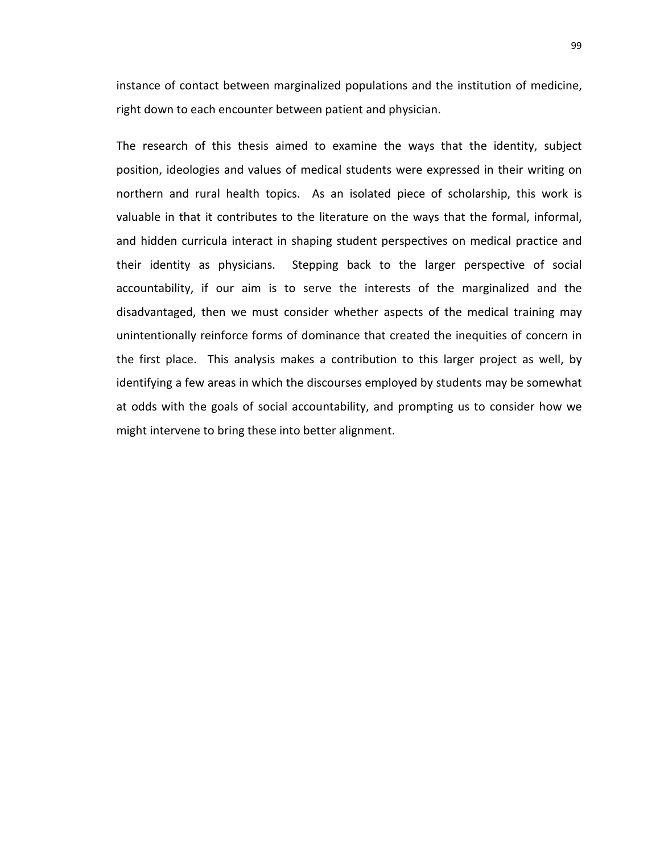instance of contact between marginalized populations and the institution of medicine, right down to each encounter between patient and physician.

The research of this thesis aimed to examine the ways that the identity, subject position, ideologies and values of medical students were expressed in their writing on northern and rural health topics. As an isolated piece of scholarship, this work is valuable in that it contributes to the literature on the ways that the formal, informal, and hidden curricula interact in shaping student perspectives on medical practice and their identity as physicians. Stepping back to the larger perspective of social accountability, if our aim is to serve the interests of the marginalized and the disadvantaged, then we must consider whether aspects of the medical training may unintentionally reinforce forms of dominance that created the inequities of concern in the first place. This analysis makes a contribution to this larger project as well, by identifying a few areas in which the discourses employed by students may be somewhat at odds with the goals of social accountability, and prompting us to consider how we might intervene to bring these into better alignment.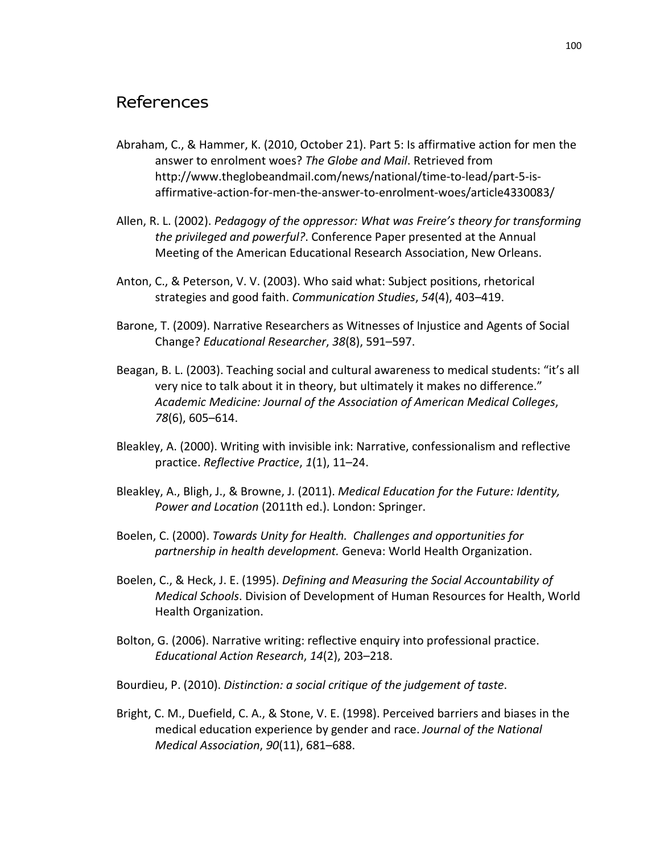# References

- Abraham, C., & Hammer, K. (2010, October 21). Part 5: Is affirmative action for men the answer to enrolment woes? *The Globe and Mail*. Retrieved from http://www.theglobeandmail.com/news/national/time-to-lead/part-5-isaffirmative-action-for-men-the-answer-to-enrolment-woes/article4330083/
- Allen, R. L. (2002). *Pedagogy of the oppressor: What was Freire's theory for transforming the privileged and powerful?*. Conference Paper presented at the Annual Meeting of the American Educational Research Association, New Orleans.
- Anton, C., & Peterson, V. V. (2003). Who said what: Subject positions, rhetorical strategies and good faith. *Communication Studies*, *54*(4), 403–419.
- Barone, T. (2009). Narrative Researchers as Witnesses of Injustice and Agents of Social Change? *Educational Researcher*, *38*(8), 591–597.
- Beagan, B. L. (2003). Teaching social and cultural awareness to medical students: "it's all very nice to talk about it in theory, but ultimately it makes no difference." *Academic Medicine: Journal of the Association of American Medical Colleges*, *78*(6), 605–614.
- Bleakley, A. (2000). Writing with invisible ink: Narrative, confessionalism and reflective practice. *Reflective Practice*, *1*(1), 11–24.
- Bleakley, A., Bligh, J., & Browne, J. (2011). *Medical Education for the Future: Identity, Power and Location* (2011th ed.). London: Springer.
- Boelen, C. (2000). *Towards Unity for Health. Challenges and opportunities for partnership in health development.* Geneva: World Health Organization.
- Boelen, C., & Heck, J. E. (1995). *Defining and Measuring the Social Accountability of Medical Schools*. Division of Development of Human Resources for Health, World Health Organization.
- Bolton, G. (2006). Narrative writing: reflective enquiry into professional practice. *Educational Action Research*, *14*(2), 203–218.
- Bourdieu, P. (2010). *Distinction: a social critique of the judgement of taste*.
- Bright, C. M., Duefield, C. A., & Stone, V. E. (1998). Perceived barriers and biases in the medical education experience by gender and race. *Journal of the National Medical Association*, *90*(11), 681–688.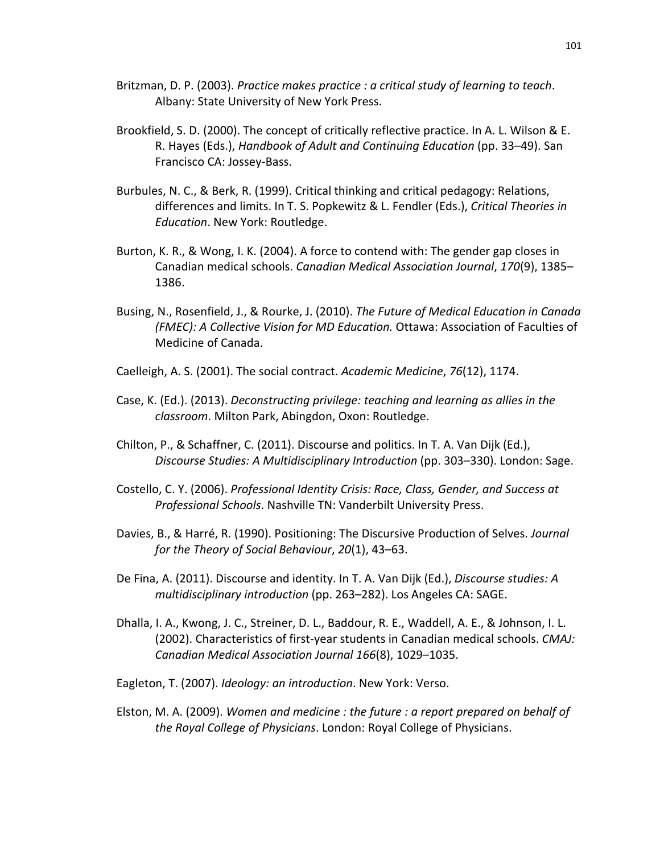- Britzman, D. P. (2003). *Practice makes practice : a critical study of learning to teach*. Albany: State University of New York Press.
- Brookfield, S. D. (2000). The concept of critically reflective practice. In A. L. Wilson & E. R. Hayes (Eds.), *Handbook of Adult and Continuing Education* (pp. 33–49). San Francisco CA: Jossey-Bass.
- Burbules, N. C., & Berk, R. (1999). Critical thinking and critical pedagogy: Relations, differences and limits. In T. S. Popkewitz & L. Fendler (Eds.), *Critical Theories in Education*. New York: Routledge.
- Burton, K. R., & Wong, I. K. (2004). A force to contend with: The gender gap closes in Canadian medical schools. *Canadian Medical Association Journal*, *170*(9), 1385– 1386.
- Busing, N., Rosenfield, J., & Rourke, J. (2010). *The Future of Medical Education in Canada (FMEC): A Collective Vision for MD Education.* Ottawa: Association of Faculties of Medicine of Canada.
- Caelleigh, A. S. (2001). The social contract. *Academic Medicine*, *76*(12), 1174.
- Case, K. (Ed.). (2013). *Deconstructing privilege: teaching and learning as allies in the classroom*. Milton Park, Abingdon, Oxon: Routledge.
- Chilton, P., & Schaffner, C. (2011). Discourse and politics. In T. A. Van Dijk (Ed.), *Discourse Studies: A Multidisciplinary Introduction* (pp. 303–330). London: Sage.
- Costello, C. Y. (2006). *Professional Identity Crisis: Race, Class, Gender, and Success at Professional Schools*. Nashville TN: Vanderbilt University Press.
- Davies, B., & Harré, R. (1990). Positioning: The Discursive Production of Selves. *Journal for the Theory of Social Behaviour*, *20*(1), 43–63.
- De Fina, A. (2011). Discourse and identity. In T. A. Van Dijk (Ed.), *Discourse studies: A multidisciplinary introduction* (pp. 263–282). Los Angeles CA: SAGE.
- Dhalla, I. A., Kwong, J. C., Streiner, D. L., Baddour, R. E., Waddell, A. E., & Johnson, I. L. (2002). Characteristics of first-year students in Canadian medical schools. *CMAJ: Canadian Medical Association Journal 166*(8), 1029–1035.
- Eagleton, T. (2007). *Ideology: an introduction*. New York: Verso.
- Elston, M. A. (2009). *Women and medicine : the future : a report prepared on behalf of the Royal College of Physicians*. London: Royal College of Physicians.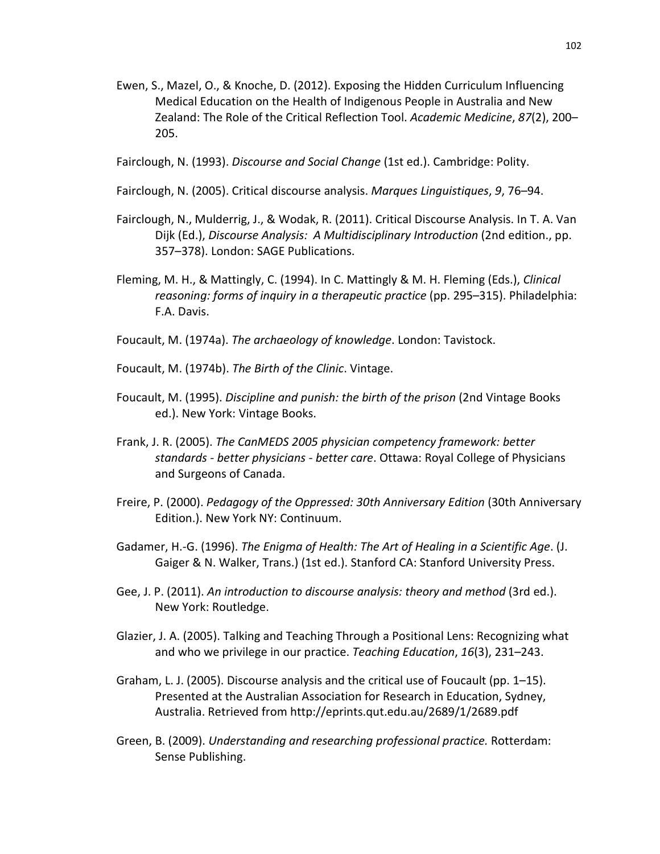- Ewen, S., Mazel, O., & Knoche, D. (2012). Exposing the Hidden Curriculum Influencing Medical Education on the Health of Indigenous People in Australia and New Zealand: The Role of the Critical Reflection Tool. *Academic Medicine*, *87*(2), 200– 205.
- Fairclough, N. (1993). *Discourse and Social Change* (1st ed.). Cambridge: Polity.
- Fairclough, N. (2005). Critical discourse analysis. *Marques Linguistiques*, *9*, 76–94.
- Fairclough, N., Mulderrig, J., & Wodak, R. (2011). Critical Discourse Analysis. In T. A. Van Dijk (Ed.), *Discourse Analysis: A Multidisciplinary Introduction* (2nd edition., pp. 357–378). London: SAGE Publications.
- Fleming, M. H., & Mattingly, C. (1994). In C. Mattingly & M. H. Fleming (Eds.), *Clinical reasoning: forms of inquiry in a therapeutic practice* (pp. 295–315). Philadelphia: F.A. Davis.
- Foucault, M. (1974a). *The archaeology of knowledge*. London: Tavistock.
- Foucault, M. (1974b). *The Birth of the Clinic*. Vintage.
- Foucault, M. (1995). *Discipline and punish: the birth of the prison* (2nd Vintage Books ed.). New York: Vintage Books.
- Frank, J. R. (2005). *The CanMEDS 2005 physician competency framework: better standards - better physicians - better care*. Ottawa: Royal College of Physicians and Surgeons of Canada.
- Freire, P. (2000). *Pedagogy of the Oppressed: 30th Anniversary Edition* (30th Anniversary Edition.). New York NY: Continuum.
- Gadamer, H.-G. (1996). *The Enigma of Health: The Art of Healing in a Scientific Age*. (J. Gaiger & N. Walker, Trans.) (1st ed.). Stanford CA: Stanford University Press.
- Gee, J. P. (2011). *An introduction to discourse analysis: theory and method* (3rd ed.). New York: Routledge.
- Glazier, J. A. (2005). Talking and Teaching Through a Positional Lens: Recognizing what and who we privilege in our practice. *Teaching Education*, *16*(3), 231–243.
- Graham, L. J. (2005). Discourse analysis and the critical use of Foucault (pp. 1–15). Presented at the Australian Association for Research in Education, Sydney, Australia. Retrieved from http://eprints.qut.edu.au/2689/1/2689.pdf
- Green, B. (2009). *Understanding and researching professional practice.* Rotterdam: Sense Publishing.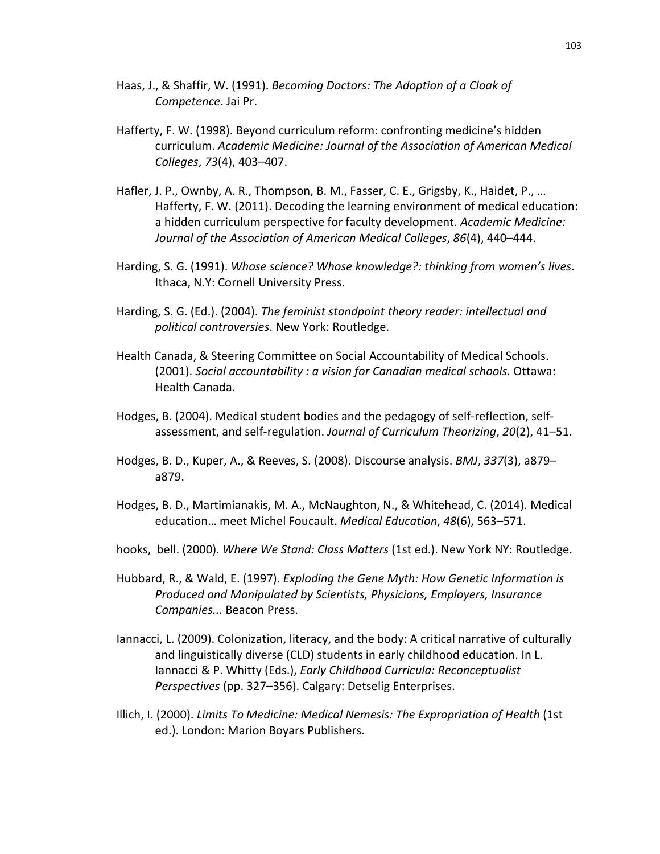- Haas, J., & Shaffir, W. (1991). *Becoming Doctors: The Adoption of a Cloak of Competence*. Jai Pr.
- Hafferty, F. W. (1998). Beyond curriculum reform: confronting medicine's hidden curriculum. *Academic Medicine: Journal of the Association of American Medical Colleges*, *73*(4), 403–407.
- Hafler, J. P., Ownby, A. R., Thompson, B. M., Fasser, C. E., Grigsby, K., Haidet, P., … Hafferty, F. W. (2011). Decoding the learning environment of medical education: a hidden curriculum perspective for faculty development. *Academic Medicine: Journal of the Association of American Medical Colleges*, *86*(4), 440–444.
- Harding, S. G. (1991). *Whose science? Whose knowledge?: thinking from women's lives*. Ithaca, N.Y: Cornell University Press.
- Harding, S. G. (Ed.). (2004). *The feminist standpoint theory reader: intellectual and political controversies*. New York: Routledge.
- Health Canada, & Steering Committee on Social Accountability of Medical Schools. (2001). *Social accountability : a vision for Canadian medical schools.* Ottawa: Health Canada.
- Hodges, B. (2004). Medical student bodies and the pedagogy of self-reflection, selfassessment, and self-regulation. *Journal of Curriculum Theorizing*, *20*(2), 41–51.
- Hodges, B. D., Kuper, A., & Reeves, S. (2008). Discourse analysis. *BMJ*, *337*(3), a879– a879.
- Hodges, B. D., Martimianakis, M. A., McNaughton, N., & Whitehead, C. (2014). Medical education… meet Michel Foucault. *Medical Education*, *48*(6), 563–571.
- hooks, bell. (2000). *Where We Stand: Class Matters* (1st ed.). New York NY: Routledge.
- Hubbard, R., & Wald, E. (1997). *Exploding the Gene Myth: How Genetic Information is Produced and Manipulated by Scientists, Physicians, Employers, Insurance Companies...* Beacon Press.
- Iannacci, L. (2009). Colonization, literacy, and the body: A critical narrative of culturally and linguistically diverse (CLD) students in early childhood education. In L. Iannacci & P. Whitty (Eds.), *Early Childhood Curricula: Reconceptualist Perspectives* (pp. 327–356). Calgary: Detselig Enterprises.
- Illich, I. (2000). *Limits To Medicine: Medical Nemesis: The Expropriation of Health* (1st ed.). London: Marion Boyars Publishers.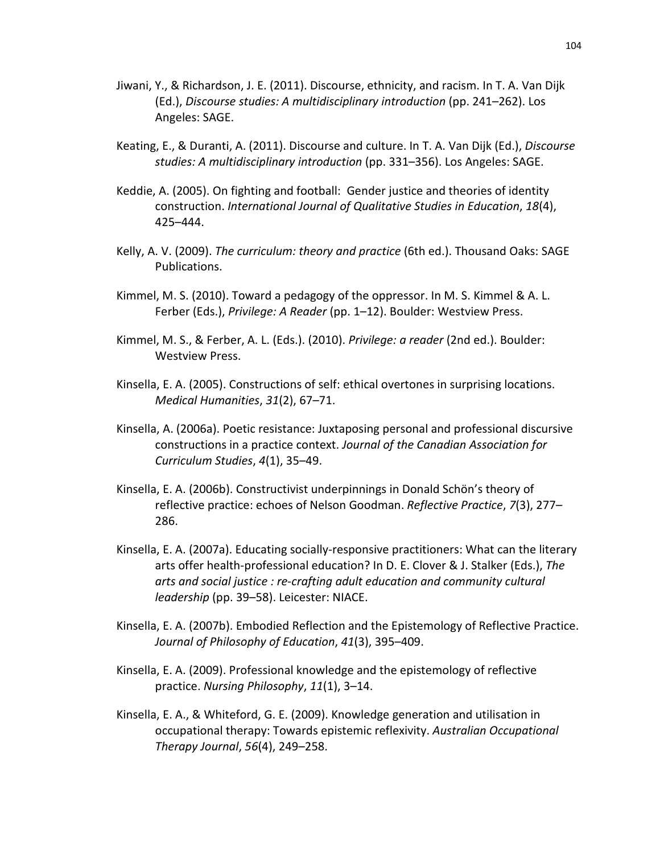- Jiwani, Y., & Richardson, J. E. (2011). Discourse, ethnicity, and racism. In T. A. Van Dijk (Ed.), *Discourse studies: A multidisciplinary introduction* (pp. 241–262). Los Angeles: SAGE.
- Keating, E., & Duranti, A. (2011). Discourse and culture. In T. A. Van Dijk (Ed.), *Discourse studies: A multidisciplinary introduction* (pp. 331–356). Los Angeles: SAGE.
- Keddie, A. (2005). On fighting and football: Gender justice and theories of identity construction. *International Journal of Qualitative Studies in Education*, *18*(4), 425–444.
- Kelly, A. V. (2009). *The curriculum: theory and practice* (6th ed.). Thousand Oaks: SAGE Publications.
- Kimmel, M. S. (2010). Toward a pedagogy of the oppressor. In M. S. Kimmel & A. L. Ferber (Eds.), *Privilege: A Reader* (pp. 1–12). Boulder: Westview Press.
- Kimmel, M. S., & Ferber, A. L. (Eds.). (2010). *Privilege: a reader* (2nd ed.). Boulder: Westview Press.
- Kinsella, E. A. (2005). Constructions of self: ethical overtones in surprising locations. *Medical Humanities*, *31*(2), 67–71.
- Kinsella, A. (2006a). Poetic resistance: Juxtaposing personal and professional discursive constructions in a practice context. *Journal of the Canadian Association for Curriculum Studies*, *4*(1), 35–49.
- Kinsella, E. A. (2006b). Constructivist underpinnings in Donald Schön's theory of reflective practice: echoes of Nelson Goodman. *Reflective Practice*, *7*(3), 277– 286.
- Kinsella, E. A. (2007a). Educating socially-responsive practitioners: What can the literary arts offer health-professional education? In D. E. Clover & J. Stalker (Eds.), *The arts and social justice : re-crafting adult education and community cultural leadership* (pp. 39–58). Leicester: NIACE.
- Kinsella, E. A. (2007b). Embodied Reflection and the Epistemology of Reflective Practice. *Journal of Philosophy of Education*, *41*(3), 395–409.
- Kinsella, E. A. (2009). Professional knowledge and the epistemology of reflective practice. *Nursing Philosophy*, *11*(1), 3–14.
- Kinsella, E. A., & Whiteford, G. E. (2009). Knowledge generation and utilisation in occupational therapy: Towards epistemic reflexivity. *Australian Occupational Therapy Journal*, *56*(4), 249–258.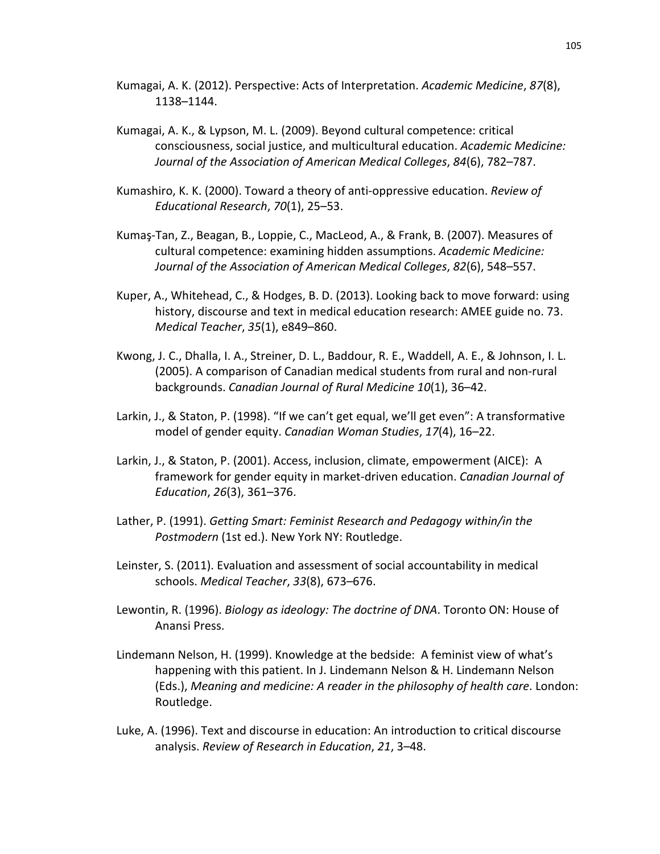Kumagai, A. K. (2012). Perspective: Acts of Interpretation. *Academic Medicine*, *87*(8), 1138–1144.

- Kumagai, A. K., & Lypson, M. L. (2009). Beyond cultural competence: critical consciousness, social justice, and multicultural education. *Academic Medicine: Journal of the Association of American Medical Colleges*, *84*(6), 782–787.
- Kumashiro, K. K. (2000). Toward a theory of anti-oppressive education. *Review of Educational Research*, *70*(1), 25–53.
- Kumaş-Tan, Z., Beagan, B., Loppie, C., MacLeod, A., & Frank, B. (2007). Measures of cultural competence: examining hidden assumptions. *Academic Medicine: Journal of the Association of American Medical Colleges*, *82*(6), 548–557.
- Kuper, A., Whitehead, C., & Hodges, B. D. (2013). Looking back to move forward: using history, discourse and text in medical education research: AMEE guide no. 73. *Medical Teacher*, *35*(1), e849–860.
- Kwong, J. C., Dhalla, I. A., Streiner, D. L., Baddour, R. E., Waddell, A. E., & Johnson, I. L. (2005). A comparison of Canadian medical students from rural and non-rural backgrounds. *Canadian Journal of Rural Medicine 10*(1), 36–42.
- Larkin, J., & Staton, P. (1998). "If we can't get equal, we'll get even": A transformative model of gender equity. *Canadian Woman Studies*, *17*(4), 16–22.
- Larkin, J., & Staton, P. (2001). Access, inclusion, climate, empowerment (AICE): A framework for gender equity in market-driven education. *Canadian Journal of Education*, *26*(3), 361–376.
- Lather, P. (1991). *Getting Smart: Feminist Research and Pedagogy within/in the Postmodern* (1st ed.). New York NY: Routledge.
- Leinster, S. (2011). Evaluation and assessment of social accountability in medical schools. *Medical Teacher*, *33*(8), 673–676.
- Lewontin, R. (1996). *Biology as ideology: The doctrine of DNA*. Toronto ON: House of Anansi Press.
- Lindemann Nelson, H. (1999). Knowledge at the bedside: A feminist view of what's happening with this patient. In J. Lindemann Nelson & H. Lindemann Nelson (Eds.), *Meaning and medicine: A reader in the philosophy of health care*. London: Routledge.
- Luke, A. (1996). Text and discourse in education: An introduction to critical discourse analysis. *Review of Research in Education*, *21*, 3–48.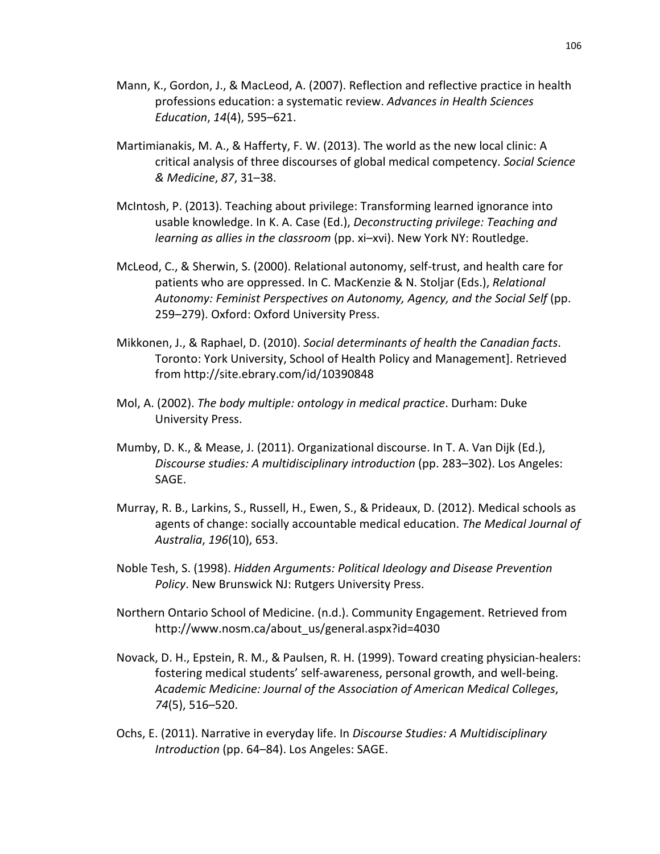- Mann, K., Gordon, J., & MacLeod, A. (2007). Reflection and reflective practice in health professions education: a systematic review. *Advances in Health Sciences Education*, *14*(4), 595–621.
- Martimianakis, M. A., & Hafferty, F. W. (2013). The world as the new local clinic: A critical analysis of three discourses of global medical competency. *Social Science & Medicine*, *87*, 31–38.
- McIntosh, P. (2013). Teaching about privilege: Transforming learned ignorance into usable knowledge. In K. A. Case (Ed.), *Deconstructing privilege: Teaching and learning as allies in the classroom* (pp. xi–xvi). New York NY: Routledge.
- McLeod, C., & Sherwin, S. (2000). Relational autonomy, self-trust, and health care for patients who are oppressed. In C. MacKenzie & N. Stoljar (Eds.), *Relational Autonomy: Feminist Perspectives on Autonomy, Agency, and the Social Self* (pp. 259–279). Oxford: Oxford University Press.
- Mikkonen, J., & Raphael, D. (2010). *Social determinants of health the Canadian facts*. Toronto: York University, School of Health Policy and Management]. Retrieved from http://site.ebrary.com/id/10390848
- Mol, A. (2002). *The body multiple: ontology in medical practice*. Durham: Duke University Press.
- Mumby, D. K., & Mease, J. (2011). Organizational discourse. In T. A. Van Dijk (Ed.), *Discourse studies: A multidisciplinary introduction* (pp. 283–302). Los Angeles: SAGE.
- Murray, R. B., Larkins, S., Russell, H., Ewen, S., & Prideaux, D. (2012). Medical schools as agents of change: socially accountable medical education. *The Medical Journal of Australia*, *196*(10), 653.
- Noble Tesh, S. (1998). *Hidden Arguments: Political Ideology and Disease Prevention Policy*. New Brunswick NJ: Rutgers University Press.
- Northern Ontario School of Medicine. (n.d.). Community Engagement. Retrieved from http://www.nosm.ca/about\_us/general.aspx?id=4030
- Novack, D. H., Epstein, R. M., & Paulsen, R. H. (1999). Toward creating physician-healers: fostering medical students' self-awareness, personal growth, and well-being. *Academic Medicine: Journal of the Association of American Medical Colleges*, *74*(5), 516–520.
- Ochs, E. (2011). Narrative in everyday life. In *Discourse Studies: A Multidisciplinary Introduction* (pp. 64–84). Los Angeles: SAGE.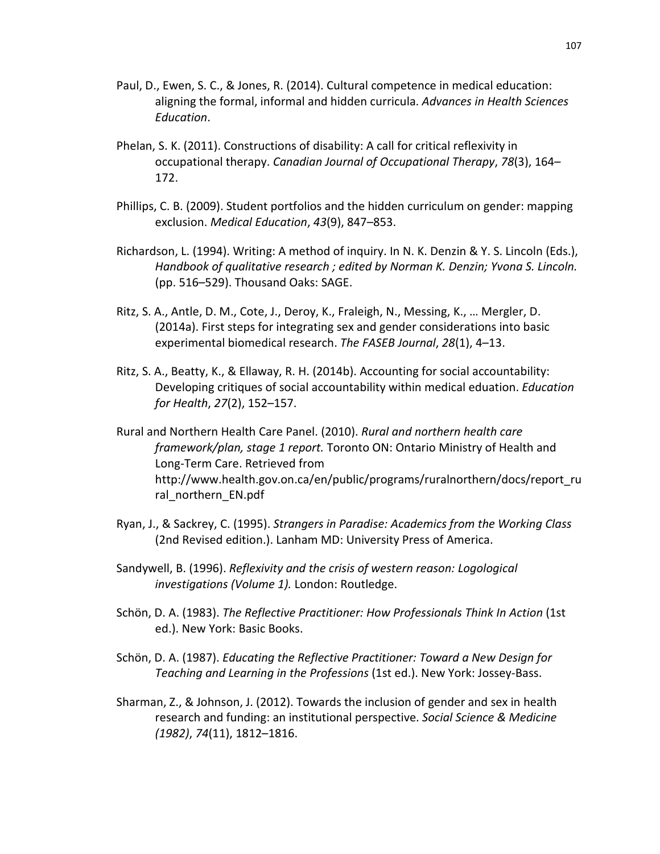- Paul, D., Ewen, S. C., & Jones, R. (2014). Cultural competence in medical education: aligning the formal, informal and hidden curricula. *Advances in Health Sciences Education*.
- Phelan, S. K. (2011). Constructions of disability: A call for critical reflexivity in occupational therapy. *Canadian Journal of Occupational Therapy*, *78*(3), 164– 172.
- Phillips, C. B. (2009). Student portfolios and the hidden curriculum on gender: mapping exclusion. *Medical Education*, *43*(9), 847–853.
- Richardson, L. (1994). Writing: A method of inquiry. In N. K. Denzin & Y. S. Lincoln (Eds.), *Handbook of qualitative research ; edited by Norman K. Denzin; Yvona S. Lincoln.* (pp. 516–529). Thousand Oaks: SAGE.
- Ritz, S. A., Antle, D. M., Cote, J., Deroy, K., Fraleigh, N., Messing, K., … Mergler, D. (2014a). First steps for integrating sex and gender considerations into basic experimental biomedical research. *The FASEB Journal*, *28*(1), 4–13.
- Ritz, S. A., Beatty, K., & Ellaway, R. H. (2014b). Accounting for social accountability: Developing critiques of social accountability within medical eduation. *Education for Health*, *27*(2), 152–157.
- Rural and Northern Health Care Panel. (2010). *Rural and northern health care framework/plan, stage 1 report.* Toronto ON: Ontario Ministry of Health and Long-Term Care. Retrieved from http://www.health.gov.on.ca/en/public/programs/ruralnorthern/docs/report\_ru ral northern EN.pdf
- Ryan, J., & Sackrey, C. (1995). *Strangers in Paradise: Academics from the Working Class* (2nd Revised edition.). Lanham MD: University Press of America.
- Sandywell, B. (1996). *Reflexivity and the crisis of western reason: Logological investigations (Volume 1).* London: Routledge.
- Schön, D. A. (1983). *The Reflective Practitioner: How Professionals Think In Action* (1st ed.). New York: Basic Books.
- Schön, D. A. (1987). *Educating the Reflective Practitioner: Toward a New Design for Teaching and Learning in the Professions* (1st ed.). New York: Jossey-Bass.
- Sharman, Z., & Johnson, J. (2012). Towards the inclusion of gender and sex in health research and funding: an institutional perspective. *Social Science & Medicine (1982)*, *74*(11), 1812–1816.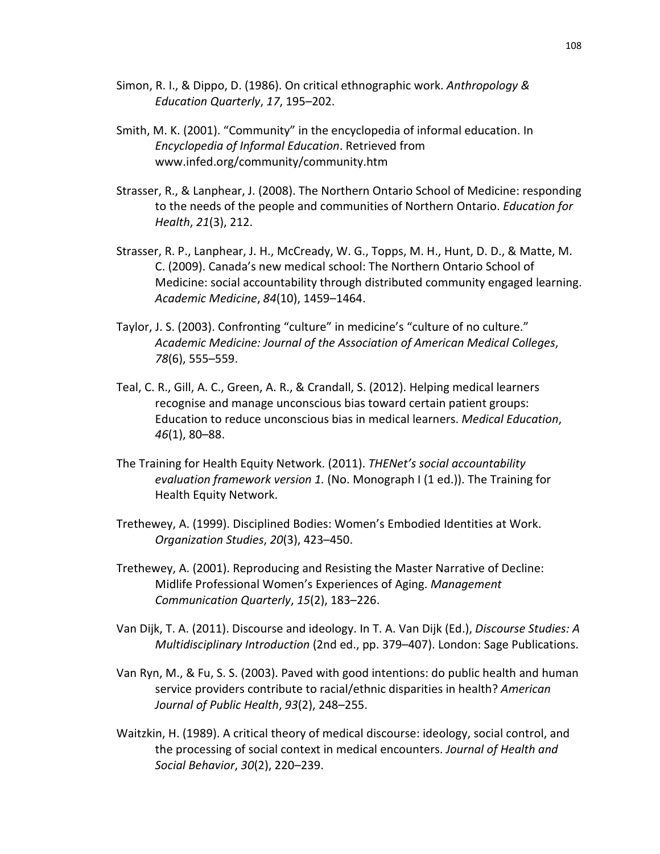- Simon, R. I., & Dippo, D. (1986). On critical ethnographic work. *Anthropology & Education Quarterly*, *17*, 195–202.
- Smith, M. K. (2001). "Community" in the encyclopedia of informal education. In *Encyclopedia of Informal Education*. Retrieved from www.infed.org/community/community.htm
- Strasser, R., & Lanphear, J. (2008). The Northern Ontario School of Medicine: responding to the needs of the people and communities of Northern Ontario. *Education for Health*, *21*(3), 212.
- Strasser, R. P., Lanphear, J. H., McCready, W. G., Topps, M. H., Hunt, D. D., & Matte, M. C. (2009). Canada's new medical school: The Northern Ontario School of Medicine: social accountability through distributed community engaged learning. *Academic Medicine*, *84*(10), 1459–1464.
- Taylor, J. S. (2003). Confronting "culture" in medicine's "culture of no culture." *Academic Medicine: Journal of the Association of American Medical Colleges*, *78*(6), 555–559.
- Teal, C. R., Gill, A. C., Green, A. R., & Crandall, S. (2012). Helping medical learners recognise and manage unconscious bias toward certain patient groups: Education to reduce unconscious bias in medical learners. *Medical Education*, *46*(1), 80–88.
- The Training for Health Equity Network. (2011). *THENet's social accountability evaluation framework version 1.* (No. Monograph I (1 ed.)). The Training for Health Equity Network.
- Trethewey, A. (1999). Disciplined Bodies: Women's Embodied Identities at Work. *Organization Studies*, *20*(3), 423–450.
- Trethewey, A. (2001). Reproducing and Resisting the Master Narrative of Decline: Midlife Professional Women's Experiences of Aging. *Management Communication Quarterly*, *15*(2), 183–226.
- Van Dijk, T. A. (2011). Discourse and ideology. In T. A. Van Dijk (Ed.), *Discourse Studies: A Multidisciplinary Introduction* (2nd ed., pp. 379–407). London: Sage Publications.
- Van Ryn, M., & Fu, S. S. (2003). Paved with good intentions: do public health and human service providers contribute to racial/ethnic disparities in health? *American Journal of Public Health*, *93*(2), 248–255.
- Waitzkin, H. (1989). A critical theory of medical discourse: ideology, social control, and the processing of social context in medical encounters. *Journal of Health and Social Behavior*, *30*(2), 220–239.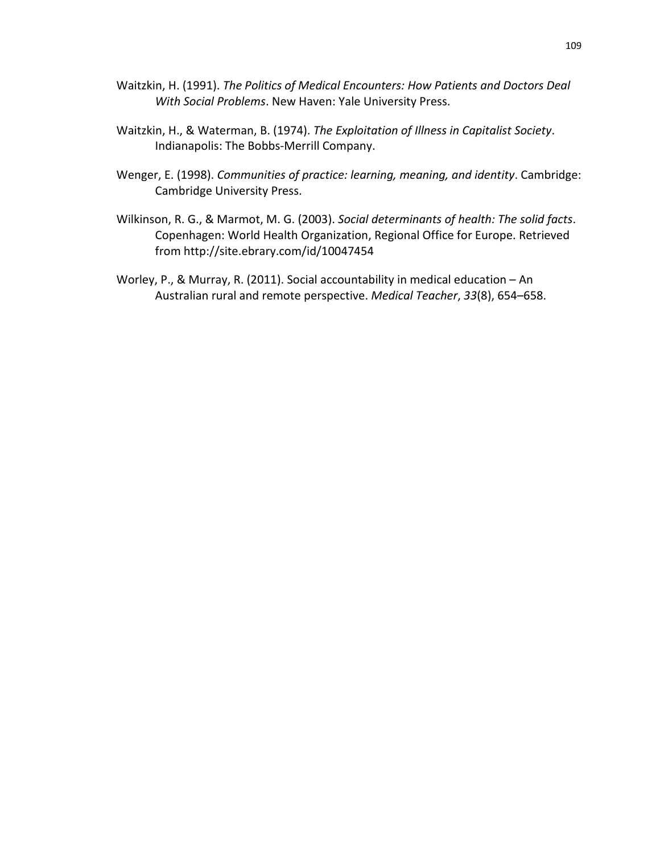- Waitzkin, H. (1991). *The Politics of Medical Encounters: How Patients and Doctors Deal With Social Problems*. New Haven: Yale University Press.
- Waitzkin, H., & Waterman, B. (1974). *The Exploitation of Illness in Capitalist Society*. Indianapolis: The Bobbs-Merrill Company.
- Wenger, E. (1998). *Communities of practice: learning, meaning, and identity*. Cambridge: Cambridge University Press.
- Wilkinson, R. G., & Marmot, M. G. (2003). *Social determinants of health: The solid facts*. Copenhagen: World Health Organization, Regional Office for Europe. Retrieved from http://site.ebrary.com/id/10047454
- Worley, P., & Murray, R. (2011). Social accountability in medical education An Australian rural and remote perspective. *Medical Teacher*, *33*(8), 654–658.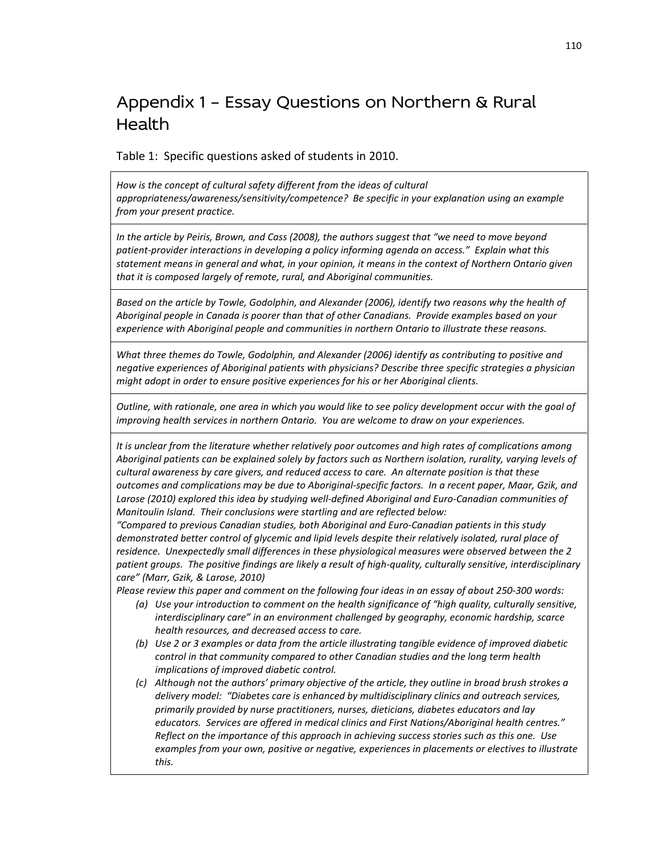## Appendix 1 – Essay Questions on Northern & Rural **Health**

Table 1: Specific questions asked of students in 2010.

*How is the concept of cultural safety different from the ideas of cultural appropriateness/awareness/sensitivity/competence? Be specific in your explanation using an example from your present practice.*

*In the article by Peiris, Brown, and Cass (2008), the authors suggest that "we need to move beyond patient-provider interactions in developing a policy informing agenda on access." Explain what this statement means in general and what, in your opinion, it means in the context of Northern Ontario given that it is composed largely of remote, rural, and Aboriginal communities.*

*Based on the article by Towle, Godolphin, and Alexander (2006), identify two reasons why the health of Aboriginal people in Canada is poorer than that of other Canadians. Provide examples based on your experience with Aboriginal people and communities in northern Ontario to illustrate these reasons.*

*What three themes do Towle, Godolphin, and Alexander (2006) identify as contributing to positive and negative experiences of Aboriginal patients with physicians? Describe three specific strategies a physician might adopt in order to ensure positive experiences for his or her Aboriginal clients.*

*Outline, with rationale, one area in which you would like to see policy development occur with the goal of improving health services in northern Ontario. You are welcome to draw on your experiences.*

*It is unclear from the literature whether relatively poor outcomes and high rates of complications among Aboriginal patients can be explained solely by factors such as Northern isolation, rurality, varying levels of cultural awareness by care givers, and reduced access to care. An alternate position is that these outcomes and complications may be due to Aboriginal-specific factors. In a recent paper, Maar, Gzik, and Larose (2010) explored this idea by studying well-defined Aboriginal and Euro-Canadian communities of Manitoulin Island. Their conclusions were startling and are reflected below:*

*"Compared to previous Canadian studies, both Aboriginal and Euro-Canadian patients in this study demonstrated better control of glycemic and lipid levels despite their relatively isolated, rural place of residence. Unexpectedly small differences in these physiological measures were observed between the 2 patient groups. The positive findings are likely a result of high-quality, culturally sensitive, interdisciplinary care" (Marr, Gzik, & Larose, 2010)*

*Please review this paper and comment on the following four ideas in an essay of about 250-300 words:*

- *(a) Use your introduction to comment on the health significance of "high quality, culturally sensitive, interdisciplinary care" in an environment challenged by geography, economic hardship, scarce health resources, and decreased access to care.*
- *(b) Use 2 or 3 examples or data from the article illustrating tangible evidence of improved diabetic control in that community compared to other Canadian studies and the long term health implications of improved diabetic control.*
- *(c) Although not the authors' primary objective of the article, they outline in broad brush strokes a delivery model: "Diabetes care is enhanced by multidisciplinary clinics and outreach services, primarily provided by nurse practitioners, nurses, dieticians, diabetes educators and lay educators. Services are offered in medical clinics and First Nations/Aboriginal health centres." Reflect on the importance of this approach in achieving success stories such as this one. Use examples from your own, positive or negative, experiences in placements or electives to illustrate this.*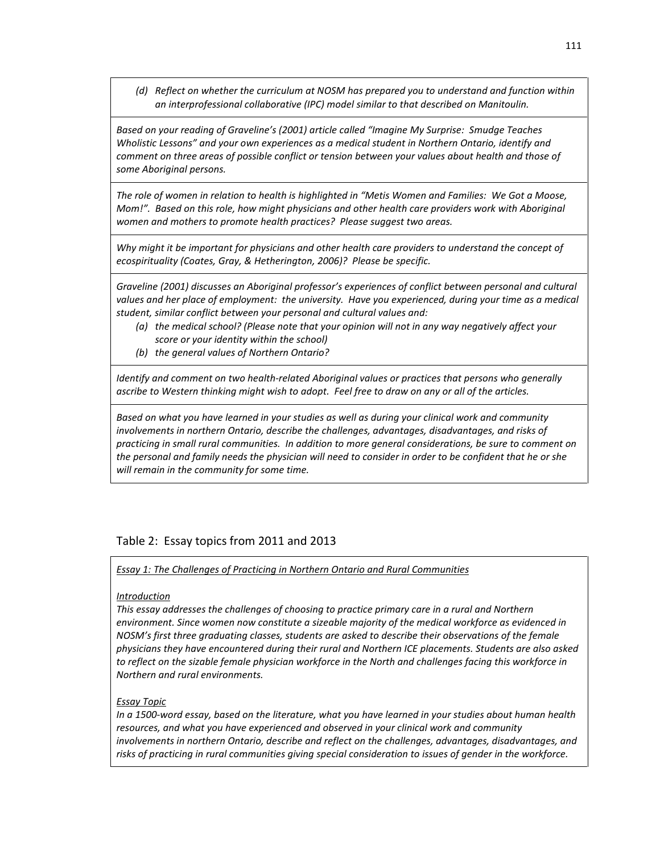*(d) Reflect on whether the curriculum at NOSM has prepared you to understand and function within an interprofessional collaborative (IPC) model similar to that described on Manitoulin.*

*Based on your reading of Graveline's (2001) article called "Imagine My Surprise: Smudge Teaches Wholistic Lessons" and your own experiences as a medical student in Northern Ontario, identify and comment on three areas of possible conflict or tension between your values about health and those of some Aboriginal persons.*

*The role of women in relation to health is highlighted in "Metis Women and Families: We Got a Moose, Mom!". Based on this role, how might physicians and other health care providers work with Aboriginal women and mothers to promote health practices? Please suggest two areas.*

Why might it be important for physicians and other health care providers to understand the concept of *ecospirituality (Coates, Gray, & Hetherington, 2006)? Please be specific.*

*Graveline (2001) discusses an Aboriginal professor's experiences of conflict between personal and cultural*  values and her place of employment: the university. Have you experienced, during your time as a medical *student, similar conflict between your personal and cultural values and:*

- *(a) the medical school? (Please note that your opinion will not in any way negatively affect your score or your identity within the school)*
- *(b) the general values of Northern Ontario?*

*Identify and comment on two health-related Aboriginal values or practices that persons who generally ascribe to Western thinking might wish to adopt. Feel free to draw on any or all of the articles.*

*Based on what you have learned in your studies as well as during your clinical work and community involvements in northern Ontario, describe the challenges, advantages, disadvantages, and risks of practicing in small rural communities. In addition to more general considerations, be sure to comment on the personal and family needs the physician will need to consider in order to be confident that he or she will remain in the community for some time.*

## Table 2: Essay topics from 2011 and 2013

#### *Essay 1: The Challenges of Practicing in Northern Ontario and Rural Communities*

#### *Introduction*

*This essay addresses the challenges of choosing to practice primary care in a rural and Northern environment. Since women now constitute a sizeable majority of the medical workforce as evidenced in NOSM's first three graduating classes, students are asked to describe their observations of the female physicians they have encountered during their rural and Northern ICE placements. Students are also asked to reflect on the sizable female physician workforce in the North and challenges facing this workforce in Northern and rural environments.*

#### *Essay Topic*

*In a 1500-word essay, based on the literature, what you have learned in your studies about human health resources, and what you have experienced and observed in your clinical work and community involvements in northern Ontario, describe and reflect on the challenges, advantages, disadvantages, and risks of practicing in rural communities giving special consideration to issues of gender in the workforce.*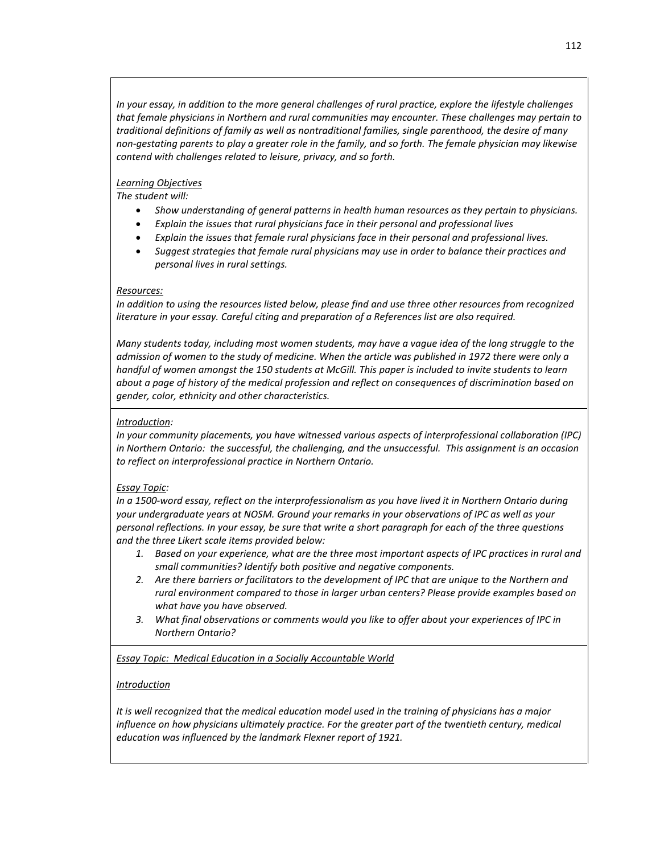*In your essay, in addition to the more general challenges of rural practice, explore the lifestyle challenges that female physicians in Northern and rural communities may encounter. These challenges may pertain to traditional definitions of family as well as nontraditional families, single parenthood, the desire of many non-gestating parents to play a greater role in the family, and so forth. The female physician may likewise contend with challenges related to leisure, privacy, and so forth.*

### *Learning Objectives*

*The student will:*

- *Show understanding of general patterns in health human resources as they pertain to physicians.*
- *Explain the issues that rural physicians face in their personal and professional lives*
- *Explain the issues that female rural physicians face in their personal and professional lives.*
- *Suggest strategies that female rural physicians may use in order to balance their practices and personal lives in rural settings.*

#### *Resources:*

*In addition to using the resources listed below, please find and use three other resources from recognized literature in your essay. Careful citing and preparation of a References list are also required.*

*Many students today, including most women students, may have a vague idea of the long struggle to the admission of women to the study of medicine. When the article was published in 1972 there were only a handful of women amongst the 150 students at McGill. This paper is included to invite students to learn about a page of history of the medical profession and reflect on consequences of discrimination based on gender, color, ethnicity and other characteristics.*

## *Introduction:*

*In your community placements, you have witnessed various aspects of interprofessional collaboration (IPC) in Northern Ontario: the successful, the challenging, and the unsuccessful. This assignment is an occasion to reflect on interprofessional practice in Northern Ontario.*

#### *Essay Topic:*

*In a 1500-word essay, reflect on the interprofessionalism as you have lived it in Northern Ontario during your undergraduate years at NOSM. Ground your remarks in your observations of IPC as well as your personal reflections. In your essay, be sure that write a short paragraph for each of the three questions and the three Likert scale items provided below:* 

- *1. Based on your experience, what are the three most important aspects of IPC practices in rural and small communities? Identify both positive and negative components.*
- *2. Are there barriers or facilitators to the development of IPC that are unique to the Northern and rural environment compared to those in larger urban centers? Please provide examples based on what have you have observed.*
- *3. What final observations or comments would you like to offer about your experiences of IPC in Northern Ontario?*

*Essay Topic: Medical Education in a Socially Accountable World*

#### *Introduction*

*It is well recognized that the medical education model used in the training of physicians has a major influence on how physicians ultimately practice. For the greater part of the twentieth century, medical education was influenced by the landmark Flexner report of 1921.*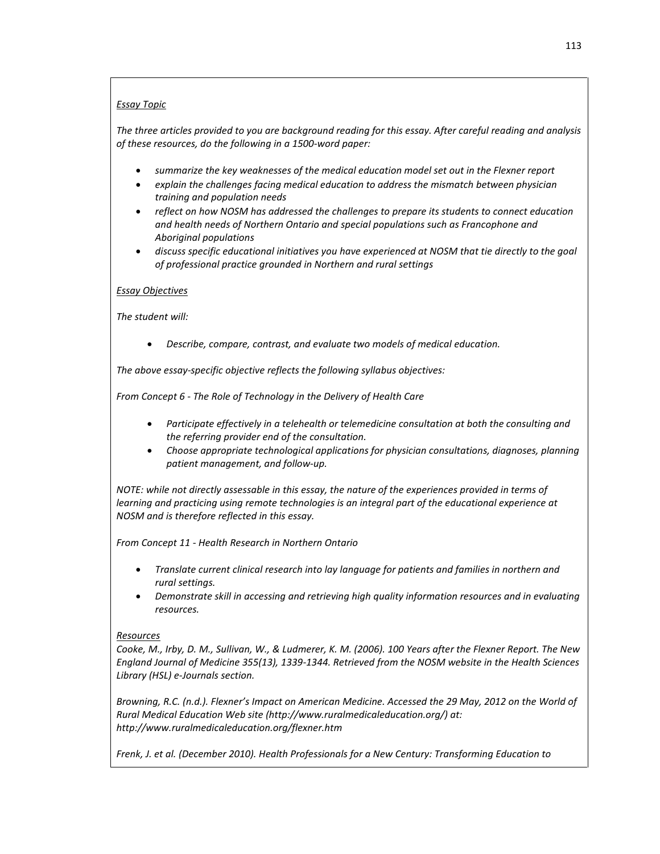## *Essay Topic*

*The three articles provided to you are background reading for this essay. After careful reading and analysis of these resources, do the following in a 1500-word paper:*

- *summarize the key weaknesses of the medical education model set out in the Flexner report*
- *explain the challenges facing medical education to address the mismatch between physician training and population needs*
- *reflect on how NOSM has addressed the challenges to prepare its students to connect education and health needs of Northern Ontario and special populations such as Francophone and Aboriginal populations*
- *discuss specific educational initiatives you have experienced at NOSM that tie directly to the goal of professional practice grounded in Northern and rural settings*

#### *Essay Objectives*

*The student will:*

• *Describe, compare, contrast, and evaluate two models of medical education.*

*The above essay-specific objective reflects the following syllabus objectives:*

*From Concept 6 - The Role of Technology in the Delivery of Health Care*

- *Participate effectively in a telehealth or telemedicine consultation at both the consulting and the referring provider end of the consultation.*
- *Choose appropriate technological applications for physician consultations, diagnoses, planning patient management, and follow-up.*

*NOTE: while not directly assessable in this essay, the nature of the experiences provided in terms of learning and practicing using remote technologies is an integral part of the educational experience at NOSM and is therefore reflected in this essay.*

*From Concept 11 - Health Research in Northern Ontario*

- *Translate current clinical research into lay language for patients and families in northern and rural settings.*
- *Demonstrate skill in accessing and retrieving high quality information resources and in evaluating resources.*

#### *Resources*

*Cooke, M., Irby, D. M., Sullivan, W., & Ludmerer, K. M. (2006). 100 Years after the Flexner Report. The New England Journal of Medicine 355(13), 1339-1344. Retrieved from the NOSM website in the Health Sciences Library (HSL) e-Journals section.*

*Browning, R.C. (n.d.). Flexner's Impact on American Medicine. Accessed the 29 May, 2012 on the World of Rural Medical Education Web site (http://www.ruralmedicaleducation.org/) at: http://www.ruralmedicaleducation.org/flexner.htm*

*Frenk, J. et al. (December 2010). Health Professionals for a New Century: Transforming Education to*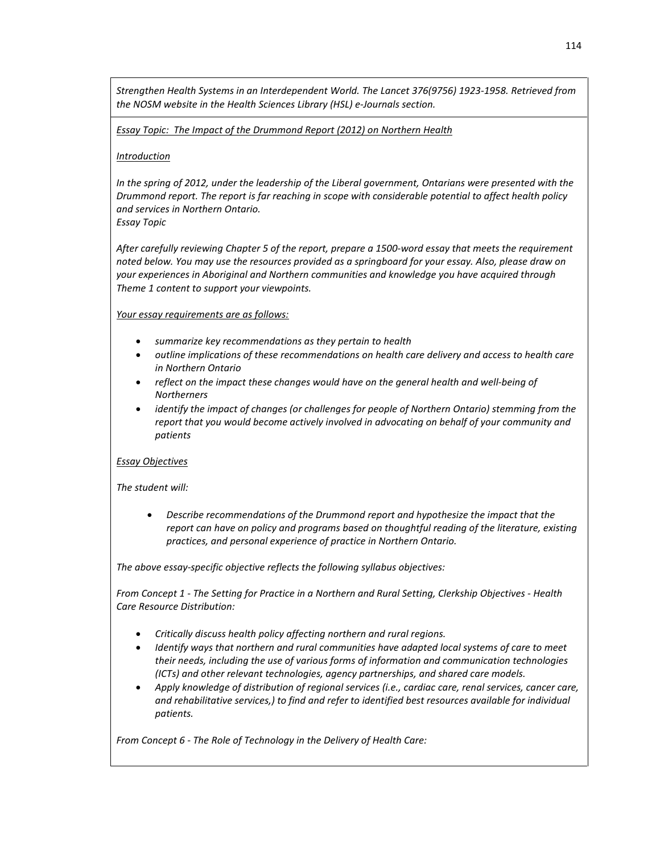*Strengthen Health Systems in an Interdependent World. The Lancet 376(9756) 1923-1958. Retrieved from the NOSM website in the Health Sciences Library (HSL) e-Journals section.*

*Essay Topic: The Impact of the Drummond Report (2012) on Northern Health*

#### *Introduction*

*In the spring of 2012, under the leadership of the Liberal government, Ontarians were presented with the Drummond report. The report is far reaching in scope with considerable potential to affect health policy and services in Northern Ontario. Essay Topic*

*After carefully reviewing Chapter 5 of the report, prepare a 1500-word essay that meets the requirement noted below. You may use the resources provided as a springboard for your essay. Also, please draw on your experiences in Aboriginal and Northern communities and knowledge you have acquired through Theme 1 content to support your viewpoints.*

*Your essay requirements are as follows:*

- *summarize key recommendations as they pertain to health*
- *outline implications of these recommendations on health care delivery and access to health care in Northern Ontario*
- *reflect on the impact these changes would have on the general health and well-being of Northerners*
- *identify the impact of changes (or challenges for people of Northern Ontario) stemming from the report that you would become actively involved in advocating on behalf of your community and patients*

#### *Essay Objectives*

*The student will:*

• *Describe recommendations of the Drummond report and hypothesize the impact that the report can have on policy and programs based on thoughtful reading of the literature, existing practices, and personal experience of practice in Northern Ontario.*

*The above essay-specific objective reflects the following syllabus objectives:*

*From Concept 1 - The Setting for Practice in a Northern and Rural Setting, Clerkship Objectives - Health Care Resource Distribution:*

- *Critically discuss health policy affecting northern and rural regions.*
- *Identify ways that northern and rural communities have adapted local systems of care to meet their needs, including the use of various forms of information and communication technologies (ICTs) and other relevant technologies, agency partnerships, and shared care models.*
- *Apply knowledge of distribution of regional services (i.e., cardiac care, renal services, cancer care, and rehabilitative services,) to find and refer to identified best resources available for individual patients.*

*From Concept 6 - The Role of Technology in the Delivery of Health Care:*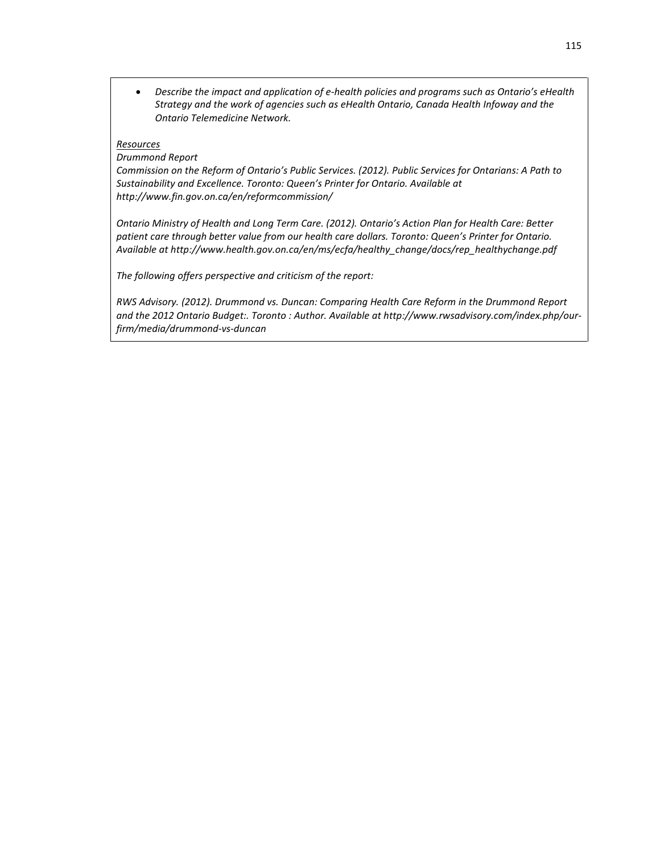• *Describe the impact and application of e-health policies and programs such as Ontario's eHealth Strategy and the work of agencies such as eHealth Ontario, Canada Health Infoway and the Ontario Telemedicine Network.*

#### *Resources*

*Drummond Report*

*Commission on the Reform of Ontario's Public Services. (2012). Public Services for Ontarians: A Path to Sustainability and Excellence. Toronto: Queen's Printer for Ontario. Available at http://www.fin.gov.on.ca/en/reformcommission/*

*Ontario Ministry of Health and Long Term Care. (2012). Ontario's Action Plan for Health Care: Better patient care through better value from our health care dollars. Toronto: Queen's Printer for Ontario. Available at http://www.health.gov.on.ca/en/ms/ecfa/healthy\_change/docs/rep\_healthychange.pdf*

*The following offers perspective and criticism of the report:*

*RWS Advisory. (2012). Drummond vs. Duncan: Comparing Health Care Reform in the Drummond Report and the 2012 Ontario Budget:. Toronto : Author. Available at http://www.rwsadvisory.com/index.php/ourfirm/media/drummond-vs-duncan*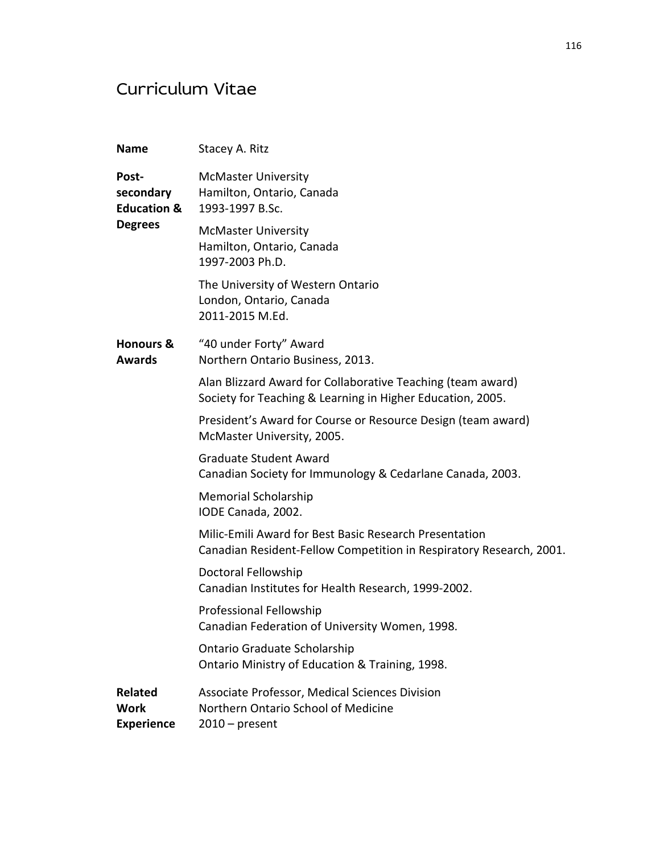# Curriculum Vitae

| <b>Name</b>                                                    | Stacey A. Ritz                                                                                                                |
|----------------------------------------------------------------|-------------------------------------------------------------------------------------------------------------------------------|
| Post-<br>secondary<br><b>Education &amp;</b><br><b>Degrees</b> | <b>McMaster University</b><br>Hamilton, Ontario, Canada<br>1993-1997 B.Sc.                                                    |
|                                                                | <b>McMaster University</b><br>Hamilton, Ontario, Canada<br>1997-2003 Ph.D.                                                    |
|                                                                | The University of Western Ontario<br>London, Ontario, Canada<br>2011-2015 M.Ed.                                               |
| <b>Honours &amp;</b><br><b>Awards</b>                          | "40 under Forty" Award<br>Northern Ontario Business, 2013.                                                                    |
|                                                                | Alan Blizzard Award for Collaborative Teaching (team award)<br>Society for Teaching & Learning in Higher Education, 2005.     |
|                                                                | President's Award for Course or Resource Design (team award)<br>McMaster University, 2005.                                    |
|                                                                | <b>Graduate Student Award</b><br>Canadian Society for Immunology & Cedarlane Canada, 2003.                                    |
|                                                                | <b>Memorial Scholarship</b><br>IODE Canada, 2002.                                                                             |
|                                                                | Milic-Emili Award for Best Basic Research Presentation<br>Canadian Resident-Fellow Competition in Respiratory Research, 2001. |
|                                                                | Doctoral Fellowship<br>Canadian Institutes for Health Research, 1999-2002.                                                    |
|                                                                | Professional Fellowship<br>Canadian Federation of University Women, 1998.                                                     |
|                                                                | Ontario Graduate Scholarship<br>Ontario Ministry of Education & Training, 1998.                                               |
| <b>Related</b><br><b>Work</b><br><b>Experience</b>             | Associate Professor, Medical Sciences Division<br>Northern Ontario School of Medicine<br>$2010$ – present                     |